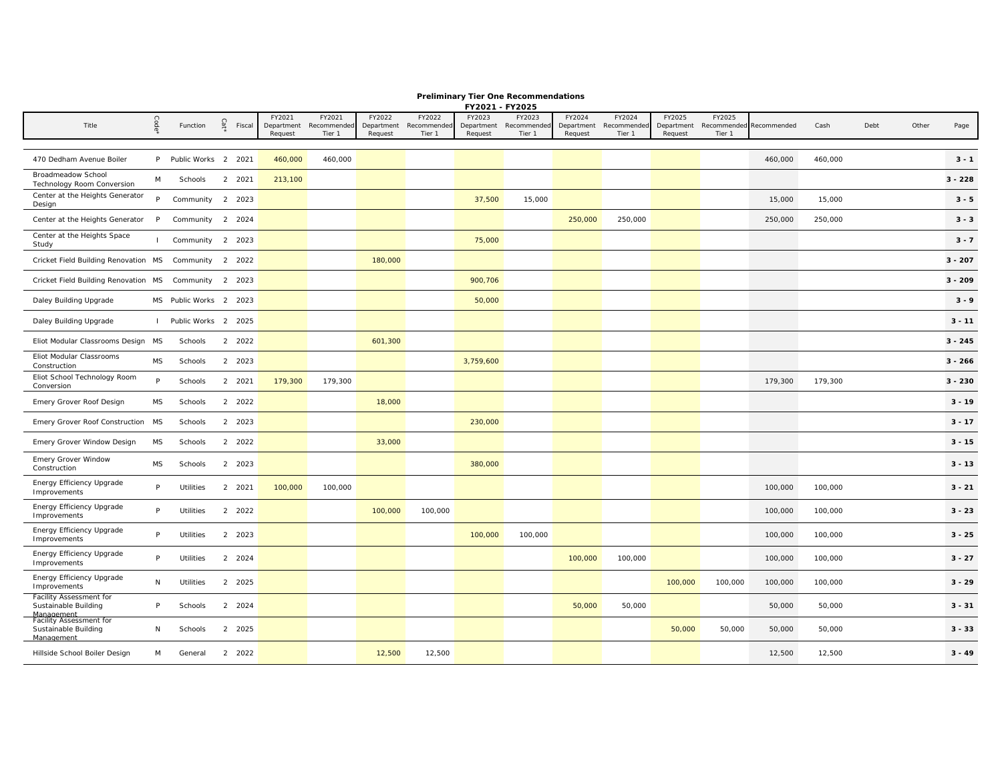|                                                       | Code      |                        | Cat' |        | FY2021                | FY2021                | FY2022                | FY2022                | FY2023                | FY2023                | FY2024                | FY2024                | FY2025                | FY2025                |             |         |      |       |           |
|-------------------------------------------------------|-----------|------------------------|------|--------|-----------------------|-----------------------|-----------------------|-----------------------|-----------------------|-----------------------|-----------------------|-----------------------|-----------------------|-----------------------|-------------|---------|------|-------|-----------|
| Title                                                 |           | Function               |      | Fiscal | Department<br>Request | Recommended<br>Tier 1 | Department<br>Request | Recommended<br>Tier 1 | Department<br>Request | Recommended<br>Tier 1 | Department<br>Request | Recommended<br>Tier 1 | Department<br>Request | Recommended<br>Tier 1 | Recommended | Cash    | Debt | Other | Page      |
|                                                       |           |                        |      |        |                       |                       |                       |                       |                       |                       |                       |                       |                       |                       |             |         |      |       |           |
| 470 Dedham Avenue Boiler                              |           | P Public Works 2 2021  |      |        | 460,000               | 460,000               |                       |                       |                       |                       |                       |                       |                       |                       | 460,000     | 460,000 |      |       | $3 - 1$   |
| Broadmeadow School<br>Technology Room Conversion      | M         | Schools                |      | 2 2021 | 213,100               |                       |                       |                       |                       |                       |                       |                       |                       |                       |             |         |      |       | $3 - 228$ |
| Center at the Heights Generator<br>Design             |           | P Community 2 2023     |      |        |                       |                       |                       |                       | 37,500                | 15,000                |                       |                       |                       |                       | 15,000      | 15,000  |      |       | $3 - 5$   |
| Center at the Heights Generator                       | P         | Community 2 2024       |      |        |                       |                       |                       |                       |                       |                       | 250,000               | 250,000               |                       |                       | 250,000     | 250,000 |      |       | $3 - 3$   |
| Center at the Heights Space<br>Study                  |           | Community 2 2023       |      |        |                       |                       |                       |                       | 75,000                |                       |                       |                       |                       |                       |             |         |      |       | $3 - 7$   |
| Cricket Field Building Renovation MS Community 2 2022 |           |                        |      |        |                       |                       | 180,000               |                       |                       |                       |                       |                       |                       |                       |             |         |      |       | $3 - 207$ |
| Cricket Field Building Renovation MS Community 2 2023 |           |                        |      |        |                       |                       |                       |                       | 900,706               |                       |                       |                       |                       |                       |             |         |      |       | $3 - 209$ |
| Daley Building Upgrade                                |           | MS Public Works 2 2023 |      |        |                       |                       |                       |                       | 50,000                |                       |                       |                       |                       |                       |             |         |      |       | $3 - 9$   |
| Daley Building Upgrade                                |           | I Public Works 2 2025  |      |        |                       |                       |                       |                       |                       |                       |                       |                       |                       |                       |             |         |      |       | $3 - 11$  |
| Eliot Modular Classrooms Design MS                    |           | Schools                |      | 2 2022 |                       |                       | 601,300               |                       |                       |                       |                       |                       |                       |                       |             |         |      |       | $3 - 245$ |
| Eliot Modular Classrooms<br>Construction              | MS        | Schools                |      | 2 2023 |                       |                       |                       |                       | 3,759,600             |                       |                       |                       |                       |                       |             |         |      |       | $3 - 266$ |
| Eliot School Technology Room<br>Conversion            | P         | Schools                |      | 2 2021 | 179,300               | 179,300               |                       |                       |                       |                       |                       |                       |                       |                       | 179,300     | 179,300 |      |       | $3 - 230$ |
| Emery Grover Roof Design                              | <b>MS</b> | Schools                |      | 2 2022 |                       |                       | 18,000                |                       |                       |                       |                       |                       |                       |                       |             |         |      |       | $3 - 19$  |
| Emery Grover Roof Construction MS                     |           | Schools                |      | 2 2023 |                       |                       |                       |                       | 230,000               |                       |                       |                       |                       |                       |             |         |      |       | $3 - 17$  |
| Emery Grover Window Design                            | MS        | Schools                |      | 2 2022 |                       |                       | 33,000                |                       |                       |                       |                       |                       |                       |                       |             |         |      |       | $3 - 15$  |
| Emery Grover Window<br>Construction                   | MS        | Schools                |      | 2 2023 |                       |                       |                       |                       | 380,000               |                       |                       |                       |                       |                       |             |         |      |       | $3 - 13$  |
| Energy Efficiency Upgrade<br>Improvements             | P         | Utilities              |      | 2 2021 | 100,000               | 100,000               |                       |                       |                       |                       |                       |                       |                       |                       | 100,000     | 100,000 |      |       | $3 - 21$  |
| Energy Efficiency Upgrade<br>Improvements             | P         | Utilities              |      | 2 2022 |                       |                       | 100,000               | 100,000               |                       |                       |                       |                       |                       |                       | 100,000     | 100,000 |      |       | $3 - 23$  |
| Energy Efficiency Upgrade<br>Improvements             | P         | Utilities              |      | 2 2023 |                       |                       |                       |                       | 100,000               | 100,000               |                       |                       |                       |                       | 100,000     | 100,000 |      |       | $3 - 25$  |
| Energy Efficiency Upgrade<br>Improvements             | P         | Utilities              |      | 2 2024 |                       |                       |                       |                       |                       |                       | 100,000               | 100,000               |                       |                       | 100,000     | 100,000 |      |       | $3 - 27$  |
| Energy Efficiency Upgrade<br>Improvements             | N         | Utilities              |      | 2 2025 |                       |                       |                       |                       |                       |                       |                       |                       | 100,000               | 100,000               | 100,000     | 100,000 |      |       | $3 - 29$  |
| Facility Assessment for<br>Sustainable Building       | P         | Schools                |      | 2 2024 |                       |                       |                       |                       |                       |                       | 50,000                | 50,000                |                       |                       | 50,000      | 50,000  |      |       | $3 - 31$  |
| Management<br>Facility Assessment for                 |           |                        |      |        |                       |                       |                       |                       |                       |                       |                       |                       |                       |                       |             |         |      |       |           |

Hillside School Boiler Design M General 2 2022 12,500 12,500 12,500 12,500 **3 - 49** 

50,000 50,000 50,000 50,000 **3 - 33** 

Sustainable Building Management

N Schools 2 2025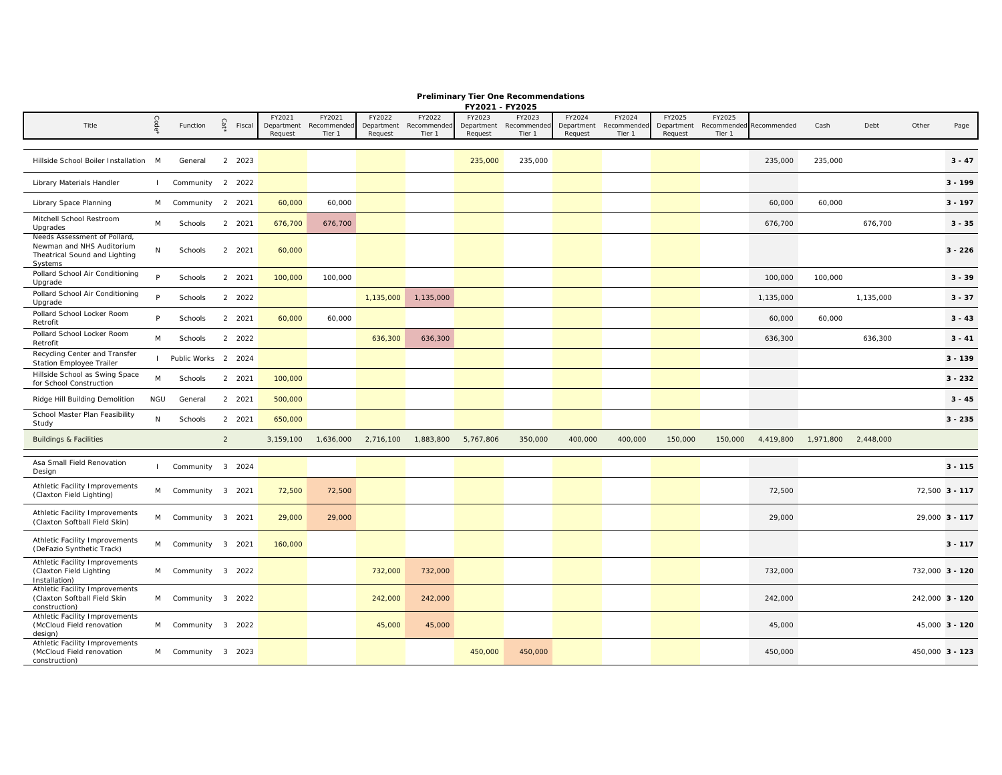|                                                                                                       |                |                     |        |        |                                 |                                 |                                 |                                 | FY2021 - FY2025                 |                                |                                 |                                 |                                 |                                             |           |           |           |       |                 |
|-------------------------------------------------------------------------------------------------------|----------------|---------------------|--------|--------|---------------------------------|---------------------------------|---------------------------------|---------------------------------|---------------------------------|--------------------------------|---------------------------------|---------------------------------|---------------------------------|---------------------------------------------|-----------|-----------|-----------|-------|-----------------|
| Title                                                                                                 | Code           | Function            | Cat    | Fiscal | FY2021<br>Department<br>Request | FY2021<br>Recommended<br>Tier 1 | FY2022<br>Department<br>Request | FY2022<br>Recommended<br>Tier 1 | FY2023<br>Department<br>Request | FY2023<br>Recommende<br>Tier 1 | FY2024<br>Department<br>Request | FY2024<br>Recommended<br>Tier 1 | FY2025<br>Department<br>Request | FY2025<br>Recommended Recommended<br>Tier 1 |           | Cash      | Debt      | Other | Page            |
|                                                                                                       |                |                     |        |        |                                 |                                 |                                 |                                 |                                 |                                |                                 |                                 |                                 |                                             |           |           |           |       |                 |
| Hillside School Boiler Installation M                                                                 |                | General             | 2 2023 |        |                                 |                                 |                                 |                                 | 235,000                         | 235,000                        |                                 |                                 |                                 |                                             | 235,000   | 235,000   |           |       | $3 - 47$        |
| Library Materials Handler                                                                             | $\mathbf{I}$   | Community 2 2022    |        |        |                                 |                                 |                                 |                                 |                                 |                                |                                 |                                 |                                 |                                             |           |           |           |       | $3 - 199$       |
| Library Space Planning                                                                                |                | M Community 2 2021  |        |        | 60,000                          | 60,000                          |                                 |                                 |                                 |                                |                                 |                                 |                                 |                                             | 60,000    | 60,000    |           |       | $3 - 197$       |
| Mitchell School Restroom<br>Upgrades                                                                  | M              | Schools             | 2 2021 |        | 676,700                         | 676,700                         |                                 |                                 |                                 |                                |                                 |                                 |                                 |                                             | 676,700   |           | 676,700   |       | $3 - 35$        |
| Needs Assessment of Pollard,<br>Newman and NHS Auditorium<br>Theatrical Sound and Lighting<br>Systems | N              | Schools             | 2 2021 |        | 60,000                          |                                 |                                 |                                 |                                 |                                |                                 |                                 |                                 |                                             |           |           |           |       | $3 - 226$       |
| Pollard School Air Conditioning<br>Upgrade                                                            | P.             | Schools             | 2 2021 |        | 100,000                         | 100,000                         |                                 |                                 |                                 |                                |                                 |                                 |                                 |                                             | 100,000   | 100,000   |           |       | $3 - 39$        |
| Pollard School Air Conditioning<br>Upgrade                                                            | Þ              | Schools             | 2 2022 |        |                                 |                                 | 1,135,000                       | 1,135,000                       |                                 |                                |                                 |                                 |                                 |                                             | 1,135,000 |           | 1,135,000 |       | $3 - 37$        |
| Pollard School Locker Room<br>Retrofit                                                                | P              | Schools             | 2 2021 |        | 60,000                          | 60,000                          |                                 |                                 |                                 |                                |                                 |                                 |                                 |                                             | 60,000    | 60,000    |           |       | $3 - 43$        |
| Pollard School Locker Room<br>Retrofit                                                                | M              | Schools             | 2 2022 |        |                                 |                                 | 636,300                         | 636,300                         |                                 |                                |                                 |                                 |                                 |                                             | 636,300   |           | 636,300   |       | $3 - 41$        |
| Recycling Center and Transfer<br><b>Station Employee Trailer</b>                                      | $\blacksquare$ | Public Works 2 2024 |        |        |                                 |                                 |                                 |                                 |                                 |                                |                                 |                                 |                                 |                                             |           |           |           |       | $3 - 139$       |
| Hillside School as Swing Space<br>for School Construction                                             | M              | Schools             | 2 2021 |        | 100,000                         |                                 |                                 |                                 |                                 |                                |                                 |                                 |                                 |                                             |           |           |           |       | $3 - 232$       |
| Ridge Hill Building Demolition                                                                        | NGU            | General             | 2 2021 |        | 500,000                         |                                 |                                 |                                 |                                 |                                |                                 |                                 |                                 |                                             |           |           |           |       | $3 - 45$        |
| School Master Plan Feasibility<br>Study                                                               | ${\sf N}$      | Schools             | 2 2021 |        | 650,000                         |                                 |                                 |                                 |                                 |                                |                                 |                                 |                                 |                                             |           |           |           |       | $3 - 235$       |
| <b>Buildings &amp; Facilities</b>                                                                     |                |                     | 2      |        | 3,159,100                       | 1,636,000                       | 2,716,100                       | 1,883,800                       | 5,767,806                       | 350,000                        | 400,000                         | 400,000                         | 150,000                         | 150,000                                     | 4,419,800 | 1,971,800 | 2.448.000 |       |                 |
| Asa Small Field Renovation<br>Design                                                                  |                | Community 3 2024    |        |        |                                 |                                 |                                 |                                 |                                 |                                |                                 |                                 |                                 |                                             |           |           |           |       | $3 - 115$       |
| Athletic Facility Improvements<br>(Claxton Field Lighting)                                            | M              | Community 3 2021    |        |        | 72,500                          | 72,500                          |                                 |                                 |                                 |                                |                                 |                                 |                                 |                                             | 72,500    |           |           |       | 72,500 3 - 117  |
| Athletic Facility Improvements<br>(Claxton Softball Field Skin)                                       | M              | Community 3 2021    |        |        | 29,000                          | 29,000                          |                                 |                                 |                                 |                                |                                 |                                 |                                 |                                             | 29,000    |           |           |       | 29,000 3 - 117  |
| Athletic Facility Improvements<br>(DeFazio Synthetic Track)                                           |                | M Community 3 2021  |        |        | 160,000                         |                                 |                                 |                                 |                                 |                                |                                 |                                 |                                 |                                             |           |           |           |       | $3 - 117$       |
| Athletic Facility Improvements<br>(Claxton Field Lighting<br>Installation)                            |                | M Community 3 2022  |        |        |                                 |                                 | 732,000                         | 732,000                         |                                 |                                |                                 |                                 |                                 |                                             | 732,000   |           |           |       | 732,000 3 - 120 |
| Athletic Facility Improvements<br>(Claxton Softball Field Skin<br>construction)                       |                | M Community 3 2022  |        |        |                                 |                                 | 242,000                         | 242,000                         |                                 |                                |                                 |                                 |                                 |                                             | 242,000   |           |           |       | 242,000 3 - 120 |
| Athletic Facility Improvements<br>(McCloud Field renovation<br>design)                                |                | M Community 3 2022  |        |        |                                 |                                 | 45,000                          | 45,000                          |                                 |                                |                                 |                                 |                                 |                                             | 45,000    |           |           |       | 45.000 3 - 120  |
| Athletic Facility Improvements<br>(McCloud Field renovation<br>construction)                          |                | M Community 3 2023  |        |        |                                 |                                 |                                 |                                 | 450,000                         | 450,000                        |                                 |                                 |                                 |                                             | 450,000   |           |           |       | 450,000 3 - 123 |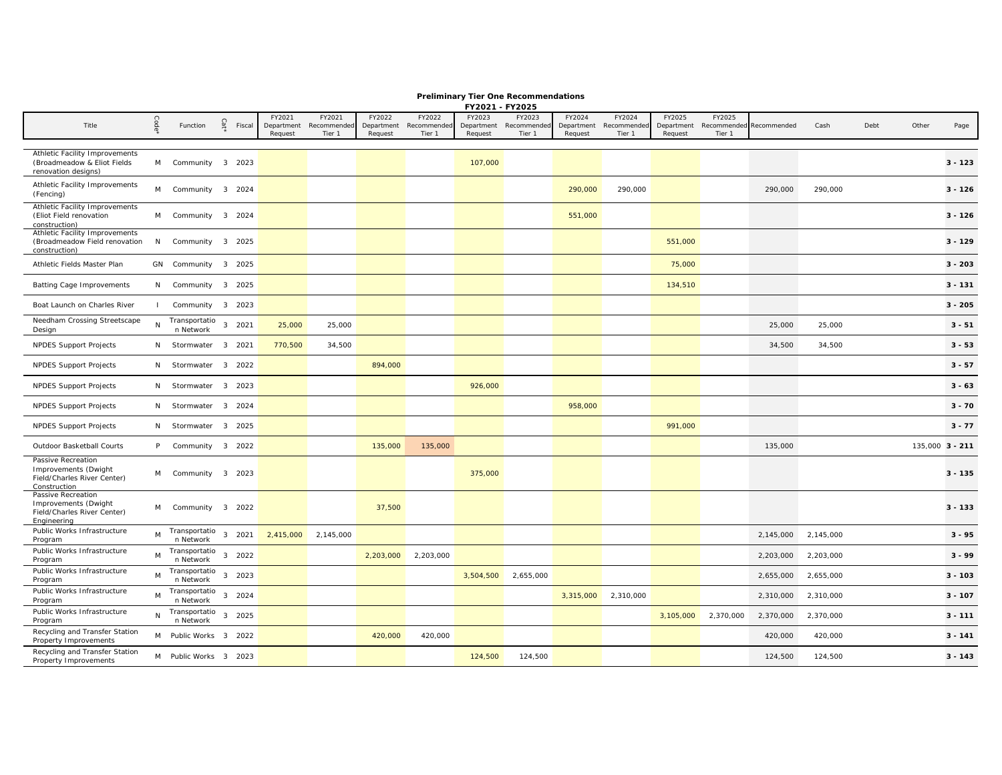| Title                                                                                     |              | Function                                     | Cat' | Fiscal | FY2021<br>Request | FY2021<br>Department Recommended<br>Tier 1 | FY2022<br>Department<br>Request | FY2022<br>Recommended<br>Tier 1 | FY2023<br>Department<br>Request | FY2023<br>Recommended<br>Tier 1 | FY2024<br>Request | FY2024<br>Department Recommended<br>Tier 1 | FY2025<br>Department<br>Request | FY2025<br>Recommended<br>Tier 1 | Recommended | Cash      | Debt | Other | Page            |
|-------------------------------------------------------------------------------------------|--------------|----------------------------------------------|------|--------|-------------------|--------------------------------------------|---------------------------------|---------------------------------|---------------------------------|---------------------------------|-------------------|--------------------------------------------|---------------------------------|---------------------------------|-------------|-----------|------|-------|-----------------|
| Athletic Facility Improvements<br>(Broadmeadow & Eliot Fields)<br>renovation designs)     | M            | Community 3 2023                             |      |        |                   |                                            |                                 |                                 | 107,000                         |                                 |                   |                                            |                                 |                                 |             |           |      |       | $3 - 123$       |
| Athletic Facility Improvements<br>(Fencing)                                               | M            | Community 3 2024                             |      |        |                   |                                            |                                 |                                 |                                 |                                 | 290,000           | 290,000                                    |                                 |                                 | 290,000     | 290,000   |      |       | $3 - 126$       |
| Athletic Facility Improvements<br>(Eliot Field renovation<br>construction)                | M            | Community 3 2024                             |      |        |                   |                                            |                                 |                                 |                                 |                                 | 551,000           |                                            |                                 |                                 |             |           |      |       | $3 - 126$       |
| Athletic Facility Improvements<br>(Broadmeadow Field renovation<br>construction)          | N            | Community 3 2025                             |      |        |                   |                                            |                                 |                                 |                                 |                                 |                   |                                            | 551,000                         |                                 |             |           |      |       | $3 - 129$       |
| Athletic Fields Master Plan                                                               |              | GN Community 3 2025                          |      |        |                   |                                            |                                 |                                 |                                 |                                 |                   |                                            | 75,000                          |                                 |             |           |      |       | $3 - 203$       |
| <b>Batting Cage Improvements</b>                                                          |              | N Community 3 2025                           |      |        |                   |                                            |                                 |                                 |                                 |                                 |                   |                                            | 134,510                         |                                 |             |           |      |       | $3 - 131$       |
| Boat Launch on Charles River                                                              | $\mathbf{I}$ | Community 3 2023                             |      |        |                   |                                            |                                 |                                 |                                 |                                 |                   |                                            |                                 |                                 |             |           |      |       | $3 - 205$       |
| Needham Crossing Streetscape<br>Design                                                    |              | Transportatio 3 2021<br>n Network            |      |        | 25,000            | 25,000                                     |                                 |                                 |                                 |                                 |                   |                                            |                                 |                                 | 25,000      | 25,000    |      |       | $3 - 51$        |
| <b>NPDES Support Projects</b>                                                             |              | N Stormwater 3 2021                          |      |        | 770,500           | 34,500                                     |                                 |                                 |                                 |                                 |                   |                                            |                                 |                                 | 34,500      | 34,500    |      |       | $3 - 53$        |
| NPDES Support Projects                                                                    |              | N Stormwater 3 2022                          |      |        |                   |                                            | 894,000                         |                                 |                                 |                                 |                   |                                            |                                 |                                 |             |           |      |       | $3 - 57$        |
| <b>NPDES Support Projects</b>                                                             |              | N Stormwater 3 2023                          |      |        |                   |                                            |                                 |                                 | 926,000                         |                                 |                   |                                            |                                 |                                 |             |           |      |       | $3 - 63$        |
| <b>NPDES Support Projects</b>                                                             |              | N Stormwater 3 2024                          |      |        |                   |                                            |                                 |                                 |                                 |                                 | 958,000           |                                            |                                 |                                 |             |           |      |       | $3 - 70$        |
| NPDES Support Projects                                                                    |              | N Stormwater 3 2025                          |      |        |                   |                                            |                                 |                                 |                                 |                                 |                   |                                            | 991,000                         |                                 |             |           |      |       | $3 - 77$        |
| Outdoor Basketball Courts                                                                 | P            | Community 3 2022                             |      |        |                   |                                            | 135,000                         | 135,000                         |                                 |                                 |                   |                                            |                                 |                                 | 135,000     |           |      |       | 135,000 3 - 211 |
| Passive Recreation<br>Improvements (Dwight<br>Field/Charles River Center)<br>Construction | M            | Community 3 2023                             |      |        |                   |                                            |                                 |                                 | 375,000                         |                                 |                   |                                            |                                 |                                 |             |           |      |       | $3 - 135$       |
| Passive Recreation<br>Improvements (Dwight<br>Field/Charles River Center)<br>Engineering  | M            | Community 3 2022                             |      |        |                   |                                            | 37,500                          |                                 |                                 |                                 |                   |                                            |                                 |                                 |             |           |      |       | $3 - 133$       |
| Public Works Infrastructure<br>Program                                                    | M            | Transportatio <sub>3</sub> 2021<br>n Network |      |        |                   | 2,415,000 2,145,000                        |                                 |                                 |                                 |                                 |                   |                                            |                                 |                                 | 2,145,000   | 2,145,000 |      |       | $3 - 95$        |
| Public Works Infrastructure<br>Program                                                    | M            | Transportatio 3 2022<br>n Network            |      |        |                   |                                            | 2,203,000                       | 2,203,000                       |                                 |                                 |                   |                                            |                                 |                                 | 2,203,000   | 2,203,000 |      |       | $3 - 99$        |
| Public Works Infrastructure<br>Program                                                    | M            | Transportatio 3 2023<br>n Network            |      |        |                   |                                            |                                 |                                 |                                 | 3,504,500 2,655,000             |                   |                                            |                                 |                                 | 2,655,000   | 2,655,000 |      |       | $3 - 103$       |
| Public Works Infrastructure<br>Program                                                    | M            | Transportatio 3 2024<br>n Network            |      |        |                   |                                            |                                 |                                 |                                 |                                 | 3,315,000         | 2,310,000                                  |                                 |                                 | 2,310,000   | 2,310,000 |      |       | $3 - 107$       |
| Public Works Infrastructure<br>Program                                                    |              | Transportatio <sub>3</sub> 2025<br>n Network |      |        |                   |                                            |                                 |                                 |                                 |                                 |                   |                                            | 3,105,000                       | 2,370,000                       | 2,370,000   | 2,370,000 |      |       | $3 - 111$       |
| Recycling and Transfer Station<br>Property Improvements                                   |              | M Public Works 3 2022                        |      |        |                   |                                            | 420,000                         | 420,000                         |                                 |                                 |                   |                                            |                                 |                                 | 420,000     | 420,000   |      |       | $3 - 141$       |

**Preliminary Tier One Recommendations FY2021 - FY2025**

Property Improvements <sup>M</sup> Public Works <sup>3</sup> <sup>2023</sup> 124,500 124,500 124,500 124,500 **3 - 143** 

Recycling and Transfer Station<br>Property Improvements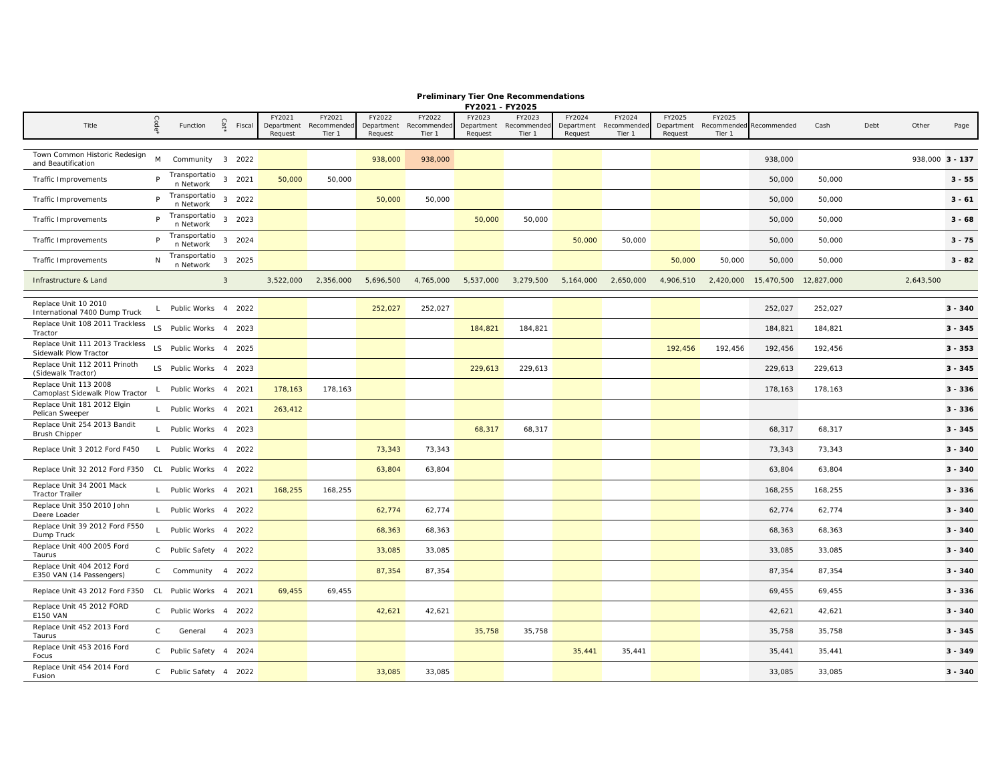|  | <b>Preliminary Tier One Recommendations</b> |
|--|---------------------------------------------|
|  | EVOODS EVOODE                               |

|                                                          |              |                            |                |                                 |                                 |                                 |                                 | FY2021 - FY2025                 |                                 |                                 |                                 |                                 |                  |                         |            |      |                 |           |
|----------------------------------------------------------|--------------|----------------------------|----------------|---------------------------------|---------------------------------|---------------------------------|---------------------------------|---------------------------------|---------------------------------|---------------------------------|---------------------------------|---------------------------------|------------------|-------------------------|------------|------|-----------------|-----------|
| Title                                                    | Code         | Function                   | Cat'<br>Fiscal | FY2021<br>Department<br>Request | FY2021<br>Recommended<br>Tier 1 | FY2022<br>Department<br>Request | FY2022<br>Recommended<br>Tier 1 | FY2023<br>Department<br>Request | FY2023<br>Recommended<br>Tier 1 | FY2024<br>Department<br>Request | FY2024<br>Recommender<br>Tier 1 | FY2025<br>Department<br>Request | FY2025<br>Tier 1 | Recommended Recommended | Cash       | Debt | Other           | Page      |
|                                                          |              |                            |                |                                 |                                 |                                 |                                 |                                 |                                 |                                 |                                 |                                 |                  |                         |            |      |                 |           |
| Town Common Historic Redesign<br>and Beautification      | M            | Community 3 2022           |                |                                 |                                 | 938,000                         | 938,000                         |                                 |                                 |                                 |                                 |                                 |                  | 938,000                 |            |      | 938,000 3 - 137 |           |
| <b>Traffic Improvements</b>                              | P            | Transportatio<br>n Network | 3 2021         | 50,000                          | 50,000                          |                                 |                                 |                                 |                                 |                                 |                                 |                                 |                  | 50,000                  | 50,000     |      |                 | $3 - 55$  |
| Traffic Improvements                                     | P.           | Transportatio<br>n Network | 3 2022         |                                 |                                 | 50,000                          | 50,000                          |                                 |                                 |                                 |                                 |                                 |                  | 50,000                  | 50,000     |      |                 | $3 - 61$  |
| Traffic Improvements                                     | P.           | Transportatio<br>n Network | 3 2023         |                                 |                                 |                                 |                                 | 50,000                          | 50,000                          |                                 |                                 |                                 |                  | 50,000                  | 50,000     |      |                 | $3 - 68$  |
| Traffic Improvements                                     | P            | Transportatio<br>n Network | 3 2024         |                                 |                                 |                                 |                                 |                                 |                                 | 50,000                          | 50,000                          |                                 |                  | 50,000                  | 50,000     |      |                 | $3 - 75$  |
| Traffic Improvements                                     | N            | Transportatio<br>n Network | 3 2025         |                                 |                                 |                                 |                                 |                                 |                                 |                                 |                                 | 50,000                          | 50,000           | 50,000                  | 50,000     |      |                 | $3 - 82$  |
| Infrastructure & Land                                    |              |                            | $\mathbf{3}$   | 3,522,000                       | 2,356,000                       | 5,696,500                       | 4,765,000                       | 5,537,000                       | 3,279,500                       | 5,164,000                       | 2,650,000                       | 4,906,510                       | 2,420,000        | 15,470,500              | 12,827,000 |      | 2,643,500       |           |
|                                                          |              |                            |                |                                 |                                 |                                 |                                 |                                 |                                 |                                 |                                 |                                 |                  |                         |            |      |                 |           |
| Replace Unit 10 2010<br>International 7400 Dump Truck    | L            | Public Works 4 2022        |                |                                 |                                 | 252,027                         | 252,027                         |                                 |                                 |                                 |                                 |                                 |                  | 252,027                 | 252,027    |      |                 | $3 - 340$ |
| Replace Unit 108 2011 Trackless<br>Tractor               |              | LS Public Works 4 2023     |                |                                 |                                 |                                 |                                 | 184,821                         | 184,821                         |                                 |                                 |                                 |                  | 184,821                 | 184,821    |      |                 | $3 - 345$ |
| Replace Unit 111 2013 Trackless<br>Sidewalk Plow Tractor |              | LS Public Works 4 2025     |                |                                 |                                 |                                 |                                 |                                 |                                 |                                 |                                 | 192,456                         | 192,456          | 192,456                 | 192,456    |      |                 | $3 - 353$ |
| Replace Unit 112 2011 Prinoth<br>(Sidewalk Tractor)      |              | LS Public Works 4 2023     |                |                                 |                                 |                                 |                                 | 229,613                         | 229,613                         |                                 |                                 |                                 |                  | 229,613                 | 229,613    |      |                 | $3 - 345$ |
| Replace Unit 113 2008<br>Camoplast Sidewalk Plow Tractor | $\mathbf{I}$ | Public Works 4 2021        |                | 178,163                         | 178,163                         |                                 |                                 |                                 |                                 |                                 |                                 |                                 |                  | 178,163                 | 178,163    |      |                 | $3 - 336$ |
| Replace Unit 181 2012 Elgin<br>Pelican Sweeper           |              | L Public Works 4 2021      |                | 263,412                         |                                 |                                 |                                 |                                 |                                 |                                 |                                 |                                 |                  |                         |            |      |                 | $3 - 336$ |
| Replace Unit 254 2013 Bandit<br><b>Brush Chipper</b>     | $\mathsf{L}$ | Public Works 4 2023        |                |                                 |                                 |                                 |                                 | 68,317                          | 68,317                          |                                 |                                 |                                 |                  | 68,317                  | 68,317     |      |                 | $3 - 345$ |
| Replace Unit 3 2012 Ford F450                            | $\mathsf{L}$ | Public Works 4 2022        |                |                                 |                                 | 73,343                          | 73,343                          |                                 |                                 |                                 |                                 |                                 |                  | 73,343                  | 73,343     |      |                 | $3 - 340$ |
| Replace Unit 32 2012 Ford F350 CL Public Works 4 2022    |              |                            |                |                                 |                                 | 63,804                          | 63,804                          |                                 |                                 |                                 |                                 |                                 |                  | 63,804                  | 63,804     |      |                 | $3 - 340$ |
| Replace Unit 34 2001 Mack<br><b>Tractor Trailer</b>      | $\mathbf{L}$ | Public Works 4 2021        |                | 168,255                         | 168,255                         |                                 |                                 |                                 |                                 |                                 |                                 |                                 |                  | 168,255                 | 168,255    |      |                 | $3 - 336$ |
| Replace Unit 350 2010 John<br>Deere Loader               |              | L Public Works 4 2022      |                |                                 |                                 | 62,774                          | 62,774                          |                                 |                                 |                                 |                                 |                                 |                  | 62,774                  | 62,774     |      |                 | $3 - 340$ |
| Replace Unit 39 2012 Ford F550<br>Dump Truck             | $\mathbf{L}$ | Public Works 4 2022        |                |                                 |                                 | 68,363                          | 68,363                          |                                 |                                 |                                 |                                 |                                 |                  | 68,363                  | 68,363     |      |                 | $3 - 340$ |
| Replace Unit 400 2005 Ford<br>Taurus                     |              | C Public Safety 4 2022     |                |                                 |                                 | 33,085                          | 33,085                          |                                 |                                 |                                 |                                 |                                 |                  | 33,085                  | 33,085     |      |                 | $3 - 340$ |
| Replace Unit 404 2012 Ford<br>E350 VAN (14 Passengers)   |              | C Community 4 2022         |                |                                 |                                 | 87,354                          | 87,354                          |                                 |                                 |                                 |                                 |                                 |                  | 87,354                  | 87,354     |      |                 | $3 - 340$ |
| Replace Unit 43 2012 Ford F350 CL Public Works 4 2021    |              |                            |                | 69,455                          | 69,455                          |                                 |                                 |                                 |                                 |                                 |                                 |                                 |                  | 69,455                  | 69,455     |      |                 | $3 - 336$ |
| Replace Unit 45 2012 FORD<br><b>E150 VAN</b>             |              | C Public Works 4 2022      |                |                                 |                                 | 42,621                          | 42,621                          |                                 |                                 |                                 |                                 |                                 |                  | 42,621                  | 42,621     |      |                 | $3 - 340$ |
| Replace Unit 452 2013 Ford<br>Taurus                     | $\mathsf{C}$ | General                    | 4 2023         |                                 |                                 |                                 |                                 | 35,758                          | 35,758                          |                                 |                                 |                                 |                  | 35,758                  | 35,758     |      |                 | $3 - 345$ |
| Replace Unit 453 2016 Ford<br>Focus                      |              | C Public Safety 4 2024     |                |                                 |                                 |                                 |                                 |                                 |                                 | 35,441                          | 35,441                          |                                 |                  | 35,441                  | 35,441     |      |                 | $3 - 349$ |
| Replace Unit 454 2014 Ford<br>Fusion                     |              | C Public Safety 4 2022     |                |                                 |                                 | 33,085                          | 33,085                          |                                 |                                 |                                 |                                 |                                 |                  | 33,085                  | 33,085     |      |                 | $3 - 340$ |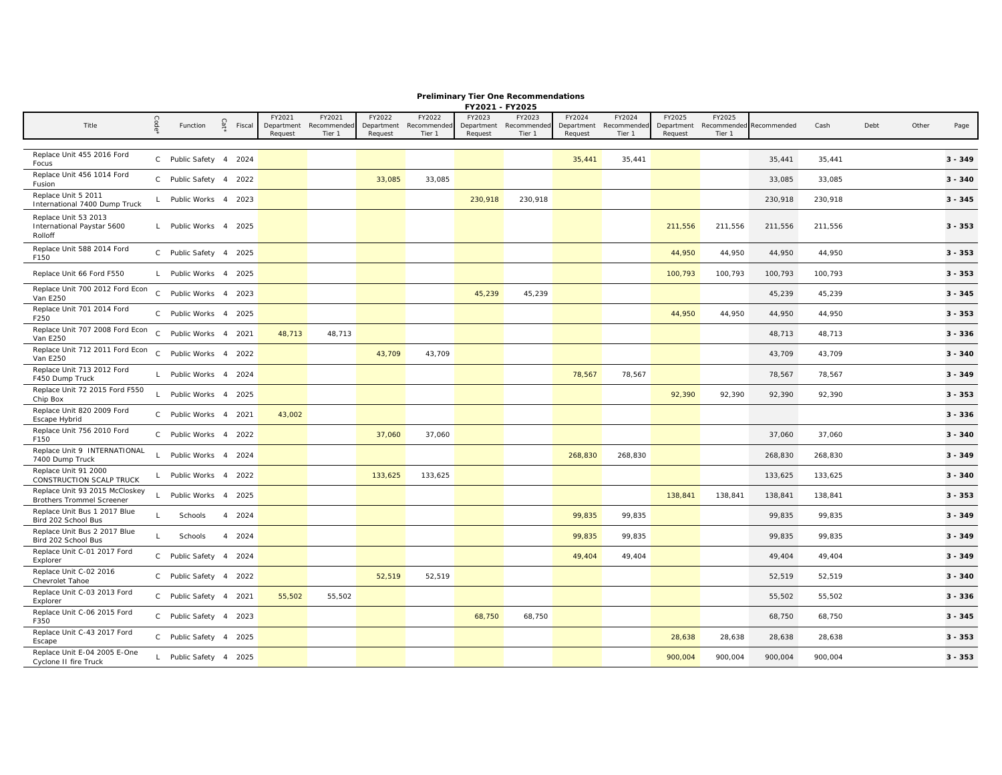|                                                                    |              |                        |      |        |                       |                       |                       |                       | FY2021 - FY2025       |                      |                       |                       |                       |                       |             |         |      |       |           |
|--------------------------------------------------------------------|--------------|------------------------|------|--------|-----------------------|-----------------------|-----------------------|-----------------------|-----------------------|----------------------|-----------------------|-----------------------|-----------------------|-----------------------|-------------|---------|------|-------|-----------|
| Title                                                              | Code         |                        | Cat' |        | FY2021                | FY2021                | FY2022                | FY2022                | FY2023                | FY2023               | FY2024                | FY2024                | FY2025                | FY2025                |             |         |      | Other |           |
|                                                                    |              | Function               |      | Fiscal | Department<br>Request | Recommended<br>Tier 1 | Department<br>Request | Recommended<br>Tier 1 | Department<br>Request | Recommende<br>Tier 1 | Department<br>Request | Recommended<br>Tier 1 | Department<br>Request | Recommended<br>Tier 1 | Recommended | Cash    | Debt |       | Page      |
|                                                                    |              |                        |      |        |                       |                       |                       |                       |                       |                      |                       |                       |                       |                       |             |         |      |       |           |
| Replace Unit 455 2016 Ford<br>Focus                                |              | C Public Safety 4 2024 |      |        |                       |                       |                       |                       |                       |                      | 35,441                | 35,441                |                       |                       | 35,441      | 35,441  |      |       | $3 - 349$ |
| Replace Unit 456 1014 Ford<br>Fusion                               |              | C Public Safety 4 2022 |      |        |                       |                       | 33,085                | 33,085                |                       |                      |                       |                       |                       |                       | 33,085      | 33,085  |      |       | $3 - 340$ |
| Replace Unit 5 2011<br>International 7400 Dump Truck               | $\mathsf{L}$ | Public Works 4 2023    |      |        |                       |                       |                       |                       | 230,918               | 230,918              |                       |                       |                       |                       | 230,918     | 230,918 |      |       | $3 - 345$ |
| Replace Unit 53 2013<br>International Paystar 5600<br>Rolloff      |              | L Public Works 4 2025  |      |        |                       |                       |                       |                       |                       |                      |                       |                       | 211,556               | 211,556               | 211,556     | 211,556 |      |       | $3 - 353$ |
| Replace Unit 588 2014 Ford<br>F150                                 |              | C Public Safety 4 2025 |      |        |                       |                       |                       |                       |                       |                      |                       |                       | 44,950                | 44,950                | 44,950      | 44,950  |      |       | $3 - 353$ |
| Replace Unit 66 Ford F550                                          |              | L Public Works 4 2025  |      |        |                       |                       |                       |                       |                       |                      |                       |                       | 100,793               | 100,793               | 100,793     | 100,793 |      |       | $3 - 353$ |
| Replace Unit 700 2012 Ford Econ<br>Van E250                        |              | C Public Works 4 2023  |      |        |                       |                       |                       |                       | 45,239                | 45,239               |                       |                       |                       |                       | 45,239      | 45,239  |      |       | $3 - 345$ |
| Replace Unit 701 2014 Ford<br>F250                                 | $\mathsf{C}$ | Public Works 4 2025    |      |        |                       |                       |                       |                       |                       |                      |                       |                       | 44,950                | 44,950                | 44,950      | 44,950  |      |       | $3 - 353$ |
| Replace Unit 707 2008 Ford Econ<br>Van E250                        | $\mathsf{C}$ | Public Works 4 2021    |      |        | 48,713                | 48,713                |                       |                       |                       |                      |                       |                       |                       |                       | 48,713      | 48,713  |      |       | $3 - 336$ |
| Replace Unit 712 2011 Ford Econ<br>Van E250                        |              | C Public Works 4 2022  |      |        |                       |                       | 43,709                | 43,709                |                       |                      |                       |                       |                       |                       | 43,709      | 43,709  |      |       | $3 - 340$ |
| Replace Unit 713 2012 Ford<br>F450 Dump Truck                      | $\mathsf{L}$ | Public Works 4 2024    |      |        |                       |                       |                       |                       |                       |                      | 78,567                | 78,567                |                       |                       | 78,567      | 78,567  |      |       | $3 - 349$ |
| Replace Unit 72 2015 Ford F550<br>Chip Box                         | $\mathbf{L}$ | Public Works 4 2025    |      |        |                       |                       |                       |                       |                       |                      |                       |                       | 92,390                | 92,390                | 92,390      | 92,390  |      |       | $3 - 353$ |
| Replace Unit 820 2009 Ford<br>Escape Hybrid                        |              | C Public Works 4 2021  |      |        | 43,002                |                       |                       |                       |                       |                      |                       |                       |                       |                       |             |         |      |       | $3 - 336$ |
| Replace Unit 756 2010 Ford<br>F150                                 |              | C Public Works 4 2022  |      |        |                       |                       | 37,060                | 37,060                |                       |                      |                       |                       |                       |                       | 37,060      | 37,060  |      |       | $3 - 340$ |
| Replace Unit 9 INTERNATIONAL<br>7400 Dump Truck                    | $\mathbf{I}$ | Public Works 4 2024    |      |        |                       |                       |                       |                       |                       |                      | 268,830               | 268,830               |                       |                       | 268,830     | 268,830 |      |       | $3 - 349$ |
| Replace Unit 91 2000<br>CONSTRUCTION SCALP TRUCK                   | L.           | Public Works 4 2022    |      |        |                       |                       | 133,625               | 133,625               |                       |                      |                       |                       |                       |                       | 133,625     | 133,625 |      |       | $3 - 340$ |
| Replace Unit 93 2015 McCloskey<br><b>Brothers Trommel Screener</b> | $\mathsf{L}$ | Public Works 4 2025    |      |        |                       |                       |                       |                       |                       |                      |                       |                       | 138,841               | 138,841               | 138,841     | 138,841 |      |       | $3 - 353$ |
| Replace Unit Bus 1 2017 Blue<br>Bird 202 School Bus                | L            | Schools                |      | 4 2024 |                       |                       |                       |                       |                       |                      | 99,835                | 99,835                |                       |                       | 99,835      | 99,835  |      |       | $3 - 349$ |
| Replace Unit Bus 2 2017 Blue<br>Bird 202 School Bus                | $\mathbf{I}$ | Schools                |      | 4 2024 |                       |                       |                       |                       |                       |                      | 99,835                | 99,835                |                       |                       | 99,835      | 99,835  |      |       | $3 - 349$ |
| Replace Unit C-01 2017 Ford<br>Explorer                            |              | C Public Safety 4 2024 |      |        |                       |                       |                       |                       |                       |                      | 49,404                | 49,404                |                       |                       | 49,404      | 49,404  |      |       | $3 - 349$ |
| Replace Unit C-02 2016<br>Chevrolet Tahoe                          |              | C Public Safety 4 2022 |      |        |                       |                       | 52,519                | 52,519                |                       |                      |                       |                       |                       |                       | 52,519      | 52,519  |      |       | $3 - 340$ |
| Replace Unit C-03 2013 Ford<br>Explorer                            |              | C Public Safety 4 2021 |      |        | 55,502                | 55,502                |                       |                       |                       |                      |                       |                       |                       |                       | 55,502      | 55,502  |      |       | $3 - 336$ |
| Replace Unit C-06 2015 Ford<br>F350                                |              | C Public Safety 4 2023 |      |        |                       |                       |                       |                       | 68,750                | 68,750               |                       |                       |                       |                       | 68,750      | 68,750  |      |       | $3 - 345$ |
| Replace Unit C-43 2017 Ford<br>Escape                              |              | C Public Safety 4 2025 |      |        |                       |                       |                       |                       |                       |                      |                       |                       | 28,638                | 28,638                | 28,638      | 28,638  |      |       | $3 - 353$ |
| Replace Unit E-04 2005 E-One<br>Cyclone II fire Truck              |              | L Public Safety 4 2025 |      |        |                       |                       |                       |                       |                       |                      |                       |                       | 900,004               | 900,004               | 900,004     | 900,004 |      |       | $3 - 353$ |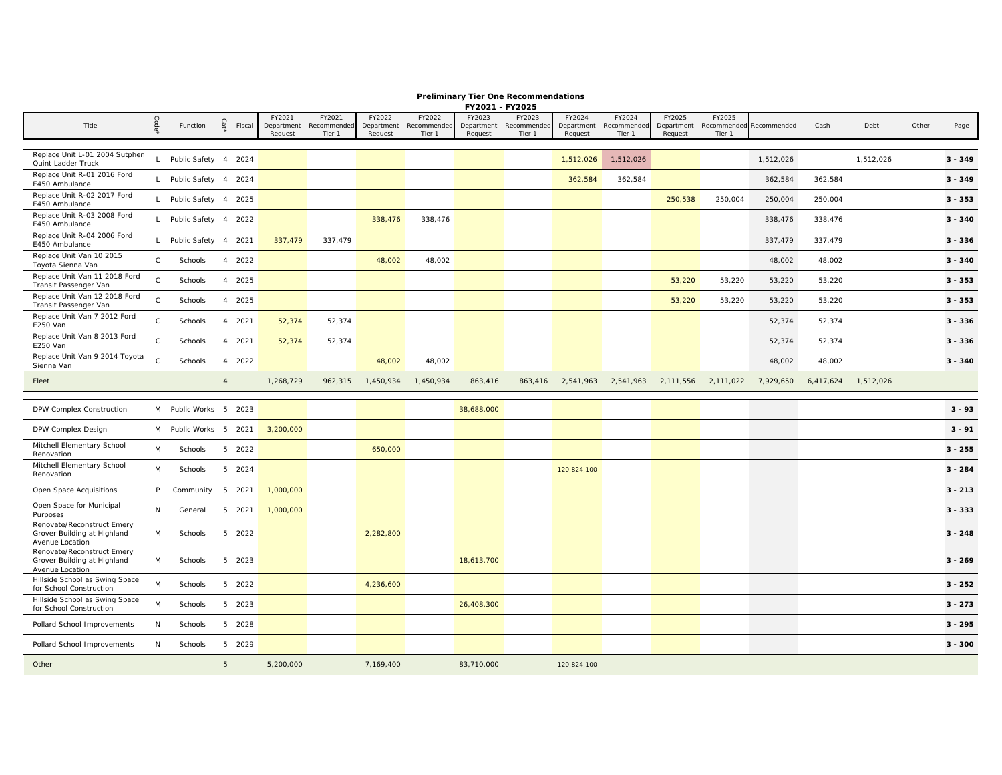**Preliminary Tier One Recommendations**

|                                                                              |              |                        |                |        |                      |                       |                      |                       | FY2021 - FY2025      |                       |                      |                       |                      |                       |             |           |           |       |           |
|------------------------------------------------------------------------------|--------------|------------------------|----------------|--------|----------------------|-----------------------|----------------------|-----------------------|----------------------|-----------------------|----------------------|-----------------------|----------------------|-----------------------|-------------|-----------|-----------|-------|-----------|
| Title                                                                        |              | Function               | Cat            | Fiscal | FY2021<br>Department | FY2021<br>Recommended | FY2022<br>Department | FY2022<br>Recommender | FY2023<br>Department | FY2023<br>Recommender | FY2024<br>Department | FY2024<br>Recommended | FY2025<br>Department | FY2025<br>Recommended | Recommended | Cash      | Debt      | Other | Page      |
|                                                                              |              |                        |                |        | Request              | Tier 1                | Request              | Tier 1                | Request              | Tier 1                | Request              | Tier 1                | Request              | Tier 1                |             |           |           |       |           |
| Replace Unit L-01 2004 Sutphen<br>Quint Ladder Truck                         |              | L Public Safety 4 2024 |                |        |                      |                       |                      |                       |                      |                       | 1,512,026            | 1,512,026             |                      |                       | 1,512,026   |           | 1,512,026 |       | $3 - 349$ |
| Replace Unit R-01 2016 Ford<br>E450 Ambulance                                |              | L Public Safety 4 2024 |                |        |                      |                       |                      |                       |                      |                       | 362,584              | 362,584               |                      |                       | 362,584     | 362,584   |           |       | $3 - 349$ |
| Replace Unit R-02 2017 Ford<br>E450 Ambulance                                |              | L Public Safety 4 2025 |                |        |                      |                       |                      |                       |                      |                       |                      |                       | 250,538              | 250,004               | 250,004     | 250,004   |           |       | $3 - 353$ |
| Replace Unit R-03 2008 Ford<br>E450 Ambulance                                |              | L Public Safety 4 2022 |                |        |                      |                       | 338,476              | 338,476               |                      |                       |                      |                       |                      |                       | 338,476     | 338,476   |           |       | $3 - 340$ |
| Replace Unit R-04 2006 Ford<br>E450 Ambulance                                |              | L Public Safety 4 2021 |                |        | 337,479              | 337,479               |                      |                       |                      |                       |                      |                       |                      |                       | 337,479     | 337,479   |           |       | $3 - 336$ |
| Replace Unit Van 10 2015<br>Toyota Sienna Van                                | $\mathsf{C}$ | Schools                |                | 4 2022 |                      |                       | 48,002               | 48,002                |                      |                       |                      |                       |                      |                       | 48,002      | 48,002    |           |       | $3 - 340$ |
| Replace Unit Van 11 2018 Ford<br>Transit Passenger Van                       | $\Gamma$     | Schools                |                | 4 2025 |                      |                       |                      |                       |                      |                       |                      |                       | 53,220               | 53,220                | 53,220      | 53,220    |           |       | $3 - 353$ |
| Replace Unit Van 12 2018 Ford<br>Transit Passenger Van                       | $\mathsf C$  | Schools                |                | 4 2025 |                      |                       |                      |                       |                      |                       |                      |                       | 53,220               | 53,220                | 53,220      | 53,220    |           |       | $3 - 353$ |
| Replace Unit Van 7 2012 Ford<br><b>E250 Van</b>                              | $\mathsf{C}$ | Schools                |                | 4 2021 | 52,374               | 52,374                |                      |                       |                      |                       |                      |                       |                      |                       | 52,374      | 52,374    |           |       | $3 - 336$ |
| Replace Unit Van 8 2013 Ford<br><b>E250 Van</b>                              | $\mathsf{C}$ | Schools                |                | 4 2021 | 52,374               | 52,374                |                      |                       |                      |                       |                      |                       |                      |                       | 52,374      | 52,374    |           |       | $3 - 336$ |
| Replace Unit Van 9 2014 Toyota<br>Sienna Van                                 | $\mathsf{C}$ | Schools                |                | 4 2022 |                      |                       | 48,002               | 48,002                |                      |                       |                      |                       |                      |                       | 48,002      | 48,002    |           |       | $3 - 340$ |
| Fleet                                                                        |              |                        | $\overline{4}$ |        | 1,268,729            | 962,315               | 1,450,934            | 1,450,934             | 863,416              | 863,416               | 2,541,963            | 2,541,963             | 2,111,556            | 2,111,022             | 7,929,650   | 6,417,624 | 1,512,026 |       |           |
| DPW Complex Construction                                                     |              | M Public Works 5 2023  |                |        |                      |                       |                      |                       | 38,688,000           |                       |                      |                       |                      |                       |             |           |           |       | $3 - 93$  |
| DPW Complex Design                                                           |              | M Public Works 5 2021  |                |        | 3,200,000            |                       |                      |                       |                      |                       |                      |                       |                      |                       |             |           |           |       | $3 - 91$  |
| Mitchell Elementary School<br>Renovation                                     | M            | Schools                |                | 5 2022 |                      |                       | 650,000              |                       |                      |                       |                      |                       |                      |                       |             |           |           |       | $3 - 255$ |
| Mitchell Elementary School<br>Renovation                                     | M            | Schools                |                | 5 2024 |                      |                       |                      |                       |                      |                       | 120,824,100          |                       |                      |                       |             |           |           |       | $3 - 284$ |
| Open Space Acquisitions                                                      | P            | Community              |                | 5 2021 | 1,000,000            |                       |                      |                       |                      |                       |                      |                       |                      |                       |             |           |           |       | $3 - 213$ |
| Open Space for Municipal<br>Purposes                                         | N            | General                |                | 5 2021 | 1,000,000            |                       |                      |                       |                      |                       |                      |                       |                      |                       |             |           |           |       | $3 - 333$ |
| Renovate/Reconstruct Emery<br>Grover Building at Highland<br>Avenue Location | M            | Schools                |                | 5 2022 |                      |                       | 2,282,800            |                       |                      |                       |                      |                       |                      |                       |             |           |           |       | $3 - 248$ |
| Renovate/Reconstruct Emery<br>Grover Building at Highland<br>Avenue Location | M            | Schools                |                | 5 2023 |                      |                       |                      |                       | 18,613,700           |                       |                      |                       |                      |                       |             |           |           |       | $3 - 269$ |
| Hillside School as Swing Space<br>for School Construction                    | M            | Schools                |                | 5 2022 |                      |                       | 4,236,600            |                       |                      |                       |                      |                       |                      |                       |             |           |           |       | $3 - 252$ |
| Hillside School as Swing Space<br>for School Construction                    | M            | Schools                |                | 5 2023 |                      |                       |                      |                       | 26,408,300           |                       |                      |                       |                      |                       |             |           |           |       | $3 - 273$ |
| Pollard School Improvements                                                  | N            | Schools                |                | 5 2028 |                      |                       |                      |                       |                      |                       |                      |                       |                      |                       |             |           |           |       | $3 - 295$ |
| Pollard School Improvements                                                  | N            | Schools                |                | 5 2029 |                      |                       |                      |                       |                      |                       |                      |                       |                      |                       |             |           |           |       | $3 - 300$ |
| Other                                                                        |              |                        | 5              |        | 5,200,000            |                       | 7,169,400            |                       | 83,710,000           |                       | 120,824,100          |                       |                      |                       |             |           |           |       |           |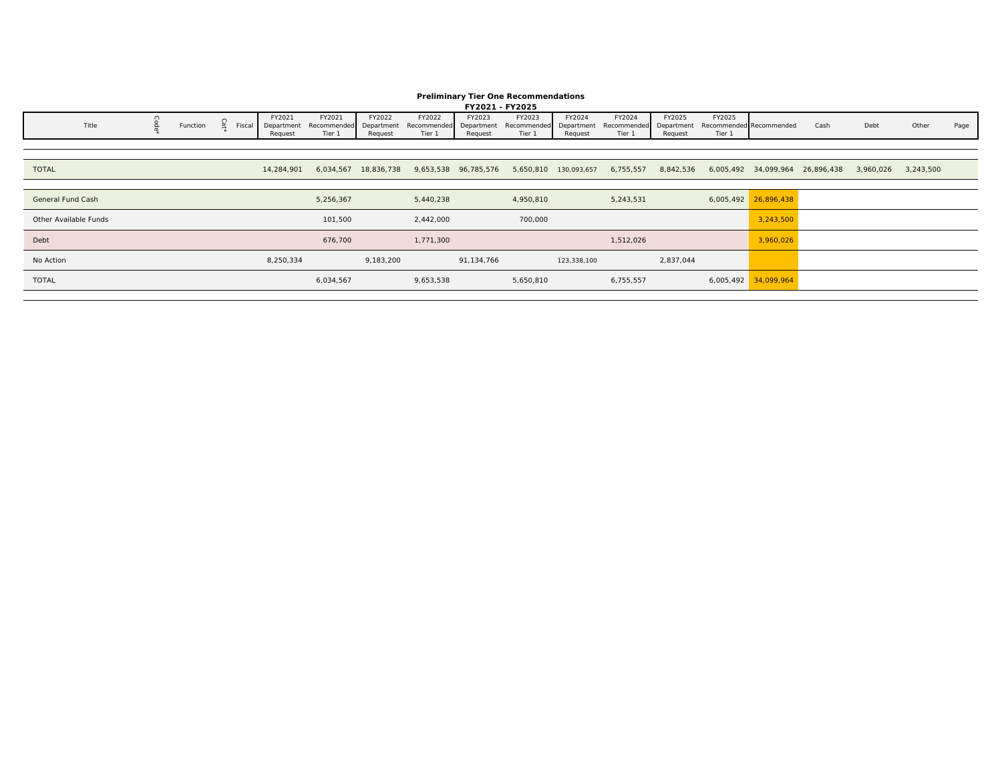### **Preliminary Tier One Recommendations**

|                       |          |        |                      |                                  |           |                       | FY2021 - FY2025      |                                                                 |                      |                                                          |           |        |                      |      |                                                                         |       |      |
|-----------------------|----------|--------|----------------------|----------------------------------|-----------|-----------------------|----------------------|-----------------------------------------------------------------|----------------------|----------------------------------------------------------|-----------|--------|----------------------|------|-------------------------------------------------------------------------|-------|------|
| Title                 | Function | Fiscal | FY2021<br>Department | FY2021<br>Recommended Department | FY2022    | FY2022<br>Recommended | FY2023<br>Department | FY2023<br>Recommended                                           | FY2024<br>Department | FY2024<br>Recommended Department Recommended Recommended | FY2025    | FY2025 |                      | Cash | Debt                                                                    | Other | Page |
|                       |          |        | Request              | Tier 1                           | Request   | Tier 1                | Request              | Tier 1                                                          | Request              | Tier 1                                                   | Request   | Tier 1 |                      |      |                                                                         |       |      |
|                       |          |        |                      |                                  |           |                       |                      |                                                                 |                      |                                                          |           |        |                      |      |                                                                         |       |      |
|                       |          |        |                      |                                  |           |                       |                      |                                                                 |                      |                                                          |           |        |                      |      |                                                                         |       |      |
| <b>TOTAL</b>          |          |        | 14,284,901           |                                  |           |                       |                      | 6,034,567 18,836,738 9,653,538 96,785,576 5,650,810 130,093,657 |                      |                                                          |           |        |                      |      | 6,755,557 8,842,536 6,005,492 34,099,964 26,896,438 3,960,026 3,243,500 |       |      |
|                       |          |        |                      |                                  |           |                       |                      |                                                                 |                      |                                                          |           |        |                      |      |                                                                         |       |      |
| General Fund Cash     |          |        |                      | 5,256,367                        |           | 5,440,238             |                      | 4,950,810                                                       |                      | 5,243,531                                                |           |        | 6,005,492 26,896,438 |      |                                                                         |       |      |
| Other Available Funds |          |        |                      | 101,500                          |           | 2,442,000             |                      | 700,000                                                         |                      |                                                          |           |        | 3,243,500            |      |                                                                         |       |      |
| Debt                  |          |        |                      | 676,700                          |           | 1,771,300             |                      |                                                                 |                      | 1,512,026                                                |           |        | 3,960,026            |      |                                                                         |       |      |
| No Action             |          |        | 8,250,334            |                                  | 9,183,200 |                       | 91,134,766           |                                                                 | 123,338,100          |                                                          | 2,837,044 |        |                      |      |                                                                         |       |      |
| <b>TOTAL</b>          |          |        |                      | 6,034,567                        |           | 9,653,538             |                      | 5,650,810                                                       |                      | 6,755,557                                                |           |        | 6,005,492 34,099,964 |      |                                                                         |       |      |
|                       |          |        |                      |                                  |           |                       |                      |                                                                 |                      |                                                          |           |        |                      |      |                                                                         |       |      |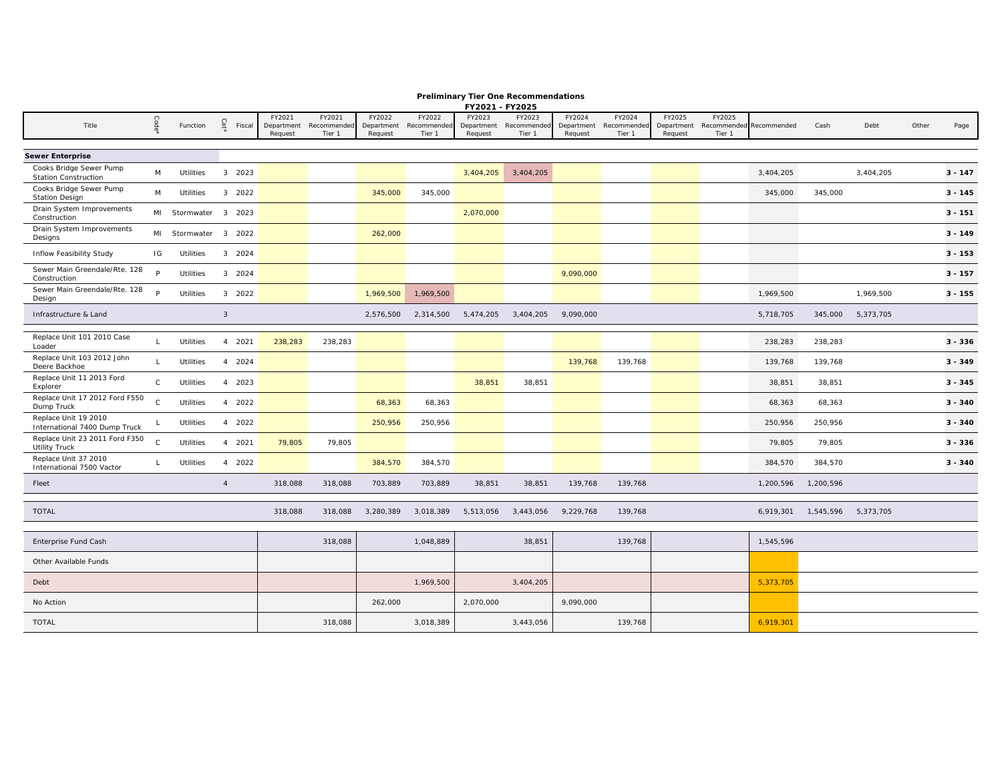|               | <b>Preliminary Tier One Recommendations</b> |
|---------------|---------------------------------------------|
| EVOODS EVOODE |                                             |

|                                                        |              |                      |                |        |                      |                       |                      |                       | FY2021 - FY2025      |                       |                      |                       |                      |        |                         |           |           |       |           |
|--------------------------------------------------------|--------------|----------------------|----------------|--------|----------------------|-----------------------|----------------------|-----------------------|----------------------|-----------------------|----------------------|-----------------------|----------------------|--------|-------------------------|-----------|-----------|-------|-----------|
| Title                                                  | Code         | Function             | Cat            | Fiscal | FY2021<br>Department | FY2021<br>Recommended | FY2022<br>Department | FY2022<br>Recommended | FY2023<br>Department | FY2023<br>Recommended | FY2024<br>Department | FY2024<br>Recommender | FY2025<br>Department | FY2025 | Recommended Recommended | Cash      | Debt      | Other | Page      |
|                                                        |              |                      |                |        | Request              | Tier 1                | Request              | Tier 1                | Request              | Tier 1                | Request              | Tier 1                | Request              | Tier 1 |                         |           |           |       |           |
| <b>Sewer Enterprise</b>                                |              |                      |                |        |                      |                       |                      |                       |                      |                       |                      |                       |                      |        |                         |           |           |       |           |
| Cooks Bridge Sewer Pump<br><b>Station Construction</b> | M            | <b>Utilities</b>     |                | 3 2023 |                      |                       |                      |                       | 3,404,205            | 3,404,205             |                      |                       |                      |        | 3,404,205               |           | 3,404,205 |       | $3 - 147$ |
| Cooks Bridge Sewer Pump<br><b>Station Design</b>       | M            | Utilities            |                | 3 2022 |                      |                       | 345,000              | 345,000               |                      |                       |                      |                       |                      |        | 345,000                 | 345,000   |           |       | $3 - 145$ |
| Drain System Improvements<br>Construction              |              | MI Stormwater 3 2023 |                |        |                      |                       |                      |                       | 2,070,000            |                       |                      |                       |                      |        |                         |           |           |       | $3 - 151$ |
| Drain System Improvements<br>Designs                   |              | MI Stormwater 3 2022 |                |        |                      |                       | 262,000              |                       |                      |                       |                      |                       |                      |        |                         |           |           |       | $3 - 149$ |
| Inflow Feasibility Study                               | IG           | <b>Utilities</b>     |                | 3 2024 |                      |                       |                      |                       |                      |                       |                      |                       |                      |        |                         |           |           |       | $3 - 153$ |
| Sewer Main Greendale/Rte. 128<br>Construction          | P            | Utilities            |                | 3 2024 |                      |                       |                      |                       |                      |                       | 9,090,000            |                       |                      |        |                         |           |           |       | $3 - 157$ |
| Sewer Main Greendale/Rte. 128<br>Design                | P.           | Utilities            |                | 3 2022 |                      |                       | 1,969,500            | 1,969,500             |                      |                       |                      |                       |                      |        | 1,969,500               |           | 1,969,500 |       | $3 - 155$ |
| Infrastructure & Land                                  |              |                      | $\mathbf{3}$   |        |                      |                       | 2,576,500            | 2,314,500             | 5,474,205            | 3,404,205             | 9,090,000            |                       |                      |        | 5,718,705               | 345,000   | 5,373,705 |       |           |
| Replace Unit 101 2010 Case<br>Loader                   | $\mathsf{L}$ | <b>Utilities</b>     |                | 4 2021 | 238,283              | 238,283               |                      |                       |                      |                       |                      |                       |                      |        | 238,283                 | 238,283   |           |       | $3 - 336$ |
| Replace Unit 103 2012 John<br>Deere Backhoe            | $\mathsf{L}$ | Utilities            |                | 4 2024 |                      |                       |                      |                       |                      |                       | 139,768              | 139,768               |                      |        | 139,768                 | 139,768   |           |       | $3 - 349$ |
| Replace Unit 11 2013 Ford<br>Explorer                  | $\mathsf{C}$ | <b>Utilities</b>     |                | 4 2023 |                      |                       |                      |                       | 38,851               | 38,851                |                      |                       |                      |        | 38,851                  | 38,851    |           |       | $3 - 345$ |
| Replace Unit 17 2012 Ford F550<br>Dump Truck           | $\mathsf{C}$ | Utilities            |                | 4 2022 |                      |                       | 68,363               | 68,363                |                      |                       |                      |                       |                      |        | 68,363                  | 68,363    |           |       | $3 - 340$ |
| Replace Unit 19 2010<br>International 7400 Dump Truck  |              | Utilities            |                | 4 2022 |                      |                       | 250,956              | 250,956               |                      |                       |                      |                       |                      |        | 250,956                 | 250,956   |           |       | $3 - 340$ |
| Replace Unit 23 2011 Ford F350<br><b>Utility Truck</b> | $\mathsf{C}$ | Utilities            |                | 4 2021 | 79,805               | 79,805                |                      |                       |                      |                       |                      |                       |                      |        | 79,805                  | 79,805    |           |       | $3 - 336$ |
| Replace Unit 37 2010<br>International 7500 Vactor      | $\mathsf{L}$ | Utilities            |                | 4 2022 |                      |                       | 384,570              | 384,570               |                      |                       |                      |                       |                      |        | 384,570                 | 384,570   |           |       | $3 - 340$ |
| Fleet                                                  |              |                      | $\overline{4}$ |        | 318,088              | 318,088               | 703,889              | 703,889               | 38,851               | 38,851                | 139,768              | 139,768               |                      |        | 1,200,596               | 1,200,596 |           |       |           |
| <b>TOTAL</b>                                           |              |                      |                |        | 318,088              | 318,088               | 3,280,389            | 3,018,389             | 5,513,056            | 3,443,056             | 9,229,768            | 139,768               |                      |        | 6,919,301               | 1,545,596 | 5,373,705 |       |           |
| Enterprise Fund Cash                                   |              |                      |                |        |                      | 318,088               |                      | 1,048,889             |                      | 38,851                |                      | 139,768               |                      |        | 1,545,596               |           |           |       |           |
| Other Available Funds                                  |              |                      |                |        |                      |                       |                      |                       |                      |                       |                      |                       |                      |        |                         |           |           |       |           |
| Debt                                                   |              |                      |                |        |                      |                       |                      | 1,969,500             |                      | 3,404,205             |                      |                       |                      |        | 5,373,705               |           |           |       |           |
| No Action                                              |              |                      |                |        |                      |                       | 262,000              |                       | 2,070,000            |                       | 9,090,000            |                       |                      |        |                         |           |           |       |           |
| <b>TOTAL</b>                                           |              |                      |                |        |                      | 318,088               |                      | 3,018,389             |                      | 3,443,056             |                      | 139,768               |                      |        | 6,919,301               |           |           |       |           |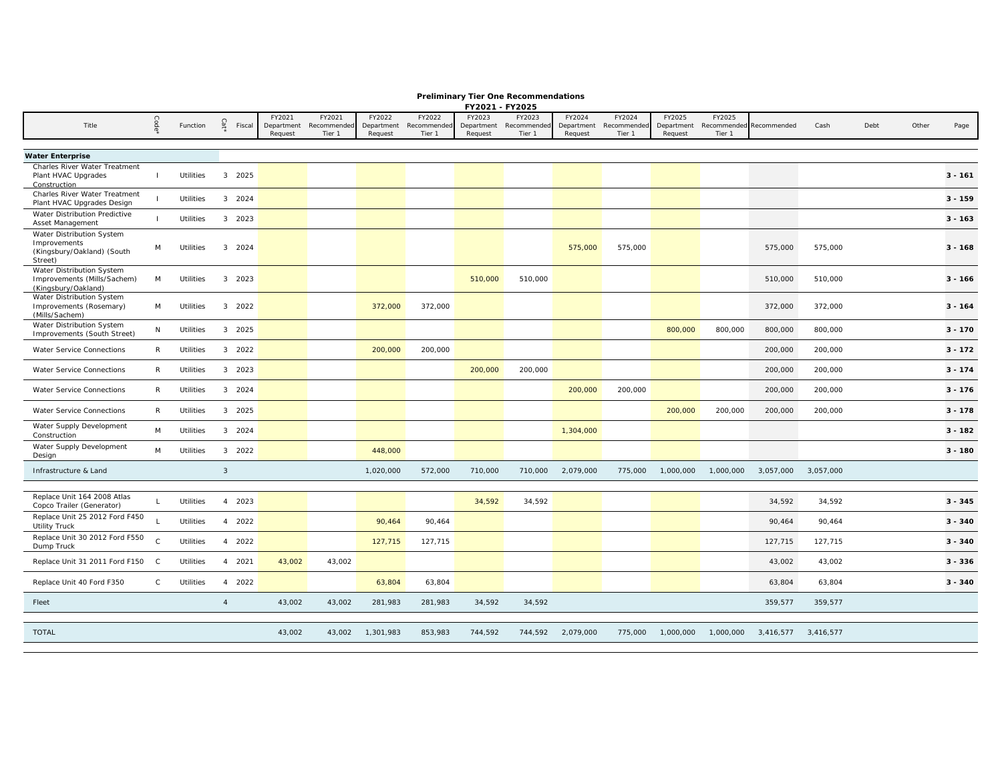|  |  | <b>Preliminary Tier One Recommendations</b> |
|--|--|---------------------------------------------|
|  |  |                                             |

|                                                          |              |           |                |                       |                       |                       |                      | FY2021 - FY2025       |                       |                       |                       |                       |           |                         |           |      |       |           |
|----------------------------------------------------------|--------------|-----------|----------------|-----------------------|-----------------------|-----------------------|----------------------|-----------------------|-----------------------|-----------------------|-----------------------|-----------------------|-----------|-------------------------|-----------|------|-------|-----------|
|                                                          |              |           |                | FY2021                | FY2021                | FY2022                | FY2022               | FY2023                | FY2023                | FY2024                | FY2024                | FY2025                | FY2025    |                         |           |      |       |           |
| Title                                                    |              | Function  | Cat<br>Fiscal  | Department<br>Request | Recommended<br>Tier 1 | Department<br>Request | Recommende<br>Tier 1 | Department<br>Request | Recommended<br>Tier 1 | Department<br>Request | Recommender<br>Tier 1 | Department<br>Request | Tier 1    | Recommended Recommended | Cash      | Debt | Other | Page      |
|                                                          |              |           |                |                       |                       |                       |                      |                       |                       |                       |                       |                       |           |                         |           |      |       |           |
| <b>Water Enterprise</b>                                  |              |           |                |                       |                       |                       |                      |                       |                       |                       |                       |                       |           |                         |           |      |       |           |
| Charles River Water Treatment                            |              |           |                |                       |                       |                       |                      |                       |                       |                       |                       |                       |           |                         |           |      |       |           |
| Plant HVAC Upgrades<br>Construction                      | $\mathbf{I}$ | Utilities | 3 2025         |                       |                       |                       |                      |                       |                       |                       |                       |                       |           |                         |           |      |       | $3 - 161$ |
| Charles River Water Treatment                            |              |           | 3 2024         |                       |                       |                       |                      |                       |                       |                       |                       |                       |           |                         |           |      |       | $3 - 159$ |
| Plant HVAC Upgrades Design                               |              | Utilities |                |                       |                       |                       |                      |                       |                       |                       |                       |                       |           |                         |           |      |       |           |
| Water Distribution Predictive<br>Asset Management        |              | Utilities | 3 2023         |                       |                       |                       |                      |                       |                       |                       |                       |                       |           |                         |           |      |       | $3 - 163$ |
| Water Distribution System                                |              |           |                |                       |                       |                       |                      |                       |                       |                       |                       |                       |           |                         |           |      |       |           |
| Improvements<br>(Kingsbury/Oakland) (South               | M            | Utilities | 3 2024         |                       |                       |                       |                      |                       |                       | 575,000               | 575,000               |                       |           | 575,000                 | 575,000   |      |       | $3 - 168$ |
| Street)                                                  |              |           |                |                       |                       |                       |                      |                       |                       |                       |                       |                       |           |                         |           |      |       |           |
| Water Distribution System                                |              |           |                |                       |                       |                       |                      |                       |                       |                       |                       |                       |           |                         |           |      |       |           |
| Improvements (Mills/Sachem)<br>(Kingsbury/Oakland)       | M            | Utilities | 3 2023         |                       |                       |                       |                      | 510,000               | 510,000               |                       |                       |                       |           | 510,000                 | 510,000   |      |       | $3 - 166$ |
| Water Distribution System                                |              |           |                |                       |                       |                       |                      |                       |                       |                       |                       |                       |           |                         |           |      |       |           |
| Improvements (Rosemary)<br>(Mills/Sachem)                | M            | Utilities | 3 2022         |                       |                       | 372,000               | 372,000              |                       |                       |                       |                       |                       |           | 372,000                 | 372,000   |      |       | $3 - 164$ |
| Water Distribution System<br>Improvements (South Street) | N            | Utilities | 3 2025         |                       |                       |                       |                      |                       |                       |                       |                       | 800,000               | 800,000   | 800,000                 | 800,000   |      |       | $3 - 170$ |
| Water Service Connections                                | $\mathsf{R}$ | Utilities | 3 2022         |                       |                       | 200,000               | 200,000              |                       |                       |                       |                       |                       |           | 200,000                 | 200,000   |      |       | $3 - 172$ |
| Water Service Connections                                | $\mathsf{R}$ | Utilities | 3 2023         |                       |                       |                       |                      | 200,000               | 200,000               |                       |                       |                       |           | 200,000                 | 200,000   |      |       | $3 - 174$ |
| Water Service Connections                                | $\mathsf{R}$ | Utilities | 3 2024         |                       |                       |                       |                      |                       |                       | 200,000               | 200,000               |                       |           | 200,000                 | 200,000   |      |       | $3 - 176$ |
| Water Service Connections                                | $\mathsf{R}$ | Utilities | 3 2025         |                       |                       |                       |                      |                       |                       |                       |                       | 200,000               | 200,000   | 200,000                 | 200,000   |      |       | $3 - 178$ |
| Water Supply Development                                 | M            | Utilities | 3 2024         |                       |                       |                       |                      |                       |                       | 1,304,000             |                       |                       |           |                         |           |      |       | $3 - 182$ |
| Construction                                             |              |           |                |                       |                       |                       |                      |                       |                       |                       |                       |                       |           |                         |           |      |       |           |
| Water Supply Development<br>Design                       | M            | Utilities | 3 2022         |                       |                       | 448,000               |                      |                       |                       |                       |                       |                       |           |                         |           |      |       | $3 - 180$ |
| Infrastructure & Land                                    |              |           | $\mathbf{3}$   |                       |                       | 1,020,000             | 572,000              | 710,000               | 710,000               | 2,079,000             | 775,000               | 1,000,000             | 1,000,000 | 3,057,000               | 3,057,000 |      |       |           |
|                                                          |              |           |                |                       |                       |                       |                      |                       |                       |                       |                       |                       |           |                         |           |      |       |           |
| Replace Unit 164 2008 Atlas<br>Copco Trailer (Generator) |              | Utilities | 4 2023         |                       |                       |                       |                      | 34,592                | 34,592                |                       |                       |                       |           | 34,592                  | 34,592    |      |       | $3 - 345$ |
| Replace Unit 25 2012 Ford F450<br><b>Utility Truck</b>   |              | Utilities | 4 2022         |                       |                       | 90,464                | 90,464               |                       |                       |                       |                       |                       |           | 90,464                  | 90,464    |      |       | $3 - 340$ |
| Replace Unit 30 2012 Ford F550<br>Dump Truck             | $\mathsf C$  | Utilities | 4 2022         |                       |                       | 127,715               | 127,715              |                       |                       |                       |                       |                       |           | 127,715                 | 127,715   |      |       | $3 - 340$ |
| Replace Unit 31 2011 Ford F150                           | $\mathbf{C}$ | Utilities | 4 2021         | 43,002                | 43,002                |                       |                      |                       |                       |                       |                       |                       |           | 43,002                  | 43,002    |      |       | $3 - 336$ |
| Replace Unit 40 Ford F350                                | $\mathsf{C}$ | Utilities | 4 2022         |                       |                       | 63,804                | 63,804               |                       |                       |                       |                       |                       |           | 63,804                  | 63,804    |      |       | $3 - 340$ |
| Fleet                                                    |              |           | $\overline{4}$ | 43,002                | 43,002                | 281,983               | 281,983              | 34,592                | 34,592                |                       |                       |                       |           | 359,577                 | 359,577   |      |       |           |
|                                                          |              |           |                |                       |                       |                       |                      |                       |                       |                       |                       |                       |           |                         |           |      |       |           |
| <b>TOTAL</b>                                             |              |           |                | 43,002                | 43,002                | 1,301,983             | 853,983              | 744,592               |                       | 744,592 2,079,000     | 775,000               | 1,000,000             | 1,000,000 | 3,416,577 3,416,577     |           |      |       |           |
|                                                          |              |           |                |                       |                       |                       |                      |                       |                       |                       |                       |                       |           |                         |           |      |       |           |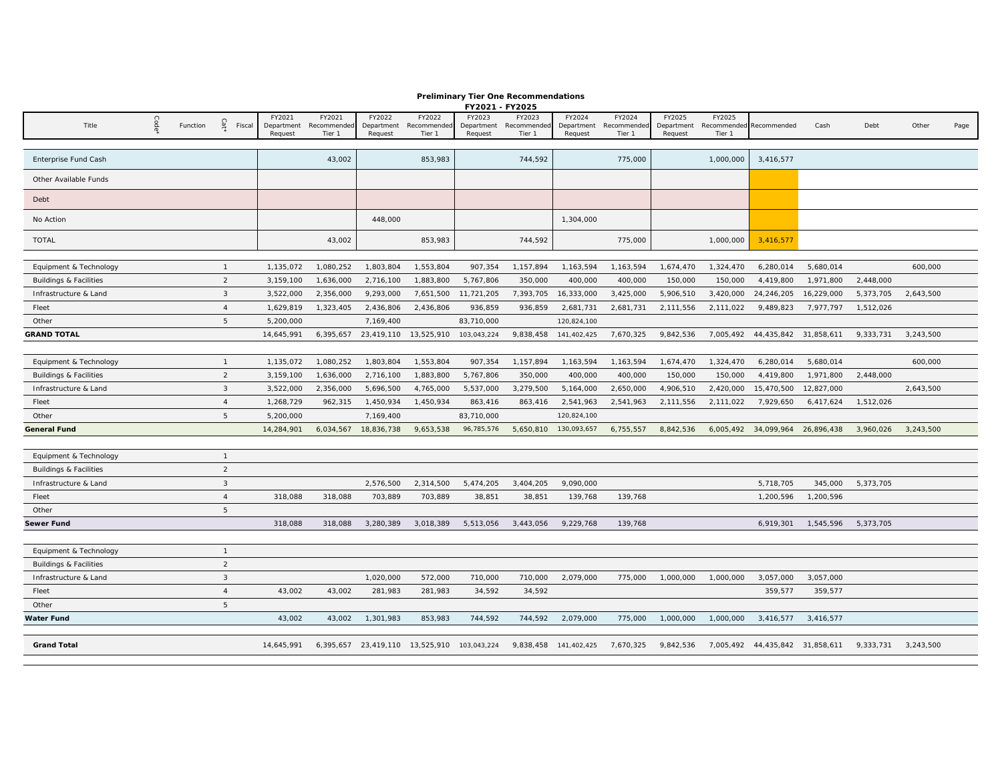|                                   |      |          |                 |                                 |                                 |                                 |                                             | FY2021 - FY2025                 |                                 |                                 |                                 |                                 |                                             |                                 |            |                     |           |      |
|-----------------------------------|------|----------|-----------------|---------------------------------|---------------------------------|---------------------------------|---------------------------------------------|---------------------------------|---------------------------------|---------------------------------|---------------------------------|---------------------------------|---------------------------------------------|---------------------------------|------------|---------------------|-----------|------|
| Title                             | Code | Function | Cat'<br>Fiscal  | FY2021<br>Department<br>Request | FY2021<br>Recommended<br>Tier 1 | FY2022<br>Department<br>Request | FY2022<br>Recommended<br>Tier 1             | FY2023<br>Department<br>Request | FY2023<br>Recommended<br>Tier 1 | FY2024<br>Department<br>Request | FY2024<br>Recommended<br>Tier 1 | FY2025<br>Department<br>Request | FY2025<br>Recommended Recommended<br>Tier 1 |                                 | Cash       | Debt                | Other     | Page |
|                                   |      |          |                 |                                 |                                 |                                 |                                             |                                 |                                 |                                 |                                 |                                 |                                             |                                 |            |                     |           |      |
| Enterprise Fund Cash              |      |          |                 |                                 | 43,002                          |                                 | 853,983                                     |                                 | 744,592                         |                                 | 775,000                         |                                 | 1,000,000                                   | 3,416,577                       |            |                     |           |      |
| Other Available Funds             |      |          |                 |                                 |                                 |                                 |                                             |                                 |                                 |                                 |                                 |                                 |                                             |                                 |            |                     |           |      |
| Debt                              |      |          |                 |                                 |                                 |                                 |                                             |                                 |                                 |                                 |                                 |                                 |                                             |                                 |            |                     |           |      |
| No Action                         |      |          |                 |                                 |                                 | 448,000                         |                                             |                                 |                                 | 1,304,000                       |                                 |                                 |                                             |                                 |            |                     |           |      |
| <b>TOTAL</b>                      |      |          |                 |                                 | 43,002                          |                                 | 853,983                                     |                                 | 744,592                         |                                 | 775,000                         |                                 | 1,000,000                                   | 3,416,577                       |            |                     |           |      |
|                                   |      |          |                 |                                 |                                 |                                 |                                             |                                 |                                 |                                 |                                 |                                 |                                             |                                 |            |                     |           |      |
| Equipment & Technology            |      |          | $\overline{1}$  | 1,135,072                       | 1,080,252                       | 1,803,804                       | 1,553,804                                   | 907,354                         | 1,157,894                       | 1,163,594                       | 1,163,594                       | 1,674,470                       | 1,324,470                                   | 6,280,014                       | 5,680,014  |                     | 600,000   |      |
| <b>Buildings &amp; Facilities</b> |      |          | $\overline{2}$  | 3,159,100                       | 1,636,000                       | 2,716,100                       | 1,883,800                                   | 5,767,806                       | 350,000                         | 400,000                         | 400,000                         | 150,000                         | 150,000                                     | 4,419,800                       | 1,971,800  | 2,448,000           |           |      |
| Infrastructure & Land             |      |          | $\mathbf{3}$    | 3,522,000                       | 2,356,000                       | 9,293,000                       | 7,651,500                                   | 11,721,205                      | 7,393,705                       | 16,333,000                      | 3,425,000                       | 5,906,510                       | 3,420,000                                   | 24,246,205                      | 16,229,000 | 5,373,705           | 2,643,500 |      |
| Fleet                             |      |          | $\overline{4}$  | 1,629,819                       | 1,323,405                       | 2,436,806                       | 2,436,806                                   | 936,859                         | 936,859                         | 2,681,731                       | 2,681,731                       | 2,111,556                       | 2,111,022                                   | 9,489,823                       | 7,977,797  | 1,512,026           |           |      |
| Other                             |      |          | 5               | 5,200,000                       |                                 | 7,169,400                       |                                             | 83,710,000                      |                                 | 120,824,100                     |                                 |                                 |                                             |                                 |            |                     |           |      |
| <b>GRAND TOTAL</b>                |      |          |                 | 14,645,991                      |                                 |                                 | 6,395,657 23,419,110 13,525,910             | 103,043,224                     | 9,838,458                       | 141,402,425                     | 7,670,325                       | 9,842,536                       |                                             | 7,005,492 44,435,842 31,858,611 |            | 9,333,731           | 3,243,500 |      |
|                                   |      |          |                 |                                 |                                 |                                 |                                             |                                 |                                 |                                 |                                 |                                 |                                             |                                 |            |                     |           |      |
| Equipment & Technology            |      |          | $\overline{1}$  | 1,135,072                       | 1,080,252                       | 1,803,804                       | 1,553,804                                   | 907,354                         | 1,157,894                       | 1,163,594                       | 1,163,594                       | 1,674,470                       | 1,324,470                                   | 6,280,014                       | 5,680,014  |                     | 600,000   |      |
| <b>Buildings &amp; Facilities</b> |      |          | $\overline{2}$  | 3,159,100                       | 1,636,000                       | 2,716,100                       | 1,883,800                                   | 5,767,806                       | 350,000                         | 400,000                         | 400,000                         | 150,000                         | 150,000                                     | 4,419,800                       | 1,971,800  | 2,448,000           |           |      |
| Infrastructure & Land             |      |          | $\mathbf{3}$    | 3,522,000                       | 2,356,000                       | 5,696,500                       | 4,765,000                                   | 5,537,000                       | 3,279,500                       | 5,164,000                       | 2,650,000                       | 4,906,510                       | 2,420,000                                   | 15,470,500                      | 12,827,000 |                     | 2,643,500 |      |
| Fleet                             |      |          | $\overline{4}$  | 1,268,729                       | 962,315                         | 1,450,934                       | 1,450,934                                   | 863,416                         | 863,416                         | 2,541,963                       | 2,541,963                       | 2,111,556                       | 2,111,022                                   | 7,929,650                       | 6,417,624  | 1,512,026           |           |      |
| Other                             |      |          | $\overline{5}$  | 5,200,000                       |                                 | 7,169,400                       |                                             | 83,710,000                      |                                 | 120,824,100                     |                                 |                                 |                                             |                                 |            |                     |           |      |
| General Fund                      |      |          |                 | 14,284,901                      | 6,034,567                       | 18,836,738                      | 9,653,538                                   | 96,785,576                      | 5,650,810                       | 130,093,657                     | 6,755,557                       | 8,842,536                       |                                             | 6,005,492 34,099,964 26,896,438 |            | 3,960,026           | 3,243,500 |      |
|                                   |      |          |                 |                                 |                                 |                                 |                                             |                                 |                                 |                                 |                                 |                                 |                                             |                                 |            |                     |           |      |
| Equipment & Technology            |      |          | $\overline{1}$  |                                 |                                 |                                 |                                             |                                 |                                 |                                 |                                 |                                 |                                             |                                 |            |                     |           |      |
| <b>Buildings &amp; Facilities</b> |      |          | $\overline{2}$  |                                 |                                 |                                 |                                             |                                 |                                 |                                 |                                 |                                 |                                             |                                 |            |                     |           |      |
| Infrastructure & Land             |      |          | $\mathbf{3}$    |                                 |                                 | 2,576,500                       | 2,314,500                                   | 5,474,205                       | 3,404,205                       | 9,090,000                       |                                 |                                 |                                             | 5,718,705                       | 345,000    | 5,373,705           |           |      |
| Fleet                             |      |          | $\overline{4}$  | 318,088                         | 318,088                         | 703,889                         | 703,889                                     | 38,851                          | 38,851                          | 139,768                         | 139,768                         |                                 |                                             | 1,200,596                       | 1,200,596  |                     |           |      |
| Other                             |      |          | 5               |                                 |                                 |                                 |                                             |                                 |                                 |                                 |                                 |                                 |                                             |                                 |            |                     |           |      |
| Sewer Fund                        |      |          |                 | 318,088                         | 318,088                         | 3,280,389                       | 3,018,389                                   | 5,513,056                       | 3,443,056                       | 9,229,768                       | 139,768                         |                                 |                                             | 6,919,301                       | 1,545,596  | 5,373,705           |           |      |
|                                   |      |          |                 |                                 |                                 |                                 |                                             |                                 |                                 |                                 |                                 |                                 |                                             |                                 |            |                     |           |      |
| Equipment & Technology            |      |          | $\overline{1}$  |                                 |                                 |                                 |                                             |                                 |                                 |                                 |                                 |                                 |                                             |                                 |            |                     |           |      |
| <b>Buildings &amp; Facilities</b> |      |          | $\overline{2}$  |                                 |                                 |                                 |                                             |                                 |                                 |                                 |                                 |                                 |                                             |                                 |            |                     |           |      |
| Infrastructure & Land             |      |          | $\mathbf{3}$    |                                 |                                 | 1,020,000                       | 572,000                                     | 710,000                         | 710,000                         | 2,079,000                       | 775,000                         | 1,000,000                       | 1,000,000                                   | 3,057,000                       | 3,057,000  |                     |           |      |
| Fleet                             |      |          | $\overline{4}$  | 43,002                          | 43,002                          | 281,983                         | 281,983                                     | 34,592                          | 34,592                          |                                 |                                 |                                 |                                             | 359,577                         | 359,577    |                     |           |      |
| Other                             |      |          | $5\phantom{.0}$ |                                 |                                 |                                 |                                             |                                 |                                 |                                 |                                 |                                 |                                             |                                 |            |                     |           |      |
| Water Fund                        |      |          |                 | 43,002                          | 43,002                          | 1,301,983                       | 853,983                                     | 744,592                         | 744,592                         | 2,079,000                       | 775,000                         | 1,000,000                       | 1,000,000                                   | 3,416,577                       | 3,416,577  |                     |           |      |
|                                   |      |          |                 |                                 |                                 |                                 |                                             |                                 |                                 |                                 |                                 |                                 |                                             |                                 |            |                     |           |      |
| <b>Grand Total</b>                |      |          |                 | 14,645,991                      |                                 |                                 | 6,395,657 23,419,110 13,525,910 103,043,224 |                                 |                                 | 9,838,458 141,402,425           | 7,670,325                       | 9,842,536                       |                                             | 7,005,492 44,435,842 31,858,611 |            | 9,333,731 3,243,500 |           |      |
|                                   |      |          |                 |                                 |                                 |                                 |                                             |                                 |                                 |                                 |                                 |                                 |                                             |                                 |            |                     |           |      |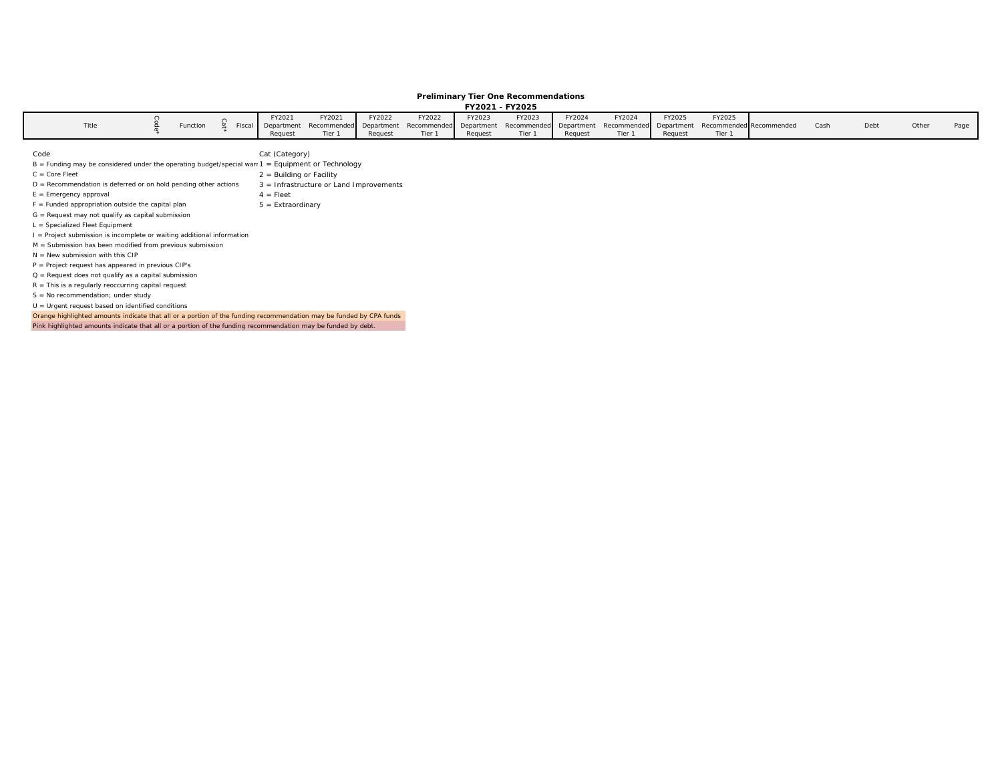#### **Preliminary Tier One Recommendations FY2021 - FY2025**

|       |  |          |  |        |                                                                                                                                       |        |        |         | 112021 - 112025 |         |        |         |        |      |      |       |      |
|-------|--|----------|--|--------|---------------------------------------------------------------------------------------------------------------------------------------|--------|--------|---------|-----------------|---------|--------|---------|--------|------|------|-------|------|
|       |  |          |  | FY2021 | FY2021                                                                                                                                | FY2022 | FY2022 | FY2023  | FY2023          | FY2024  | FY2024 | FY2025  | FY2025 |      |      |       |      |
| Title |  | Function |  |        | Fiscal Department Recommended Department Recommended Department Recommended Department Recommended Department Recommended Recommended |        |        |         |                 |         |        |         |        | Cash | Debt | Other | Page |
|       |  |          |  |        |                                                                                                                                       |        | Tier 1 | Request |                 | Request | Tier 1 | Request |        |      |      |       |      |

| Code                                                                                                               | Cat (Category)                          |
|--------------------------------------------------------------------------------------------------------------------|-----------------------------------------|
| $B =$ Funding may be considered under the operating budget/special warn $1 =$ Equipment or Technology              |                                         |
| $C = Core Fleet$                                                                                                   | $2 =$ Building or Facility              |
| $D =$ Recommendation is deferred or on hold pending other actions                                                  | 3 = Infrastructure or Land Improvements |
| $E =$ Emergency approval                                                                                           | $4 =$ Fleet                             |
| $F =$ Funded appropriation outside the capital plan                                                                | $5 =$ Extraordinary                     |
| $G =$ Request may not qualify as capital submission                                                                |                                         |
| $L =$ Specialized Fleet Equipment                                                                                  |                                         |
| I = Project submission is incomplete or waiting additional information                                             |                                         |
| M = Submission has been modified from previous submission                                                          |                                         |
| $N =$ New submission with this CIP                                                                                 |                                         |
| $P = Project request has appeared in previous CIP's$                                                               |                                         |
| $Q =$ Request does not qualify as a capital submission                                                             |                                         |
| $R =$ This is a regularly reoccurring capital request                                                              |                                         |
| $S = No$ recommendation; under study                                                                               |                                         |
| $U = U$ rgent request based on identified conditions                                                               |                                         |
| Orange highlighted amounts indicate that all or a portion of the funding recommendation may be funded by CPA funds |                                         |
| Pink highlighted amounts indicate that all or a portion of the funding recommendation may be funded by debt.       |                                         |

Section 2 - 20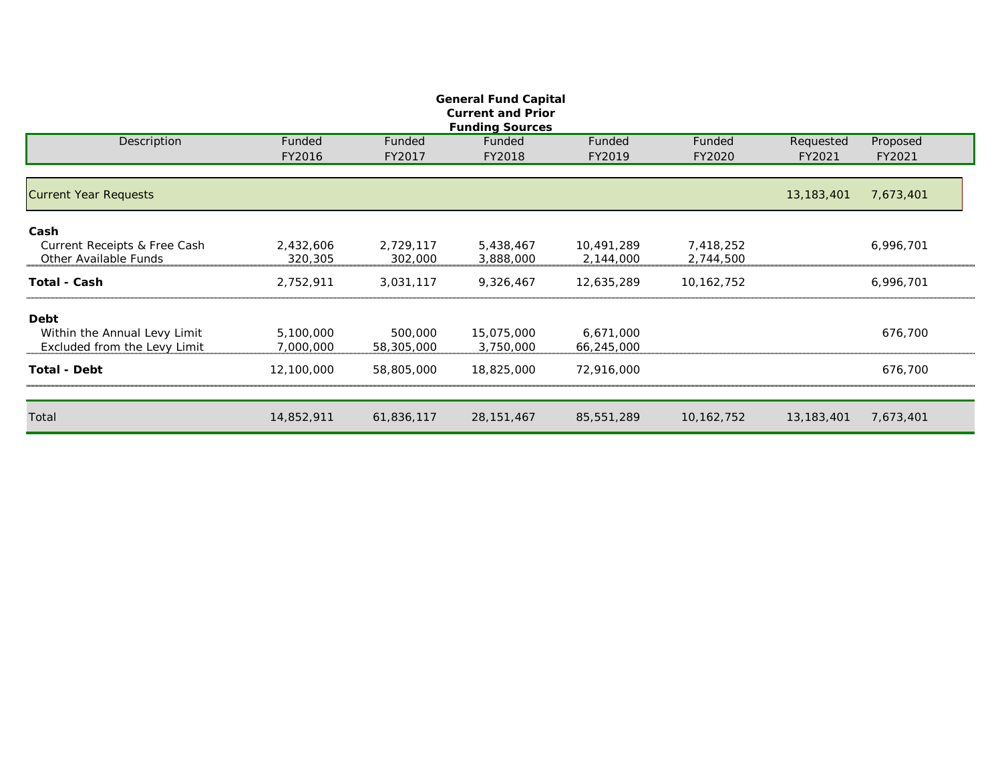| <b>General Fund Capital</b><br><b>Current and Prior</b> |            |            |              |            |              |              |           |  |  |  |  |  |  |  |
|---------------------------------------------------------|------------|------------|--------------|------------|--------------|--------------|-----------|--|--|--|--|--|--|--|
| <b>Funding Sources</b>                                  |            |            |              |            |              |              |           |  |  |  |  |  |  |  |
| Description                                             | Funded     | Funded     | Funded       | Funded     | Funded       | Requested    | Proposed  |  |  |  |  |  |  |  |
|                                                         | FY2016     | FY2017     | FY2018       | FY2019     | FY2020       | FY2021       | FY2021    |  |  |  |  |  |  |  |
| <b>Current Year Requests</b>                            |            |            |              |            |              | 13, 183, 401 | 7,673,401 |  |  |  |  |  |  |  |
| Cash                                                    |            |            |              |            |              |              |           |  |  |  |  |  |  |  |
| Current Receipts & Free Cash                            | 2,432,606  | 2,729,117  | 5,438,467    | 10,491,289 | 7,418,252    |              | 6,996,701 |  |  |  |  |  |  |  |
| Other Available Funds                                   | 320,305    | 302,000    | 3,888,000    | 2,144,000  | 2,744,500    |              |           |  |  |  |  |  |  |  |
| <b>Total - Cash</b>                                     | 2,752,911  | 3,031,117  | 9,326,467    | 12,635,289 | 10, 162, 752 |              | 6,996,701 |  |  |  |  |  |  |  |
| Debt                                                    |            |            |              |            |              |              |           |  |  |  |  |  |  |  |
| Within the Annual Levy Limit                            | 5,100,000  | 500,000    | 15,075,000   | 6,671,000  |              |              | 676,700   |  |  |  |  |  |  |  |
| Excluded from the Levy Limit                            | 7,000,000  | 58,305,000 | 3,750,000    | 66,245,000 |              |              |           |  |  |  |  |  |  |  |
| <b>Total - Debt</b>                                     | 12,100,000 | 58,805,000 | 18,825,000   | 72,916,000 |              |              | 676,700   |  |  |  |  |  |  |  |
| Total                                                   | 14,852,911 | 61,836,117 | 28, 151, 467 | 85,551,289 | 10, 162, 752 | 13, 183, 401 | 7,673,401 |  |  |  |  |  |  |  |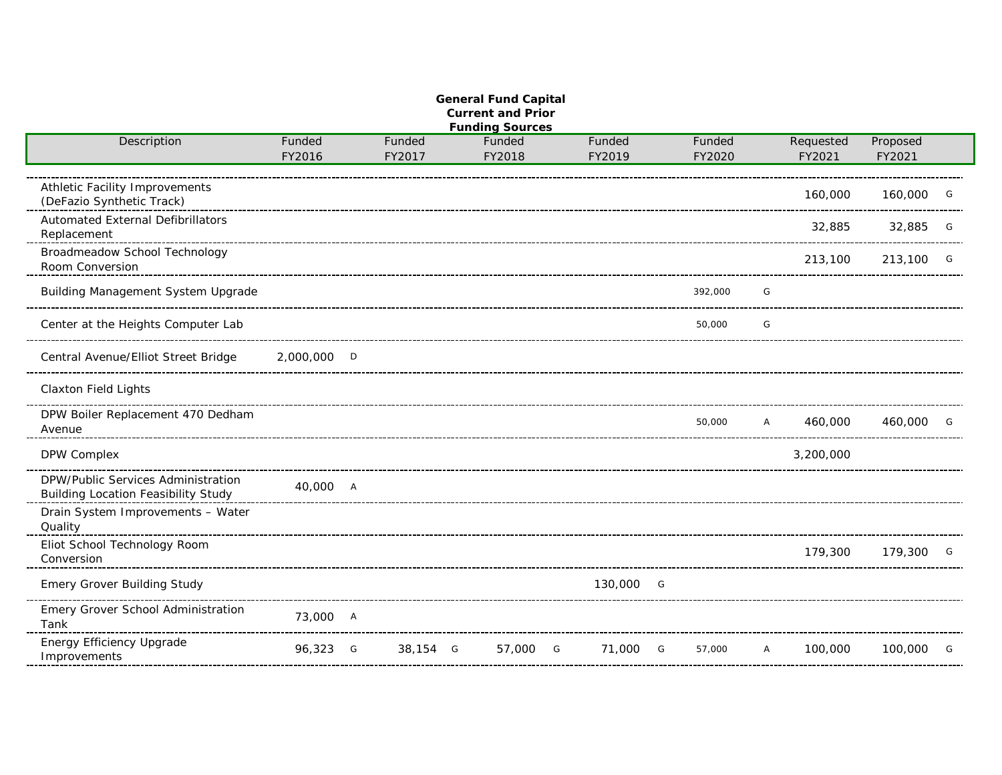| <b>Funding Sources</b><br>Description<br>Funded<br>Requested<br>Proposed<br>Funded<br>Funded<br>Funded<br>Funded<br>FY2016<br>FY2017<br>FY2018<br>FY2019<br>FY2020<br>FY2021<br>FY2021<br>Athletic Facility Improvements<br>160,000<br>160,000<br>G<br>(DeFazio Synthetic Track)<br><b>Automated External Defibrillators</b><br>32,885<br>32,885<br>G<br>Replacement<br>Broadmeadow School Technology<br>213,100<br>213,100<br>G<br>Room Conversion<br>Building Management System Upgrade<br>392,000<br>G<br>Center at the Heights Computer Lab<br>50,000<br>G<br>Central Avenue/Elliot Street Bridge<br>2,000,000 D<br><b>Claxton Field Lights</b><br>DPW Boiler Replacement 470 Dedham<br>50,000<br>460,000<br>460,000<br>$\overline{A}$<br>G<br>Avenue<br>3,200,000<br>DPW Complex<br>DPW/Public Services Administration<br>40,000 A<br><b>Building Location Feasibility Study</b><br>Drain System Improvements - Water<br>Quality<br>Eliot School Technology Room<br>179,300<br>179,300<br>$\overline{G}$<br>Conversion<br><b>Emery Grover Building Study</b><br>130,000 G<br>Emery Grover School Administration<br>73,000 A<br>Tank<br>Energy Efficiency Upgrade<br>96,323 G<br>38,154 G<br>57,000 G<br>71,000 G<br>100,000<br>57,000<br>100,000<br>$\mathsf{A}$<br>G | <b>General Fund Capital</b><br><b>Current and Prior</b> |  |  |  |  |  |  |  |  |  |  |  |  |  |
|----------------------------------------------------------------------------------------------------------------------------------------------------------------------------------------------------------------------------------------------------------------------------------------------------------------------------------------------------------------------------------------------------------------------------------------------------------------------------------------------------------------------------------------------------------------------------------------------------------------------------------------------------------------------------------------------------------------------------------------------------------------------------------------------------------------------------------------------------------------------------------------------------------------------------------------------------------------------------------------------------------------------------------------------------------------------------------------------------------------------------------------------------------------------------------------------------------------------------------------------------------------------------|---------------------------------------------------------|--|--|--|--|--|--|--|--|--|--|--|--|--|
|                                                                                                                                                                                                                                                                                                                                                                                                                                                                                                                                                                                                                                                                                                                                                                                                                                                                                                                                                                                                                                                                                                                                                                                                                                                                            |                                                         |  |  |  |  |  |  |  |  |  |  |  |  |  |
|                                                                                                                                                                                                                                                                                                                                                                                                                                                                                                                                                                                                                                                                                                                                                                                                                                                                                                                                                                                                                                                                                                                                                                                                                                                                            |                                                         |  |  |  |  |  |  |  |  |  |  |  |  |  |
|                                                                                                                                                                                                                                                                                                                                                                                                                                                                                                                                                                                                                                                                                                                                                                                                                                                                                                                                                                                                                                                                                                                                                                                                                                                                            |                                                         |  |  |  |  |  |  |  |  |  |  |  |  |  |
|                                                                                                                                                                                                                                                                                                                                                                                                                                                                                                                                                                                                                                                                                                                                                                                                                                                                                                                                                                                                                                                                                                                                                                                                                                                                            |                                                         |  |  |  |  |  |  |  |  |  |  |  |  |  |
|                                                                                                                                                                                                                                                                                                                                                                                                                                                                                                                                                                                                                                                                                                                                                                                                                                                                                                                                                                                                                                                                                                                                                                                                                                                                            |                                                         |  |  |  |  |  |  |  |  |  |  |  |  |  |
|                                                                                                                                                                                                                                                                                                                                                                                                                                                                                                                                                                                                                                                                                                                                                                                                                                                                                                                                                                                                                                                                                                                                                                                                                                                                            |                                                         |  |  |  |  |  |  |  |  |  |  |  |  |  |
|                                                                                                                                                                                                                                                                                                                                                                                                                                                                                                                                                                                                                                                                                                                                                                                                                                                                                                                                                                                                                                                                                                                                                                                                                                                                            |                                                         |  |  |  |  |  |  |  |  |  |  |  |  |  |
|                                                                                                                                                                                                                                                                                                                                                                                                                                                                                                                                                                                                                                                                                                                                                                                                                                                                                                                                                                                                                                                                                                                                                                                                                                                                            |                                                         |  |  |  |  |  |  |  |  |  |  |  |  |  |
|                                                                                                                                                                                                                                                                                                                                                                                                                                                                                                                                                                                                                                                                                                                                                                                                                                                                                                                                                                                                                                                                                                                                                                                                                                                                            |                                                         |  |  |  |  |  |  |  |  |  |  |  |  |  |
|                                                                                                                                                                                                                                                                                                                                                                                                                                                                                                                                                                                                                                                                                                                                                                                                                                                                                                                                                                                                                                                                                                                                                                                                                                                                            |                                                         |  |  |  |  |  |  |  |  |  |  |  |  |  |
|                                                                                                                                                                                                                                                                                                                                                                                                                                                                                                                                                                                                                                                                                                                                                                                                                                                                                                                                                                                                                                                                                                                                                                                                                                                                            |                                                         |  |  |  |  |  |  |  |  |  |  |  |  |  |
|                                                                                                                                                                                                                                                                                                                                                                                                                                                                                                                                                                                                                                                                                                                                                                                                                                                                                                                                                                                                                                                                                                                                                                                                                                                                            |                                                         |  |  |  |  |  |  |  |  |  |  |  |  |  |
|                                                                                                                                                                                                                                                                                                                                                                                                                                                                                                                                                                                                                                                                                                                                                                                                                                                                                                                                                                                                                                                                                                                                                                                                                                                                            |                                                         |  |  |  |  |  |  |  |  |  |  |  |  |  |
|                                                                                                                                                                                                                                                                                                                                                                                                                                                                                                                                                                                                                                                                                                                                                                                                                                                                                                                                                                                                                                                                                                                                                                                                                                                                            |                                                         |  |  |  |  |  |  |  |  |  |  |  |  |  |
|                                                                                                                                                                                                                                                                                                                                                                                                                                                                                                                                                                                                                                                                                                                                                                                                                                                                                                                                                                                                                                                                                                                                                                                                                                                                            |                                                         |  |  |  |  |  |  |  |  |  |  |  |  |  |
|                                                                                                                                                                                                                                                                                                                                                                                                                                                                                                                                                                                                                                                                                                                                                                                                                                                                                                                                                                                                                                                                                                                                                                                                                                                                            |                                                         |  |  |  |  |  |  |  |  |  |  |  |  |  |
|                                                                                                                                                                                                                                                                                                                                                                                                                                                                                                                                                                                                                                                                                                                                                                                                                                                                                                                                                                                                                                                                                                                                                                                                                                                                            |                                                         |  |  |  |  |  |  |  |  |  |  |  |  |  |
|                                                                                                                                                                                                                                                                                                                                                                                                                                                                                                                                                                                                                                                                                                                                                                                                                                                                                                                                                                                                                                                                                                                                                                                                                                                                            |                                                         |  |  |  |  |  |  |  |  |  |  |  |  |  |
|                                                                                                                                                                                                                                                                                                                                                                                                                                                                                                                                                                                                                                                                                                                                                                                                                                                                                                                                                                                                                                                                                                                                                                                                                                                                            |                                                         |  |  |  |  |  |  |  |  |  |  |  |  |  |
|                                                                                                                                                                                                                                                                                                                                                                                                                                                                                                                                                                                                                                                                                                                                                                                                                                                                                                                                                                                                                                                                                                                                                                                                                                                                            |                                                         |  |  |  |  |  |  |  |  |  |  |  |  |  |
|                                                                                                                                                                                                                                                                                                                                                                                                                                                                                                                                                                                                                                                                                                                                                                                                                                                                                                                                                                                                                                                                                                                                                                                                                                                                            |                                                         |  |  |  |  |  |  |  |  |  |  |  |  |  |
|                                                                                                                                                                                                                                                                                                                                                                                                                                                                                                                                                                                                                                                                                                                                                                                                                                                                                                                                                                                                                                                                                                                                                                                                                                                                            |                                                         |  |  |  |  |  |  |  |  |  |  |  |  |  |
|                                                                                                                                                                                                                                                                                                                                                                                                                                                                                                                                                                                                                                                                                                                                                                                                                                                                                                                                                                                                                                                                                                                                                                                                                                                                            |                                                         |  |  |  |  |  |  |  |  |  |  |  |  |  |
|                                                                                                                                                                                                                                                                                                                                                                                                                                                                                                                                                                                                                                                                                                                                                                                                                                                                                                                                                                                                                                                                                                                                                                                                                                                                            |                                                         |  |  |  |  |  |  |  |  |  |  |  |  |  |
|                                                                                                                                                                                                                                                                                                                                                                                                                                                                                                                                                                                                                                                                                                                                                                                                                                                                                                                                                                                                                                                                                                                                                                                                                                                                            |                                                         |  |  |  |  |  |  |  |  |  |  |  |  |  |
|                                                                                                                                                                                                                                                                                                                                                                                                                                                                                                                                                                                                                                                                                                                                                                                                                                                                                                                                                                                                                                                                                                                                                                                                                                                                            |                                                         |  |  |  |  |  |  |  |  |  |  |  |  |  |
|                                                                                                                                                                                                                                                                                                                                                                                                                                                                                                                                                                                                                                                                                                                                                                                                                                                                                                                                                                                                                                                                                                                                                                                                                                                                            |                                                         |  |  |  |  |  |  |  |  |  |  |  |  |  |
|                                                                                                                                                                                                                                                                                                                                                                                                                                                                                                                                                                                                                                                                                                                                                                                                                                                                                                                                                                                                                                                                                                                                                                                                                                                                            |                                                         |  |  |  |  |  |  |  |  |  |  |  |  |  |
|                                                                                                                                                                                                                                                                                                                                                                                                                                                                                                                                                                                                                                                                                                                                                                                                                                                                                                                                                                                                                                                                                                                                                                                                                                                                            |                                                         |  |  |  |  |  |  |  |  |  |  |  |  |  |
|                                                                                                                                                                                                                                                                                                                                                                                                                                                                                                                                                                                                                                                                                                                                                                                                                                                                                                                                                                                                                                                                                                                                                                                                                                                                            |                                                         |  |  |  |  |  |  |  |  |  |  |  |  |  |
|                                                                                                                                                                                                                                                                                                                                                                                                                                                                                                                                                                                                                                                                                                                                                                                                                                                                                                                                                                                                                                                                                                                                                                                                                                                                            |                                                         |  |  |  |  |  |  |  |  |  |  |  |  |  |
|                                                                                                                                                                                                                                                                                                                                                                                                                                                                                                                                                                                                                                                                                                                                                                                                                                                                                                                                                                                                                                                                                                                                                                                                                                                                            |                                                         |  |  |  |  |  |  |  |  |  |  |  |  |  |
|                                                                                                                                                                                                                                                                                                                                                                                                                                                                                                                                                                                                                                                                                                                                                                                                                                                                                                                                                                                                                                                                                                                                                                                                                                                                            |                                                         |  |  |  |  |  |  |  |  |  |  |  |  |  |
|                                                                                                                                                                                                                                                                                                                                                                                                                                                                                                                                                                                                                                                                                                                                                                                                                                                                                                                                                                                                                                                                                                                                                                                                                                                                            |                                                         |  |  |  |  |  |  |  |  |  |  |  |  |  |
|                                                                                                                                                                                                                                                                                                                                                                                                                                                                                                                                                                                                                                                                                                                                                                                                                                                                                                                                                                                                                                                                                                                                                                                                                                                                            |                                                         |  |  |  |  |  |  |  |  |  |  |  |  |  |
|                                                                                                                                                                                                                                                                                                                                                                                                                                                                                                                                                                                                                                                                                                                                                                                                                                                                                                                                                                                                                                                                                                                                                                                                                                                                            |                                                         |  |  |  |  |  |  |  |  |  |  |  |  |  |
|                                                                                                                                                                                                                                                                                                                                                                                                                                                                                                                                                                                                                                                                                                                                                                                                                                                                                                                                                                                                                                                                                                                                                                                                                                                                            | Improvements                                            |  |  |  |  |  |  |  |  |  |  |  |  |  |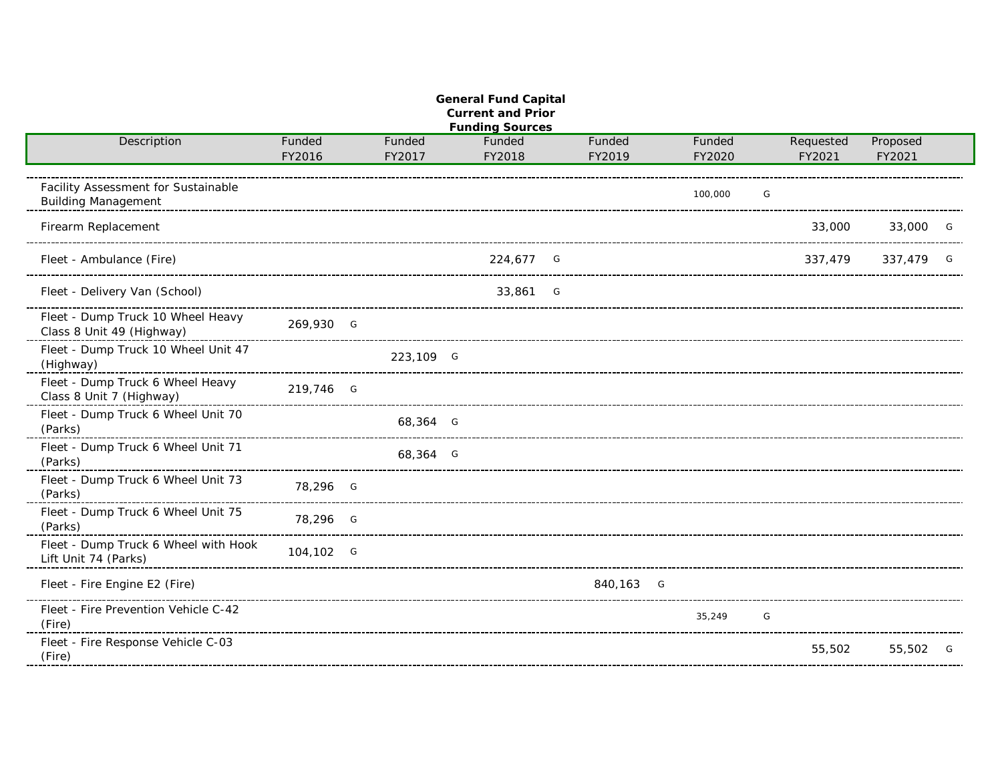| <b>General Fund Capital</b><br><b>Current and Prior</b><br><b>Funding Sources</b> |           |  |           |  |           |  |           |  |         |   |           |          |                |
|-----------------------------------------------------------------------------------|-----------|--|-----------|--|-----------|--|-----------|--|---------|---|-----------|----------|----------------|
| Description                                                                       | Funded    |  | Funded    |  | Funded    |  | Funded    |  | Funded  |   | Requested | Proposed |                |
|                                                                                   | FY2016    |  | FY2017    |  | FY2018    |  | FY2019    |  | FY2020  |   | FY2021    | FY2021   |                |
| Facility Assessment for Sustainable<br><b>Building Management</b>                 |           |  |           |  |           |  |           |  | 100,000 | G |           |          |                |
| Firearm Replacement                                                               |           |  |           |  |           |  |           |  |         |   | 33,000    | 33,000   | G              |
| Fleet - Ambulance (Fire)                                                          |           |  |           |  | 224,677 G |  |           |  |         |   | 337,479   | 337,479  | G              |
| Fleet - Delivery Van (School)                                                     |           |  |           |  | 33,861 G  |  |           |  |         |   |           |          |                |
| Fleet - Dump Truck 10 Wheel Heavy<br>Class 8 Unit 49 (Highway)                    | 269,930 G |  |           |  |           |  |           |  |         |   |           |          |                |
| Fleet - Dump Truck 10 Wheel Unit 47<br>(Highway)                                  |           |  | 223,109 G |  |           |  |           |  |         |   |           |          |                |
| Fleet - Dump Truck 6 Wheel Heavy<br>Class 8 Unit 7 (Highway)                      | 219,746 G |  |           |  |           |  |           |  |         |   |           |          |                |
| Fleet - Dump Truck 6 Wheel Unit 70<br>(Parks)                                     |           |  | 68,364 G  |  |           |  |           |  |         |   |           |          |                |
| Fleet - Dump Truck 6 Wheel Unit 71<br>(Parks)                                     |           |  | 68,364 G  |  |           |  |           |  |         |   |           |          |                |
| Fleet - Dump Truck 6 Wheel Unit 73<br>(Parks)                                     | 78,296 G  |  |           |  |           |  |           |  |         |   |           |          |                |
| Fleet - Dump Truck 6 Wheel Unit 75<br>(Parks)                                     | 78,296 G  |  |           |  |           |  |           |  |         |   |           |          |                |
| Fleet - Dump Truck 6 Wheel with Hook<br>Lift Unit 74 (Parks)                      | 104,102 G |  |           |  |           |  |           |  |         |   |           |          |                |
| Fleet - Fire Engine E2 (Fire)                                                     |           |  |           |  |           |  | 840,163 G |  |         |   |           |          |                |
| Fleet - Fire Prevention Vehicle C-42<br>(Fire)                                    |           |  |           |  |           |  |           |  | 35,249  | G |           |          |                |
| Fleet - Fire Response Vehicle C-03<br>(Fire)                                      |           |  |           |  |           |  |           |  |         |   | 55,502    | 55,502   | $\overline{G}$ |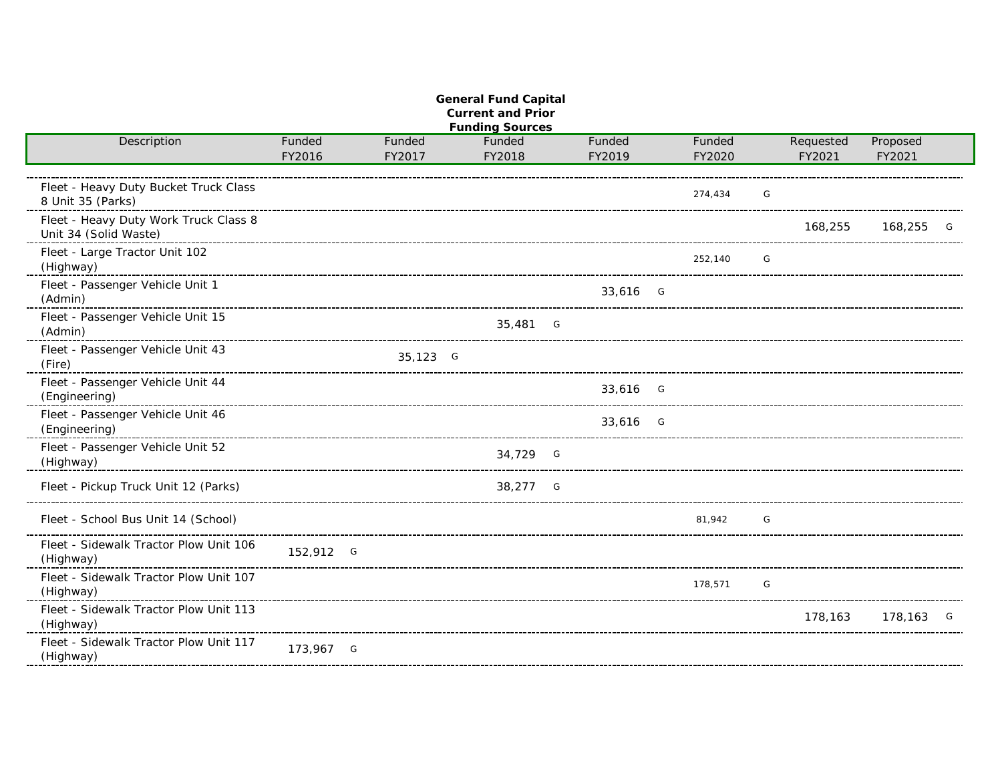|                                        |           |          | <b>General Fund Capital</b><br><b>Current and Prior</b> |          |         |   |           |          |   |
|----------------------------------------|-----------|----------|---------------------------------------------------------|----------|---------|---|-----------|----------|---|
|                                        |           |          | <b>Funding Sources</b>                                  |          |         |   |           |          |   |
| Description                            | Funded    | Funded   | Funded                                                  | Funded   | Funded  |   | Requested | Proposed |   |
|                                        | FY2016    | FY2017   | FY2018                                                  | FY2019   | FY2020  |   | FY2021    | FY2021   |   |
|                                        |           |          |                                                         |          |         |   |           |          |   |
| Fleet - Heavy Duty Bucket Truck Class  |           |          |                                                         |          | 274,434 | G |           |          |   |
| 8 Unit 35 (Parks)                      |           |          |                                                         |          |         |   |           |          |   |
| Fleet - Heavy Duty Work Truck Class 8  |           |          |                                                         |          |         |   | 168,255   | 168,255  |   |
| Unit 34 (Solid Waste)                  |           |          |                                                         |          |         |   |           |          |   |
| Fleet - Large Tractor Unit 102         |           |          |                                                         |          |         |   |           |          |   |
| (Highway)                              |           |          |                                                         |          | 252,140 | G |           |          |   |
| Fleet - Passenger Vehicle Unit 1       |           |          |                                                         |          |         |   |           |          |   |
| (Admin)                                |           |          |                                                         | 33,616 G |         |   |           |          |   |
| Fleet - Passenger Vehicle Unit 15      |           |          |                                                         |          |         |   |           |          |   |
| (Admin)                                |           |          | 35,481 G                                                |          |         |   |           |          |   |
|                                        |           |          |                                                         |          |         |   |           |          |   |
| Fleet - Passenger Vehicle Unit 43      |           | 35,123 G |                                                         |          |         |   |           |          |   |
| (Fire)                                 |           |          |                                                         |          |         |   |           |          |   |
| Fleet - Passenger Vehicle Unit 44      |           |          |                                                         | 33,616 G |         |   |           |          |   |
| (Engineering)                          |           |          |                                                         |          |         |   |           |          |   |
| Fleet - Passenger Vehicle Unit 46      |           |          |                                                         | 33,616 G |         |   |           |          |   |
| (Engineering)                          |           |          |                                                         |          |         |   |           |          |   |
| Fleet - Passenger Vehicle Unit 52      |           |          | 34,729 G                                                |          |         |   |           |          |   |
| (Highway)                              |           |          |                                                         |          |         |   |           |          |   |
|                                        |           |          |                                                         |          |         |   |           |          |   |
| Fleet - Pickup Truck Unit 12 (Parks)   |           |          | 38,277 G                                                |          |         |   |           |          |   |
|                                        |           |          |                                                         |          |         |   |           |          |   |
| Fleet - School Bus Unit 14 (School)    |           |          |                                                         |          | 81.942  | G |           |          |   |
| Fleet - Sidewalk Tractor Plow Unit 106 |           |          |                                                         |          |         |   |           |          |   |
| (Highway)                              | 152,912 G |          |                                                         |          |         |   |           |          |   |
|                                        |           |          |                                                         |          |         |   |           |          |   |
| Fleet - Sidewalk Tractor Plow Unit 107 |           |          |                                                         |          | 178,571 | G |           |          |   |
| (Highway)                              |           |          |                                                         |          |         |   |           |          |   |
| Fleet - Sidewalk Tractor Plow Unit 113 |           |          |                                                         |          |         |   | 178,163   | 178,163  | G |
| (Highway)                              |           |          |                                                         |          |         |   |           |          |   |
| Fleet - Sidewalk Tractor Plow Unit 117 | 173,967 G |          |                                                         |          |         |   |           |          |   |
| (Highway)                              |           |          |                                                         |          |         |   |           |          |   |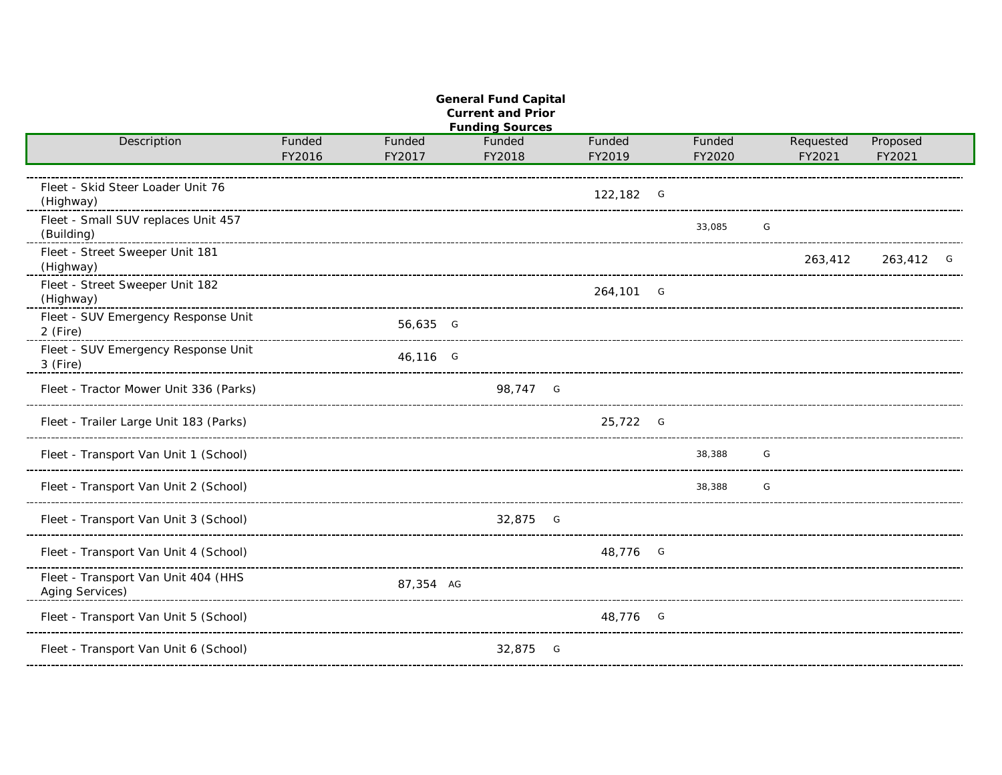| <b>General Fund Capital</b><br><b>Current and Prior</b><br><b>Funding Sources</b> |                  |                  |                  |  |                  |  |                  |   |                     |                    |   |  |  |
|-----------------------------------------------------------------------------------|------------------|------------------|------------------|--|------------------|--|------------------|---|---------------------|--------------------|---|--|--|
| Description                                                                       | Funded<br>FY2016 | Funded<br>FY2017 | Funded<br>FY2018 |  | Funded<br>FY2019 |  | Funded<br>FY2020 |   | Requested<br>FY2021 | Proposed<br>FY2021 |   |  |  |
| Fleet - Skid Steer Loader Unit 76<br>(Highway)                                    |                  |                  |                  |  | 122,182 G        |  |                  |   |                     |                    |   |  |  |
| Fleet - Small SUV replaces Unit 457<br>(Building)                                 |                  |                  |                  |  |                  |  | 33.085           | G |                     |                    |   |  |  |
| Fleet - Street Sweeper Unit 181<br>(Highway)                                      |                  |                  |                  |  |                  |  |                  |   | 263,412             | 263,412            | G |  |  |
| Fleet - Street Sweeper Unit 182<br>(Highway)                                      |                  |                  |                  |  | 264,101 G        |  |                  |   |                     |                    |   |  |  |
| Fleet - SUV Emergency Response Unit<br>2 (Fire)                                   |                  | 56,635 G         |                  |  |                  |  |                  |   |                     |                    |   |  |  |
| Fleet - SUV Emergency Response Unit<br>3 (Fire)                                   |                  | 46,116 G         |                  |  |                  |  |                  |   |                     |                    |   |  |  |
| Fleet - Tractor Mower Unit 336 (Parks)                                            |                  |                  | 98.747 G         |  |                  |  |                  |   |                     |                    |   |  |  |
| Fleet - Trailer Large Unit 183 (Parks)                                            |                  |                  |                  |  | 25,722 G         |  |                  |   |                     |                    |   |  |  |
| Fleet - Transport Van Unit 1 (School)                                             |                  |                  |                  |  |                  |  | 38,388           | G |                     |                    |   |  |  |
| Fleet - Transport Van Unit 2 (School)                                             |                  |                  |                  |  |                  |  | 38,388           | G |                     |                    |   |  |  |
| Fleet - Transport Van Unit 3 (School)                                             |                  |                  | 32,875 G         |  |                  |  |                  |   |                     |                    |   |  |  |
| Fleet - Transport Van Unit 4 (School)                                             |                  |                  |                  |  | 48,776 G         |  |                  |   |                     |                    |   |  |  |
| Fleet - Transport Van Unit 404 (HHS<br>Aging Services)                            |                  | 87,354 AG        |                  |  |                  |  |                  |   |                     |                    |   |  |  |
| Fleet - Transport Van Unit 5 (School)                                             |                  |                  |                  |  | 48,776 G         |  |                  |   |                     |                    |   |  |  |
| Fleet - Transport Van Unit 6 (School)                                             |                  |                  | 32,875 G         |  |                  |  |                  |   |                     |                    |   |  |  |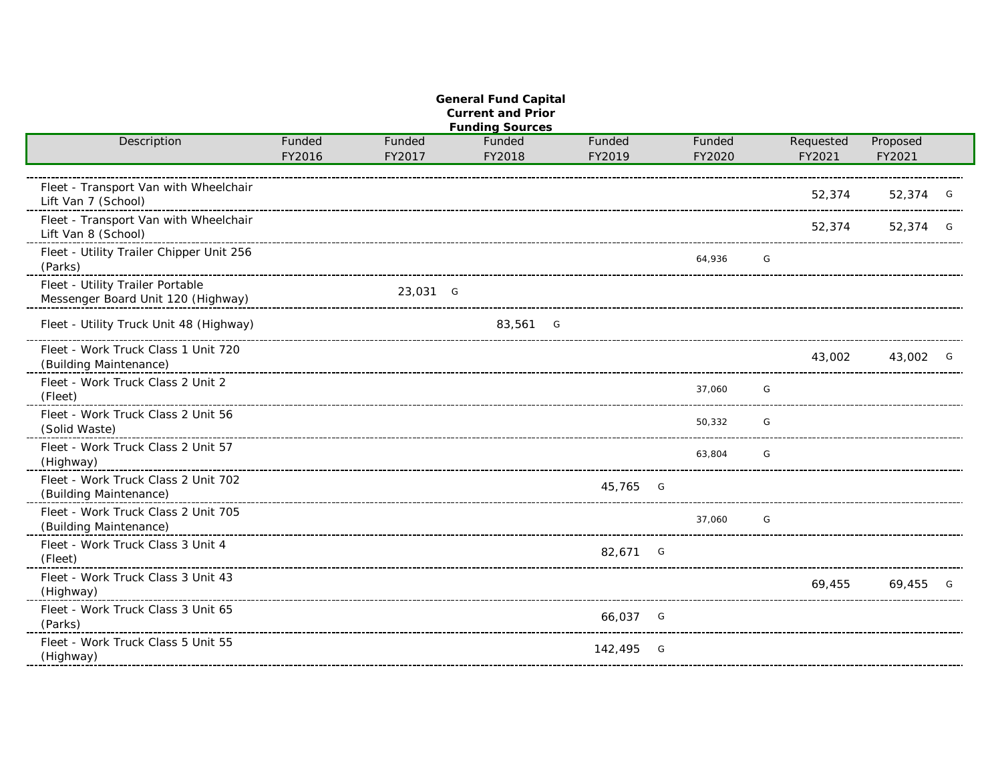| <b>General Fund Capital</b><br><b>Current and Prior</b>                |        |          |                                  |           |        |  |           |          |   |  |  |  |  |
|------------------------------------------------------------------------|--------|----------|----------------------------------|-----------|--------|--|-----------|----------|---|--|--|--|--|
| Description                                                            | Funded | Funded   | <b>Funding Sources</b><br>Funded | Funded    | Funded |  | Requested | Proposed |   |  |  |  |  |
|                                                                        | FY2016 | FY2017   | FY2018                           | FY2019    | FY2020 |  | FY2021    | FY2021   |   |  |  |  |  |
| Fleet - Transport Van with Wheelchair<br>Lift Van 7 (School)           |        |          |                                  |           |        |  | 52,374    | 52,374 G |   |  |  |  |  |
| Fleet - Transport Van with Wheelchair<br>Lift Van 8 (School)           |        |          |                                  |           |        |  | 52,374    | 52,374 G |   |  |  |  |  |
| Fleet - Utility Trailer Chipper Unit 256<br>(Parks)                    |        |          |                                  |           | 64.936 |  | G         |          |   |  |  |  |  |
| Fleet - Utility Trailer Portable<br>Messenger Board Unit 120 (Highway) |        | 23,031 G |                                  |           |        |  |           |          |   |  |  |  |  |
| Fleet - Utility Truck Unit 48 (Highway)                                |        |          | 83,561 G                         |           |        |  |           |          |   |  |  |  |  |
| Fleet - Work Truck Class 1 Unit 720<br>(Building Maintenance)          |        |          |                                  |           |        |  | 43,002    | 43,002 G |   |  |  |  |  |
| Fleet - Work Truck Class 2 Unit 2<br>(Fleet)                           |        |          |                                  |           | 37,060 |  | G         |          |   |  |  |  |  |
| Fleet - Work Truck Class 2 Unit 56<br>(Solid Waste)                    |        |          |                                  |           | 50,332 |  | G         |          |   |  |  |  |  |
| Fleet - Work Truck Class 2 Unit 57<br>(Highway)                        |        |          |                                  |           | 63.804 |  | G         |          |   |  |  |  |  |
| Fleet - Work Truck Class 2 Unit 702<br>(Building Maintenance)          |        |          |                                  | 45,765 G  |        |  |           |          |   |  |  |  |  |
| Fleet - Work Truck Class 2 Unit 705<br>(Building Maintenance)          |        |          |                                  |           | 37,060 |  | G         |          |   |  |  |  |  |
| Fleet - Work Truck Class 3 Unit 4<br>(Fleet)                           |        |          |                                  | 82,671 G  |        |  |           |          |   |  |  |  |  |
| Fleet - Work Truck Class 3 Unit 43<br>(Highway)                        |        |          |                                  |           |        |  | 69,455    | 69,455   | G |  |  |  |  |
| Fleet - Work Truck Class 3 Unit 65<br>(Parks)                          |        |          |                                  | 66,037 G  |        |  |           |          |   |  |  |  |  |
| Fleet - Work Truck Class 5 Unit 55<br>(Highway)                        |        |          |                                  | 142,495 G |        |  |           |          |   |  |  |  |  |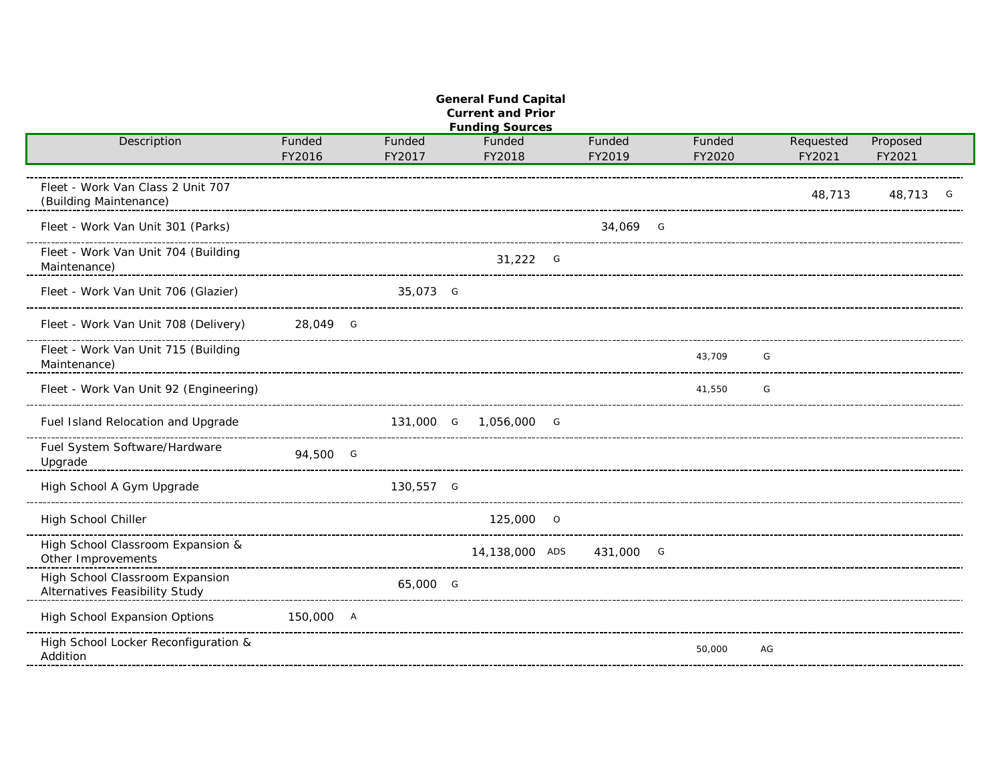| <b>General Fund Capital</b><br><b>Current and Prior</b><br><b>Funding Sources</b> |                  |                  |                       |  |                  |  |                  |                     |                    |   |  |  |  |
|-----------------------------------------------------------------------------------|------------------|------------------|-----------------------|--|------------------|--|------------------|---------------------|--------------------|---|--|--|--|
| Description                                                                       | Funded<br>FY2016 | Funded<br>FY2017 | Funded<br>FY2018      |  | Funded<br>FY2019 |  | Funded<br>FY2020 | Requested<br>FY2021 | Proposed<br>FY2021 |   |  |  |  |
| Fleet - Work Van Class 2 Unit 707<br>(Building Maintenance)                       |                  |                  |                       |  |                  |  |                  | 48,713              | 48,713             | G |  |  |  |
| Fleet - Work Van Unit 301 (Parks)                                                 |                  |                  |                       |  | 34,069 G         |  |                  |                     |                    |   |  |  |  |
| Fleet - Work Van Unit 704 (Building<br>Maintenance)                               |                  |                  | $31,222$ G            |  |                  |  |                  |                     |                    |   |  |  |  |
| Fleet - Work Van Unit 706 (Glazier)                                               |                  | 35,073 G         |                       |  |                  |  |                  |                     |                    |   |  |  |  |
| Fleet - Work Van Unit 708 (Delivery)                                              | 28,049 G         |                  |                       |  |                  |  |                  |                     |                    |   |  |  |  |
| Fleet - Work Van Unit 715 (Building<br>Maintenance)                               |                  |                  |                       |  |                  |  | 43,709           | G                   |                    |   |  |  |  |
| Fleet - Work Van Unit 92 (Engineering)                                            |                  |                  |                       |  |                  |  | 41,550           | G                   |                    |   |  |  |  |
| Fuel Island Relocation and Upgrade                                                |                  |                  | 131,000 G 1,056,000 G |  |                  |  |                  |                     |                    |   |  |  |  |
| Fuel System Software/Hardware<br>Upgrade                                          | 94,500 G         |                  |                       |  |                  |  |                  |                     |                    |   |  |  |  |
| High School A Gym Upgrade                                                         |                  | 130,557 G        |                       |  |                  |  |                  |                     |                    |   |  |  |  |
| High School Chiller                                                               |                  |                  | 125,000 0             |  |                  |  |                  |                     |                    |   |  |  |  |
| High School Classroom Expansion &<br>Other Improvements                           |                  |                  | 14,138,000 ADS        |  | 431,000 G        |  |                  |                     |                    |   |  |  |  |
| High School Classroom Expansion<br>Alternatives Feasibility Study                 |                  | 65,000 G         |                       |  |                  |  |                  |                     |                    |   |  |  |  |
| High School Expansion Options                                                     | 150,000 A        |                  |                       |  |                  |  |                  |                     |                    |   |  |  |  |
| High School Locker Reconfiguration &<br>Addition                                  |                  |                  |                       |  |                  |  | 50,000           | AG                  |                    |   |  |  |  |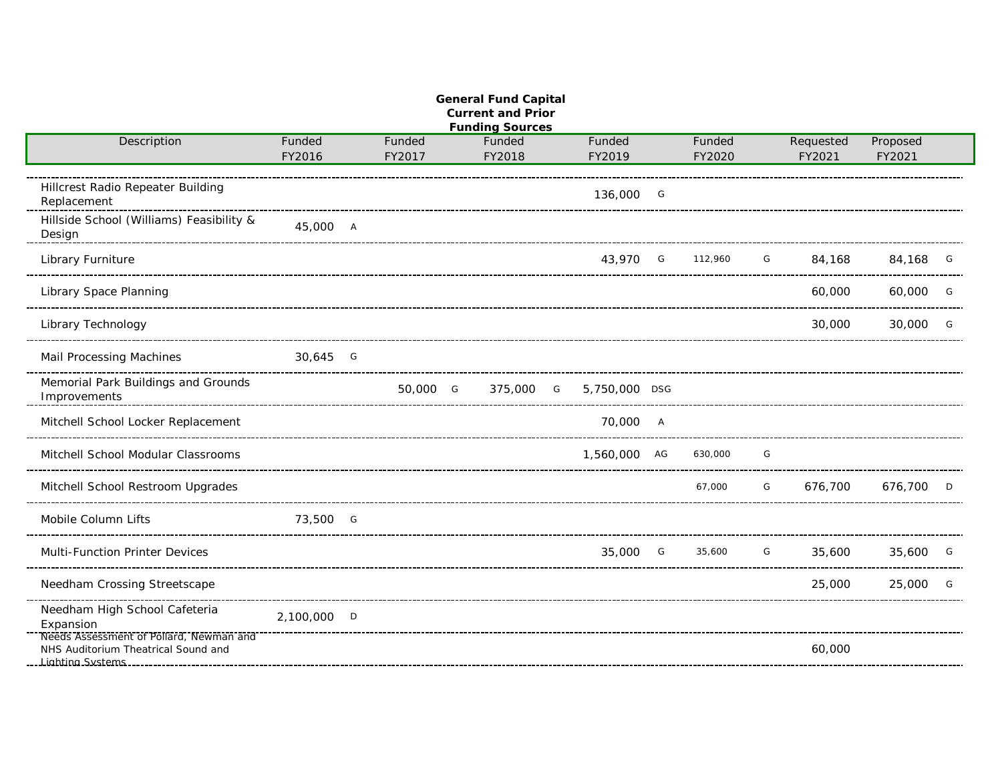| <b>General Fund Capital</b><br><b>Current and Prior</b><br><b>Funding Sources</b> |                  |                  |  |                  |  |                  |  |                  |   |                     |                    |   |  |
|-----------------------------------------------------------------------------------|------------------|------------------|--|------------------|--|------------------|--|------------------|---|---------------------|--------------------|---|--|
| Description                                                                       | Funded<br>FY2016 | Funded<br>FY2017 |  | Funded<br>FY2018 |  | Funded<br>FY2019 |  | Funded<br>FY2020 |   | Requested<br>FY2021 | Proposed<br>FY2021 |   |  |
| Hillcrest Radio Repeater Building<br>Replacement                                  |                  |                  |  |                  |  | 136,000 G        |  |                  |   |                     |                    |   |  |
| Hillside School (Williams) Feasibility &<br>Design                                | 45,000 A         |                  |  |                  |  |                  |  |                  |   |                     |                    |   |  |
| Library Furniture                                                                 |                  |                  |  |                  |  | 43.970 G         |  | 112,960          | G | 84,168              | 84,168             | G |  |
| Library Space Planning                                                            |                  |                  |  |                  |  |                  |  |                  |   | 60,000              | 60,000             | G |  |
| Library Technology                                                                |                  |                  |  |                  |  |                  |  |                  |   | 30,000              | 30,000             | G |  |
| Mail Processing Machines                                                          | 30,645 G         |                  |  |                  |  |                  |  |                  |   |                     |                    |   |  |
| Memorial Park Buildings and Grounds<br>Improvements                               |                  | 50,000 G         |  | 375,000 G        |  | 5,750,000 DSG    |  |                  |   |                     |                    |   |  |
| Mitchell School Locker Replacement                                                |                  |                  |  |                  |  | 70,000 A         |  |                  |   |                     |                    |   |  |
| Mitchell School Modular Classrooms                                                |                  |                  |  |                  |  | 1,560,000 AG     |  | 630,000          | G |                     |                    |   |  |
| Mitchell School Restroom Upgrades                                                 |                  |                  |  |                  |  |                  |  | 67,000           | G | 676,700             | 676,700            | D |  |
| Mobile Column Lifts                                                               | 73,500 G         |                  |  |                  |  |                  |  |                  |   |                     |                    |   |  |
| Multi-Function Printer Devices                                                    |                  |                  |  |                  |  | 35,000 G         |  | 35,600           | G | 35,600              | 35,600 G           |   |  |
| Needham Crossing Streetscape                                                      |                  |                  |  |                  |  |                  |  |                  |   | 25,000              | 25,000             | G |  |
| Needham High School Cafeteria<br>Expansion                                        | 2,100,000 D      |                  |  |                  |  |                  |  |                  |   |                     |                    |   |  |
| Needs Assessment of Pollard, Newman and<br>NHS Auditorium Theatrical Sound and    |                  |                  |  |                  |  |                  |  |                  |   | 60,000              |                    |   |  |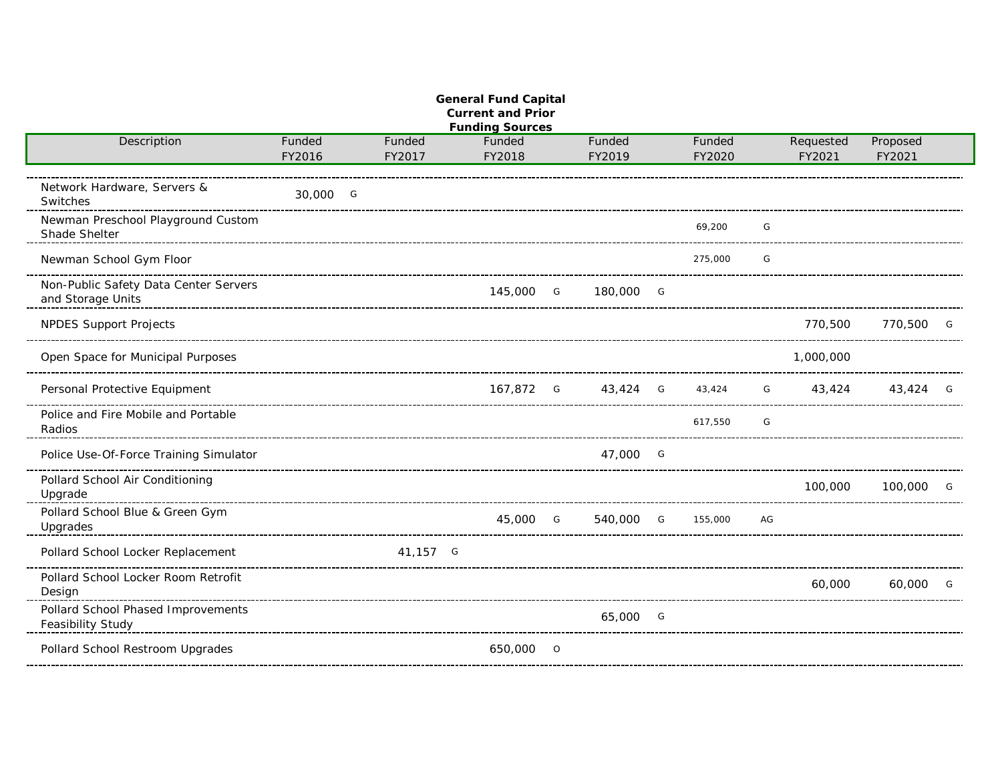|                                                            |                                        |          | <b>General Fund Capital</b><br><b>Current and Prior</b><br><b>Funding Sources</b> |                    |         |    |           |          |   |
|------------------------------------------------------------|----------------------------------------|----------|-----------------------------------------------------------------------------------|--------------------|---------|----|-----------|----------|---|
| Description                                                | Funded                                 | Funded   | Funded                                                                            | Funded             | Funded  |    | Requested | Proposed |   |
|                                                            | FY2016                                 | FY2017   | FY2018                                                                            | FY2019             | FY2020  |    | FY2021    | FY2021   |   |
| Network Hardware, Servers &<br>Switches                    | 30,000 G<br>-------------------------- |          |                                                                                   |                    |         |    |           |          |   |
| Newman Preschool Playground Custom<br>Shade Shelter        |                                        |          |                                                                                   |                    | 69.200  | G  |           |          |   |
| Newman School Gym Floor                                    |                                        |          |                                                                                   |                    | 275,000 | G  |           |          |   |
| Non-Public Safety Data Center Servers<br>and Storage Units |                                        |          | 145,000 G                                                                         | 180,000 G          |         |    |           |          |   |
| <b>NPDES Support Projects</b>                              |                                        |          |                                                                                   |                    |         |    | 770,500   | 770,500  | G |
| Open Space for Municipal Purposes                          |                                        |          |                                                                                   |                    |         |    | 1,000,000 |          |   |
| Personal Protective Equipment                              |                                        |          |                                                                                   | 167,872 G 43,424 G | 43,424  | G  | 43,424    | 43,424   | G |
| Police and Fire Mobile and Portable<br>Radios              |                                        |          |                                                                                   |                    | 617,550 | G  |           |          |   |
| Police Use-Of-Force Training Simulator                     |                                        |          |                                                                                   | 47,000 G           |         |    |           |          |   |
| Pollard School Air Conditioning<br>Upgrade                 |                                        |          |                                                                                   |                    |         |    | 100,000   | 100,000  | G |
| Pollard School Blue & Green Gym<br>Upgrades                |                                        |          | 45,000 G                                                                          | 540,000 G          | 155,000 | AG |           |          |   |
| Pollard School Locker Replacement                          |                                        | 41,157 G |                                                                                   |                    |         |    |           |          |   |
| Pollard School Locker Room Retrofit<br>Design              |                                        |          |                                                                                   |                    |         |    | 60,000    | 60,000   | G |
| Pollard School Phased Improvements<br>Feasibility Study    |                                        |          |                                                                                   | 65,000 G           |         |    |           |          |   |
| Pollard School Restroom Upgrades                           |                                        |          | 650,000 0                                                                         |                    |         |    |           |          |   |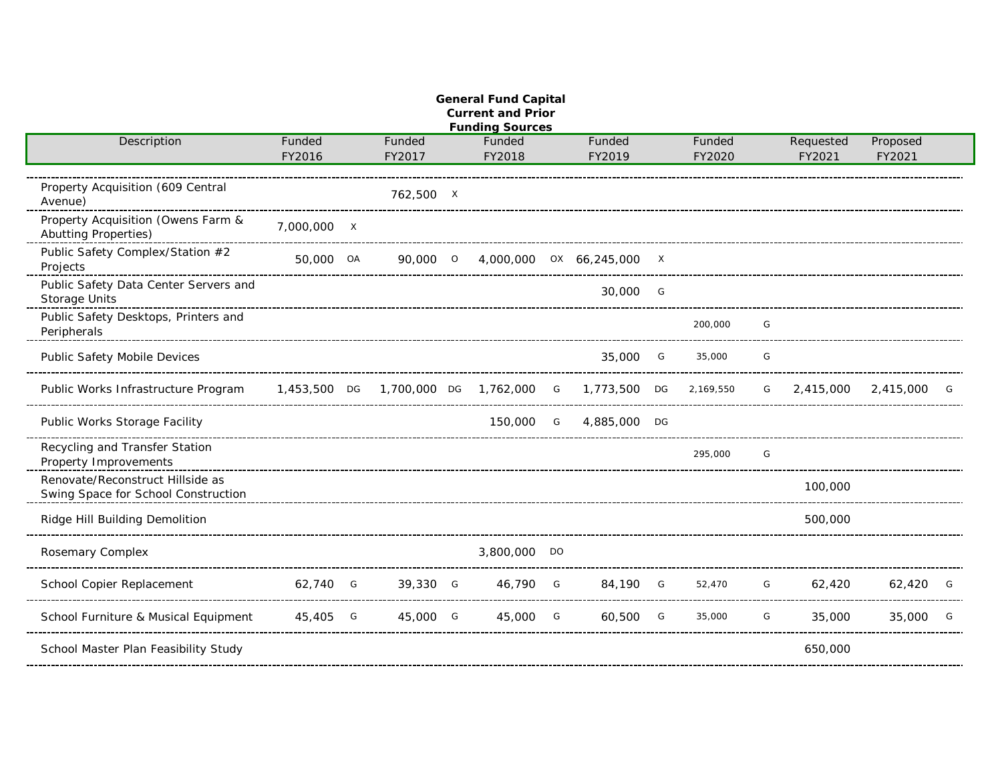| <b>General Fund Capital</b><br><b>Current and Prior</b><br><b>Funding Sources</b> |                  |  |                  |  |                  |  |                                                    |  |                  |   |                     |                    |   |
|-----------------------------------------------------------------------------------|------------------|--|------------------|--|------------------|--|----------------------------------------------------|--|------------------|---|---------------------|--------------------|---|
| Description                                                                       | Funded<br>FY2016 |  | Funded<br>FY2017 |  | Funded<br>FY2018 |  | Funded<br>FY2019                                   |  | Funded<br>FY2020 |   | Requested<br>FY2021 | Proposed<br>FY2021 |   |
| Property Acquisition (609 Central<br>Avenue)                                      |                  |  | 762,500 X        |  |                  |  |                                                    |  |                  |   |                     |                    |   |
| Property Acquisition (Owens Farm &<br><b>Abutting Properties)</b>                 | 7,000,000 X      |  |                  |  |                  |  |                                                    |  |                  |   |                     |                    |   |
| Public Safety Complex/Station #2<br>Projects                                      | 50,000 OA        |  | 90,000 0         |  |                  |  | 4,000,000 0X 66,245,000 X                          |  |                  |   |                     |                    |   |
| Public Safety Data Center Servers and<br>Storage Units                            |                  |  |                  |  |                  |  | 30,000 G                                           |  |                  |   |                     |                    |   |
| Public Safety Desktops, Printers and<br>Peripherals                               |                  |  |                  |  |                  |  |                                                    |  | 200,000          | G |                     |                    |   |
| Public Safety Mobile Devices                                                      |                  |  |                  |  |                  |  | 35,000 G                                           |  | 35,000           | G |                     |                    |   |
| Public Works Infrastructure Program                                               |                  |  |                  |  |                  |  | 1,453,500 DG 1,700,000 DG 1,762,000 G 1,773,500 DG |  | 2,169,550        | G | 2,415,000           | 2,415,000          | G |
| Public Works Storage Facility                                                     |                  |  |                  |  | 150,000 G        |  | 4.885,000 DG                                       |  |                  |   |                     |                    |   |
| Recycling and Transfer Station<br>Property Improvements                           |                  |  |                  |  |                  |  |                                                    |  | 295,000          | G |                     |                    |   |
| Renovate/Reconstruct Hillside as<br>Swing Space for School Construction           |                  |  |                  |  |                  |  |                                                    |  |                  |   | 100,000             |                    |   |
| Ridge Hill Building Demolition                                                    |                  |  |                  |  |                  |  |                                                    |  |                  |   | 500,000             |                    |   |
| Rosemary Complex                                                                  |                  |  |                  |  | 3,800,000 DO     |  |                                                    |  |                  |   |                     |                    |   |
| School Copier Replacement                                                         | 62,740 G         |  | 39,330 G         |  | 46,790 G         |  | 84,190 G                                           |  | 52,470           | G | 62,420              | 62,420             | G |
| School Furniture & Musical Equipment                                              | 45,405 G         |  | 45,000 G         |  | 45,000 G         |  | 60,500 G                                           |  | 35,000           | G | 35,000              | 35,000             | G |
| School Master Plan Feasibility Study                                              |                  |  |                  |  |                  |  |                                                    |  |                  |   | 650,000             |                    |   |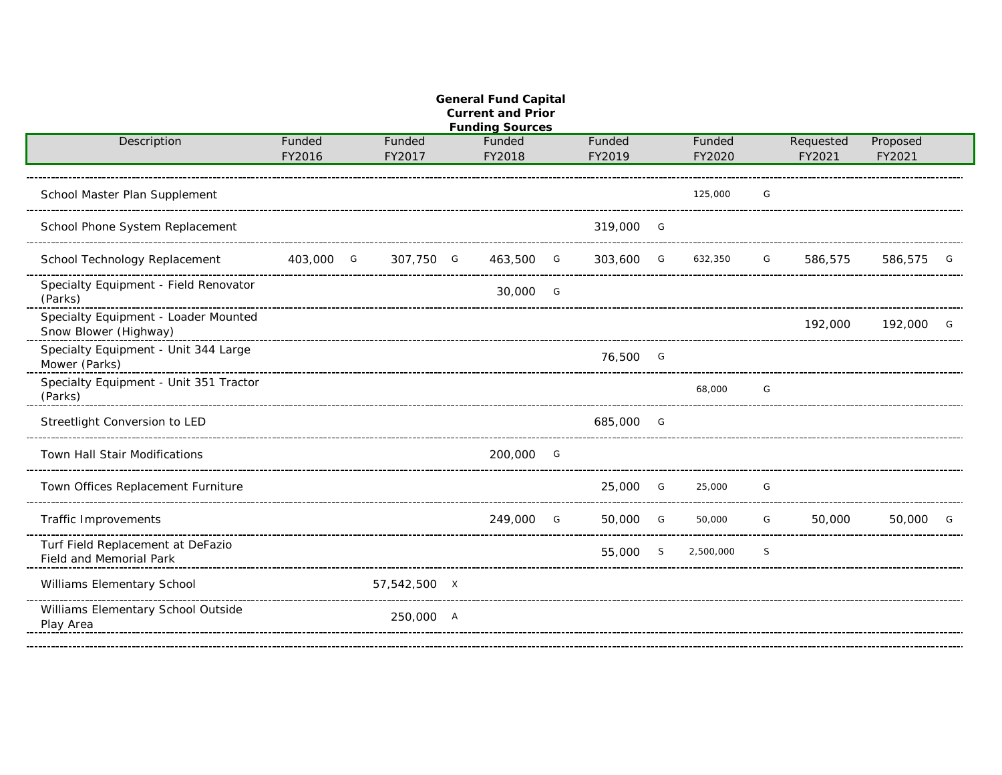| <b>General Fund Capital</b><br><b>Current and Prior</b><br><b>Funding Sources</b> |                                     |                  |  |                  |  |                  |  |                  |   |                     |                    |   |  |
|-----------------------------------------------------------------------------------|-------------------------------------|------------------|--|------------------|--|------------------|--|------------------|---|---------------------|--------------------|---|--|
| Description                                                                       | Funded<br>FY2016                    | Funded<br>FY2017 |  | Funded<br>FY2018 |  | Funded<br>FY2019 |  | Funded<br>FY2020 |   | Requested<br>FY2021 | Proposed<br>FY2021 |   |  |
| School Master Plan Supplement                                                     |                                     |                  |  |                  |  |                  |  | 125,000          | G |                     |                    |   |  |
| School Phone System Replacement                                                   |                                     |                  |  |                  |  | 319,000 G        |  |                  |   |                     |                    |   |  |
| School Technology Replacement                                                     | 403,000 G                           | 307,750 G        |  | 463,500 G        |  | 303,600 G        |  | 632,350          | G | 586,575             | 586,575            | G |  |
| Specialty Equipment - Field Renovator<br>(Parks)                                  |                                     |                  |  | 30,000 G         |  |                  |  |                  |   |                     |                    |   |  |
| Specialty Equipment - Loader Mounted<br>Snow Blower (Highway)                     | ----------------------------------- |                  |  |                  |  |                  |  |                  |   | 192,000             | 192,000            | G |  |
| Specialty Equipment - Unit 344 Large<br>Mower (Parks)                             |                                     |                  |  |                  |  | 76,500 G         |  |                  |   |                     |                    |   |  |
| Specialty Equipment - Unit 351 Tractor<br>(Parks)                                 |                                     |                  |  |                  |  |                  |  | 68,000           | G |                     |                    |   |  |
| Streetlight Conversion to LED                                                     |                                     |                  |  |                  |  | 685,000 G        |  |                  |   |                     |                    |   |  |
| Town Hall Stair Modifications                                                     |                                     |                  |  | 200,000 G        |  |                  |  |                  |   |                     |                    |   |  |
| Town Offices Replacement Furniture                                                |                                     |                  |  |                  |  | 25,000 G         |  | 25,000           | G |                     |                    |   |  |
| <b>Traffic Improvements</b>                                                       |                                     |                  |  | 249,000 G        |  | 50,000 G         |  | 50,000           | G | 50,000              | 50,000             | G |  |
| Turf Field Replacement at DeFazio<br>Field and Memorial Park                      |                                     |                  |  |                  |  | 55,000 S         |  | 2,500,000        | S |                     |                    |   |  |
| Williams Elementary School                                                        |                                     | 57,542,500 X     |  |                  |  |                  |  |                  |   |                     |                    |   |  |
| Williams Elementary School Outside<br>Play Area                                   |                                     | 250,000 A        |  |                  |  |                  |  |                  |   |                     |                    |   |  |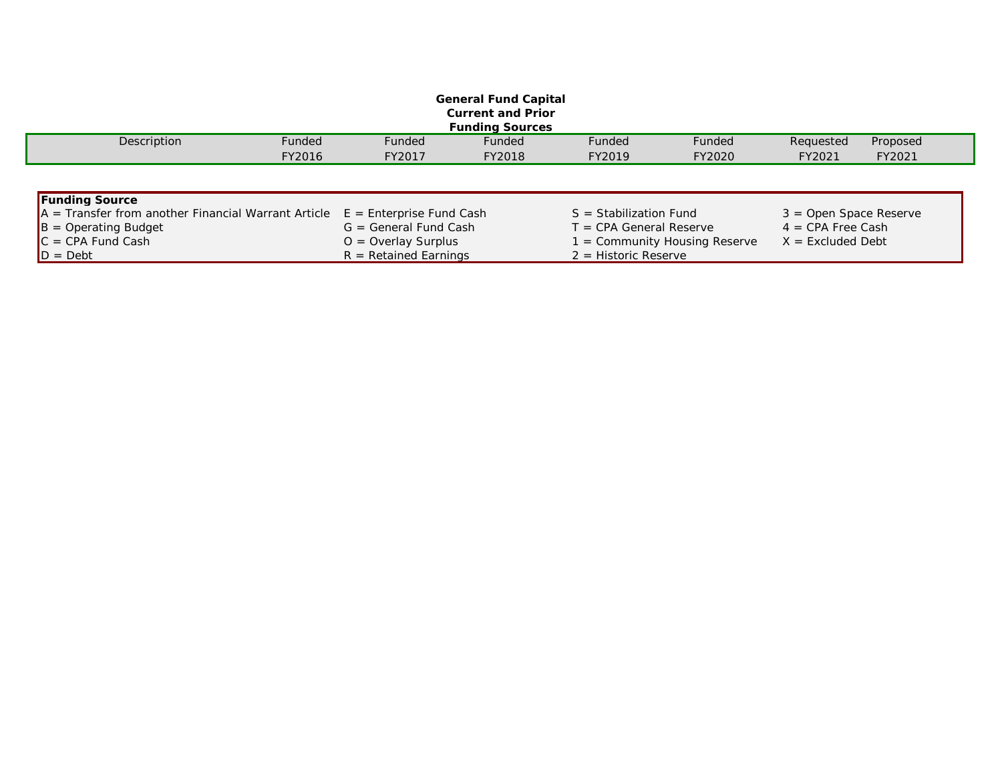| <b>General Fund Capital</b><br><b>Current and Prior</b> |        |                            |                                                    |                           |        |                          |          |  |  |  |  |  |
|---------------------------------------------------------|--------|----------------------------|----------------------------------------------------|---------------------------|--------|--------------------------|----------|--|--|--|--|--|
| <b>Funding Sources</b>                                  |        |                            |                                                    |                           |        |                          |          |  |  |  |  |  |
| Description                                             | Funded | <b>Funded</b>              | Funded                                             | Funded                    | Funded | Requested                | Proposed |  |  |  |  |  |
|                                                         | FY2016 | FY2017                     | FY2018                                             | FY2019                    | FY2020 | FY2021                   | FY2021   |  |  |  |  |  |
|                                                         |        |                            |                                                    |                           |        |                          |          |  |  |  |  |  |
| <b>Funding Source</b>                                   |        |                            |                                                    |                           |        |                          |          |  |  |  |  |  |
| $A =$ Transfer from another Financial Warrant Article   |        | $E =$ Enterprise Fund Cash |                                                    | $S =$ Stabilization Fund  |        | $3 =$ Open Space Reserve |          |  |  |  |  |  |
| $B =$ Operating Budget                                  |        | $G = General Fund Cash$    |                                                    | $T = CPA$ General Reserve |        | $4 = CPA$ Free Cash      |          |  |  |  |  |  |
| $C = CPA$ Fund Cash                                     |        | $O =$ Overlay Surplus      | = Community Housing Reserve<br>$X =$ Excluded Debt |                           |        |                          |          |  |  |  |  |  |
| $D = Det$                                               |        | $R = Retained Earninas$    |                                                    | $2$ = Historic Reserve    |        |                          |          |  |  |  |  |  |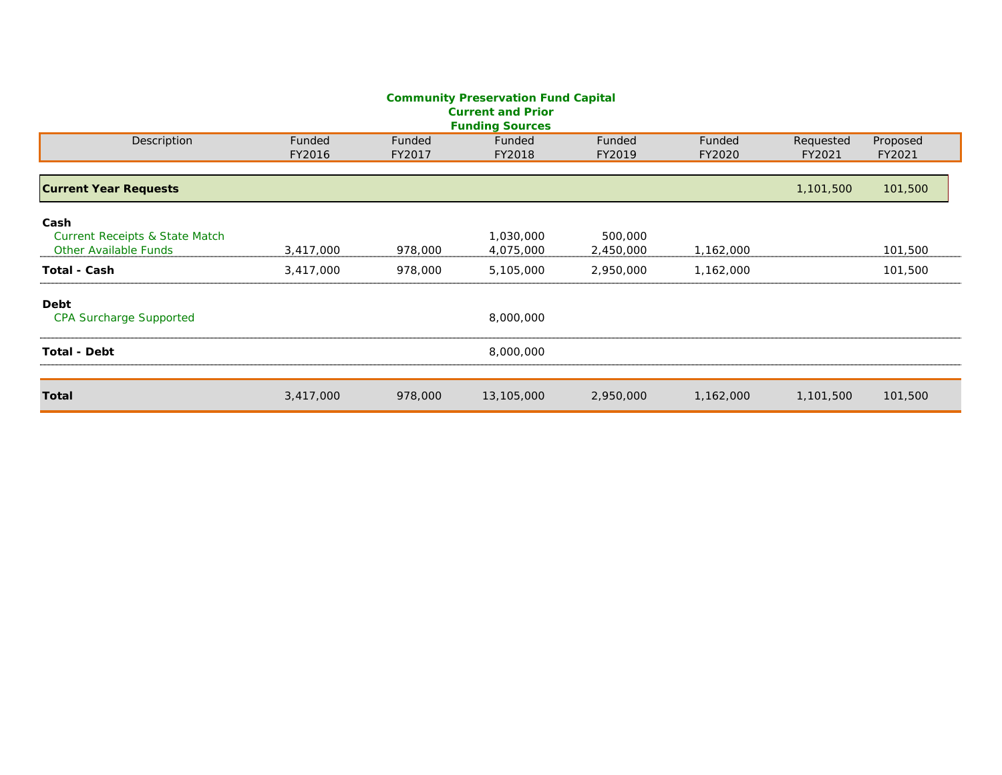|                                                                                   |                  |                  | <b>Community Preservation Fund Capital</b><br><b>Current and Prior</b> |                      |                  |                     |                    |  |  |  |  |  |  |
|-----------------------------------------------------------------------------------|------------------|------------------|------------------------------------------------------------------------|----------------------|------------------|---------------------|--------------------|--|--|--|--|--|--|
| <b>Funding Sources</b>                                                            |                  |                  |                                                                        |                      |                  |                     |                    |  |  |  |  |  |  |
| Description                                                                       | Funded<br>FY2016 | Funded<br>FY2017 | Funded<br>FY2018                                                       | Funded<br>FY2019     | Funded<br>FY2020 | Requested<br>FY2021 | Proposed<br>FY2021 |  |  |  |  |  |  |
| <b>Current Year Requests</b>                                                      |                  |                  |                                                                        |                      |                  | 1,101,500           | 101,500            |  |  |  |  |  |  |
| Cash<br><b>Current Receipts &amp; State Match</b><br><b>Other Available Funds</b> | 3,417,000        | 978,000          | 1,030,000<br>4,075,000                                                 | 500,000<br>2,450,000 | 1,162,000        |                     | 101,500            |  |  |  |  |  |  |
| Total - Cash                                                                      | 3,417,000        | 978,000          | 5,105,000                                                              | 2,950,000            | 1,162,000        |                     | 101,500            |  |  |  |  |  |  |
| Debt<br><b>CPA Surcharge Supported</b>                                            |                  |                  | 8,000,000                                                              |                      |                  |                     |                    |  |  |  |  |  |  |
| <b>Total - Debt</b>                                                               |                  |                  | 8,000,000                                                              |                      |                  |                     |                    |  |  |  |  |  |  |
| Total                                                                             | 3,417,000        | 978,000          | 13,105,000                                                             | 2,950,000            | 1,162,000        | 1,101,500           | 101,500            |  |  |  |  |  |  |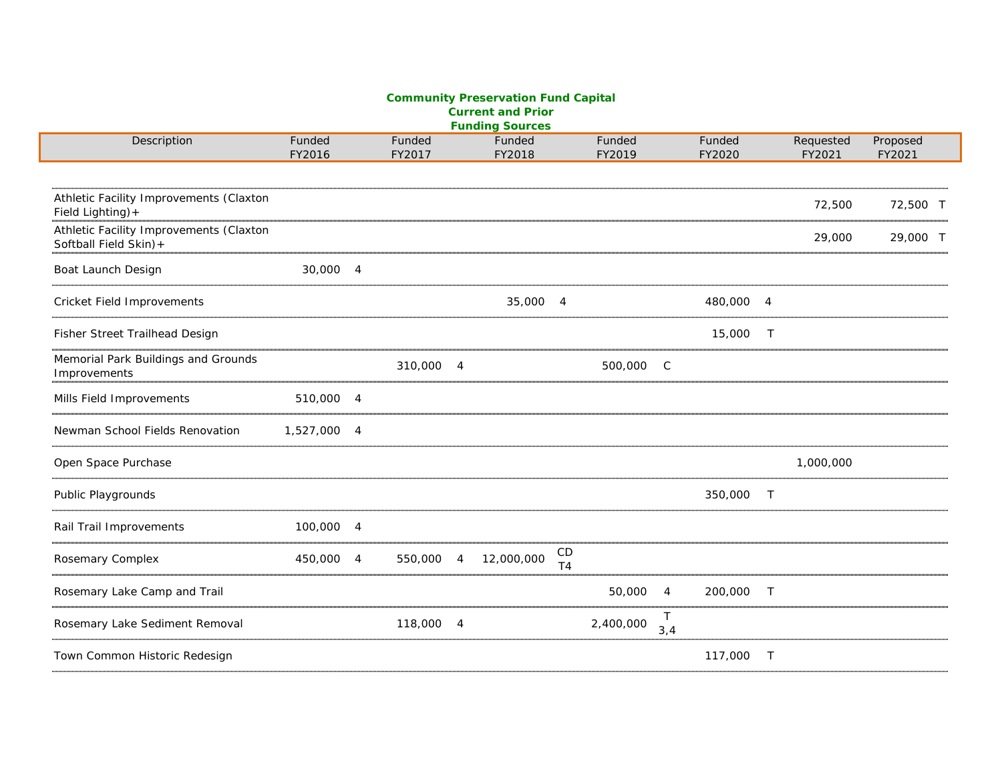#### **Community Preservation Fund Capital Current and Prior Funding Sources**

| Description                                                       | Funded<br>FY2016 |                | Funded<br>FY2017 |                | Funded<br>FY2018 |                | Funded<br>FY2019 |              | Funded<br>FY2020 |                | Requested<br>FY2021 | Proposed<br>FY2021 |
|-------------------------------------------------------------------|------------------|----------------|------------------|----------------|------------------|----------------|------------------|--------------|------------------|----------------|---------------------|--------------------|
|                                                                   |                  |                |                  |                |                  |                |                  |              |                  |                |                     |                    |
| Athletic Facility Improvements (Claxton<br>Field Lighting) +      |                  |                |                  |                |                  |                |                  |              |                  |                | 72,500              | 72,500 T           |
| Athletic Facility Improvements (Claxton<br>Softball Field Skin) + |                  |                |                  |                |                  |                |                  |              |                  |                | 29,000              | 29,000 T           |
| Boat Launch Design                                                | 30,000 4         |                |                  |                |                  |                |                  |              |                  |                |                     |                    |
| Cricket Field Improvements                                        |                  |                |                  |                | 35,000           | $\overline{4}$ |                  |              | 480,000          | $\overline{4}$ |                     |                    |
| Fisher Street Trailhead Design                                    |                  |                |                  |                |                  |                |                  |              | 15,000           | $\top$         |                     |                    |
| Memorial Park Buildings and Grounds<br>Improvements               |                  |                | 310,000          | $\overline{4}$ |                  |                | 500,000          | $\mathsf{C}$ |                  |                |                     |                    |
| Mills Field Improvements                                          | 510,000 4        |                |                  |                |                  |                |                  |              |                  |                |                     |                    |
| Newman School Fields Renovation                                   | 1,527,000 4      |                |                  |                |                  |                |                  |              |                  |                |                     |                    |
| Open Space Purchase                                               |                  |                |                  |                |                  |                |                  |              |                  |                | 1,000,000           |                    |
| Public Playgrounds                                                |                  |                |                  |                |                  |                |                  |              | 350,000          | $\top$         |                     |                    |
| Rail Trail Improvements                                           | 100,000 4        |                |                  |                |                  |                |                  |              |                  |                |                     |                    |
| Rosemary Complex                                                  | 450,000          | $\overline{4}$ | 550,000          | $\overline{4}$ | 12,000,000       | CD<br>T4       |                  |              |                  |                |                     |                    |
| Rosemary Lake Camp and Trail                                      |                  |                |                  |                |                  |                | 50,000           | 4            | 200,000          | $\top$         |                     |                    |
| Rosemary Lake Sediment Removal                                    |                  |                | 118,000          | 4              |                  |                | 2,400,000        | Τ<br>3,4     |                  |                |                     |                    |
| Town Common Historic Redesign                                     |                  |                |                  |                |                  |                |                  |              | 117,000          | $\top$         |                     |                    |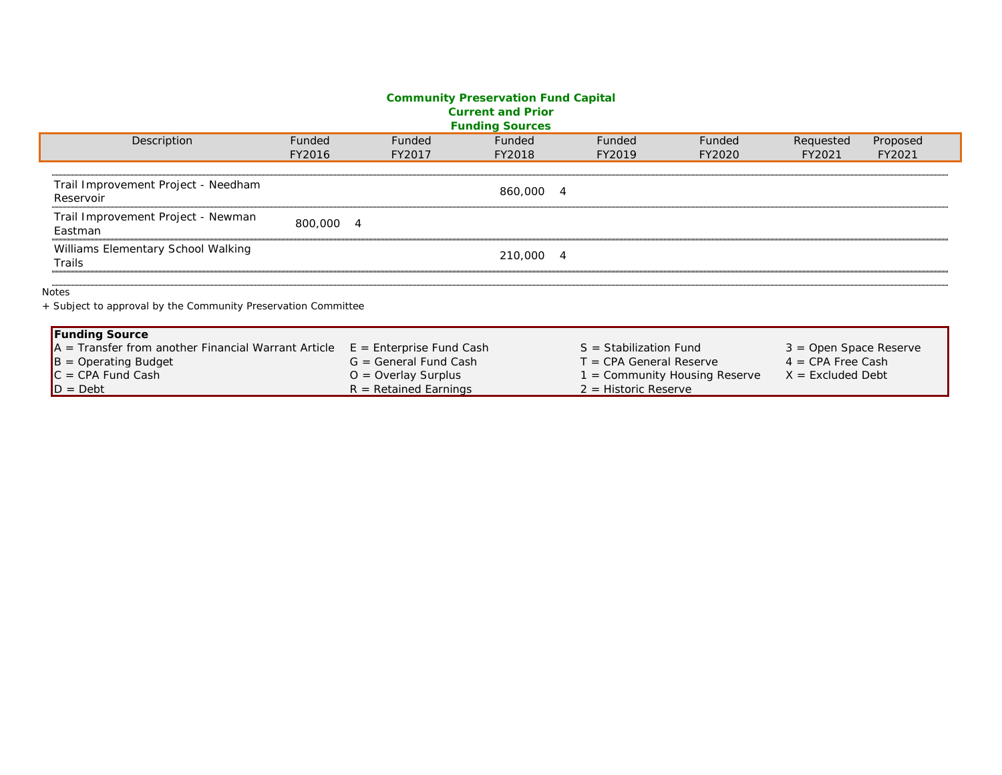#### **Community Preservation Fund Capital Current and Prior Funding Sources**

|                                                               |                            | <b>I diluliy Journoy</b> |                           |                             |                          |          |
|---------------------------------------------------------------|----------------------------|--------------------------|---------------------------|-----------------------------|--------------------------|----------|
| Description<br><b>Funded</b>                                  | Funded                     | Funded                   | Funded                    | Funded                      | Requested                | Proposed |
| FY2016                                                        | FY2017                     | FY2018                   | FY2019                    | FY2020                      | FY2021                   | FY2021   |
|                                                               |                            |                          |                           |                             |                          |          |
| Trail Improvement Project - Needham                           |                            |                          |                           |                             |                          |          |
| Reservoir                                                     |                            | 860,000 4                |                           |                             |                          |          |
| Trail Improvement Project - Newman                            |                            |                          |                           |                             |                          |          |
| 800,000 4<br>Eastman                                          |                            |                          |                           |                             |                          |          |
| Williams Elementary School Walking                            |                            |                          |                           |                             |                          |          |
| Trails                                                        |                            | 210,000 4                |                           |                             |                          |          |
|                                                               |                            |                          |                           |                             |                          |          |
| Notes                                                         |                            |                          |                           |                             |                          |          |
| + Subject to approval by the Community Preservation Committee |                            |                          |                           |                             |                          |          |
|                                                               |                            |                          |                           |                             |                          |          |
| <b>Funding Source</b>                                         |                            |                          |                           |                             |                          |          |
| $A =$ Transfer from another Financial Warrant Article         | $E =$ Enterprise Fund Cash |                          | $S =$ Stabilization Fund  |                             | $3 =$ Open Space Reserve |          |
| $B =$ Operating Budget                                        | $G = General Fund Cash$    |                          | $T = CPA$ General Reserve |                             | $4 = CPA$ Free Cash      |          |
| $C = CPA$ Fund Cash                                           | $O =$ Overlay Surplus      |                          |                           | = Community Housing Reserve | $X =$ Excluded Debt      |          |
| $D = Det$                                                     | $R = Retained Earnings$    |                          | $2$ = Historic Reserve    |                             |                          |          |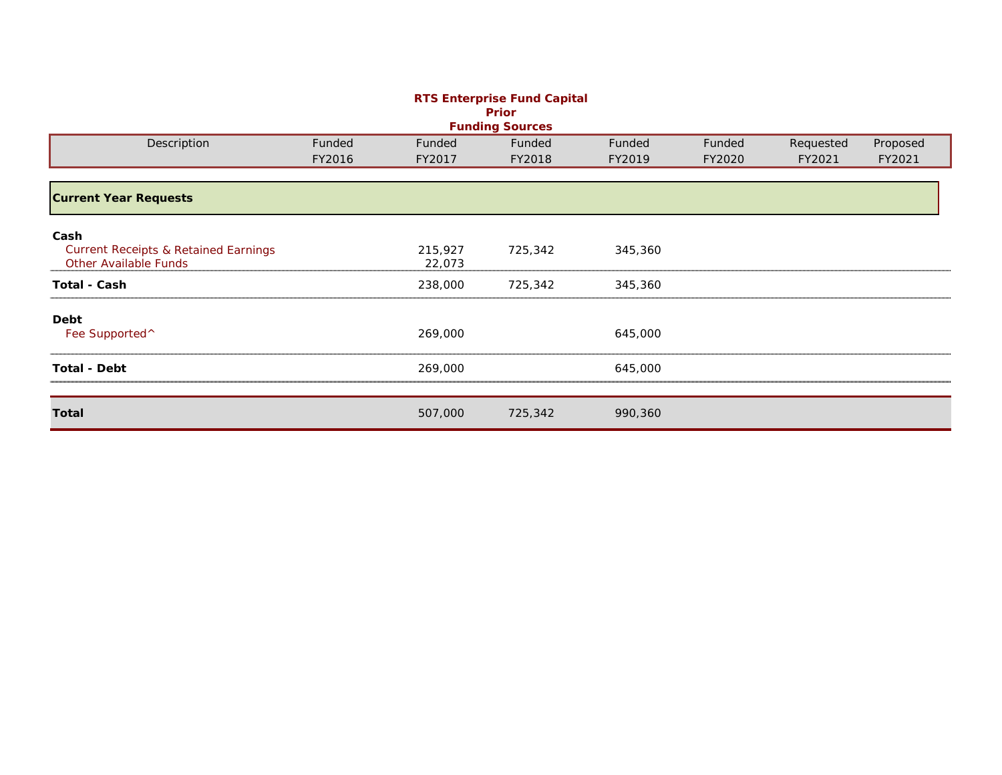| <b>RTS Enterprise Fund Capital</b><br>Prior                                             |        |                   |                        |         |        |           |          |  |  |  |  |  |
|-----------------------------------------------------------------------------------------|--------|-------------------|------------------------|---------|--------|-----------|----------|--|--|--|--|--|
|                                                                                         |        |                   | <b>Funding Sources</b> |         |        |           |          |  |  |  |  |  |
| Description                                                                             | Funded | Funded            | Funded                 | Funded  | Funded | Requested | Proposed |  |  |  |  |  |
|                                                                                         | FY2016 | FY2017            | FY2018                 | FY2019  | FY2020 | FY2021    | FY2021   |  |  |  |  |  |
| <b>Current Year Requests</b>                                                            |        |                   |                        |         |        |           |          |  |  |  |  |  |
| Cash<br><b>Current Receipts &amp; Retained Earnings</b><br><b>Other Available Funds</b> |        | 215,927<br>22,073 | 725,342                | 345,360 |        |           |          |  |  |  |  |  |
| <b>Total - Cash</b>                                                                     |        | 238,000           | 725,342                | 345,360 |        |           |          |  |  |  |  |  |
| Debt<br>Fee Supported <sup>^</sup>                                                      |        | 269,000           |                        | 645,000 |        |           |          |  |  |  |  |  |
| <b>Total - Debt</b>                                                                     |        | 269,000           |                        | 645,000 |        |           |          |  |  |  |  |  |
| <b>Total</b>                                                                            |        | 507,000           | 725,342                | 990,360 |        |           |          |  |  |  |  |  |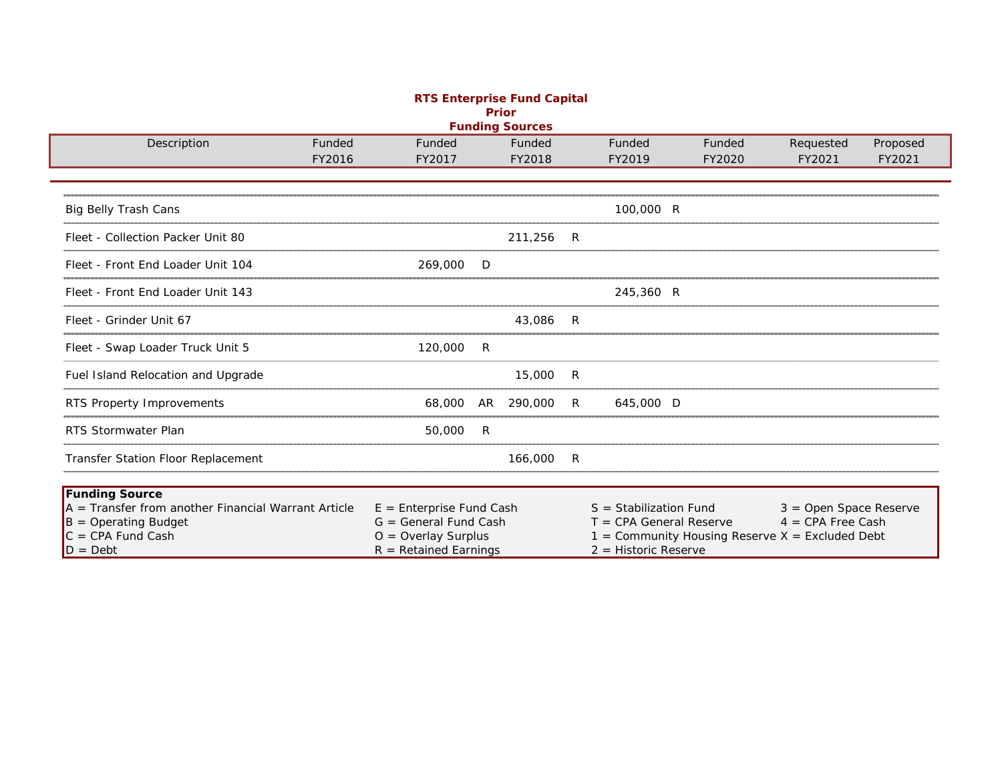| <b>RTS Enterprise Fund Capital</b><br><b>Prior</b>    |                                                       |    |                        |    |                                                       |                                                 |          |  |  |  |  |  |
|-------------------------------------------------------|-------------------------------------------------------|----|------------------------|----|-------------------------------------------------------|-------------------------------------------------|----------|--|--|--|--|--|
|                                                       |                                                       |    | <b>Funding Sources</b> |    |                                                       |                                                 |          |  |  |  |  |  |
| Description<br>Funded                                 | Funded                                                |    | Funded                 |    | Funded<br>Funded                                      | Requested                                       | Proposed |  |  |  |  |  |
| FY2016                                                | FY2017                                                |    | FY2018                 |    | FY2019<br>FY2020                                      | FY2021                                          | FY2021   |  |  |  |  |  |
| <b>Big Belly Trash Cans</b>                           |                                                       |    |                        |    | 100,000 R                                             |                                                 |          |  |  |  |  |  |
| Fleet - Collection Packer Unit 80                     |                                                       |    | 211,256                | -R |                                                       |                                                 |          |  |  |  |  |  |
| Fleet - Front End Loader Unit 104                     | 269,000                                               | D  |                        |    |                                                       |                                                 |          |  |  |  |  |  |
| Fleet - Front End Loader Unit 143                     |                                                       |    |                        |    | 245,360 R                                             |                                                 |          |  |  |  |  |  |
| Fleet - Grinder Unit 67                               |                                                       |    | 43,086                 | R  |                                                       |                                                 |          |  |  |  |  |  |
| Fleet - Swap Loader Truck Unit 5                      | 120,000                                               | R  |                        |    |                                                       |                                                 |          |  |  |  |  |  |
| Fuel Island Relocation and Upgrade                    |                                                       |    | 15,000                 | R  |                                                       |                                                 |          |  |  |  |  |  |
| RTS Property Improvements                             | 68,000                                                | AR | 290,000                | R  | 645,000 D                                             |                                                 |          |  |  |  |  |  |
| <b>RTS Stormwater Plan</b>                            | 50,000                                                | R  |                        |    |                                                       |                                                 |          |  |  |  |  |  |
| Transfer Station Floor Replacement                    |                                                       |    | 166,000                | R  |                                                       |                                                 |          |  |  |  |  |  |
| <b>Funding Source</b>                                 |                                                       |    |                        |    |                                                       |                                                 |          |  |  |  |  |  |
| $A =$ Transfer from another Financial Warrant Article | $E =$ Enterprise Fund Cash<br>$G = General$ Fund Cash |    |                        |    | $S =$ Stabilization Fund<br>$T = CPA$ General Reserve | $3 =$ Open Space Reserve<br>$4 = CPA$ Free Cash |          |  |  |  |  |  |
| $B =$ Operating Budget<br>$C = CPA$ Fund Cash         | $O =$ Overlay Surplus                                 |    |                        |    | $1 =$ Community Housing Reserve X = Excluded Debt     |                                                 |          |  |  |  |  |  |
| $D = Debt$                                            | $R = Retained Earnings$                               |    |                        |    | $2$ = Historic Reserve                                |                                                 |          |  |  |  |  |  |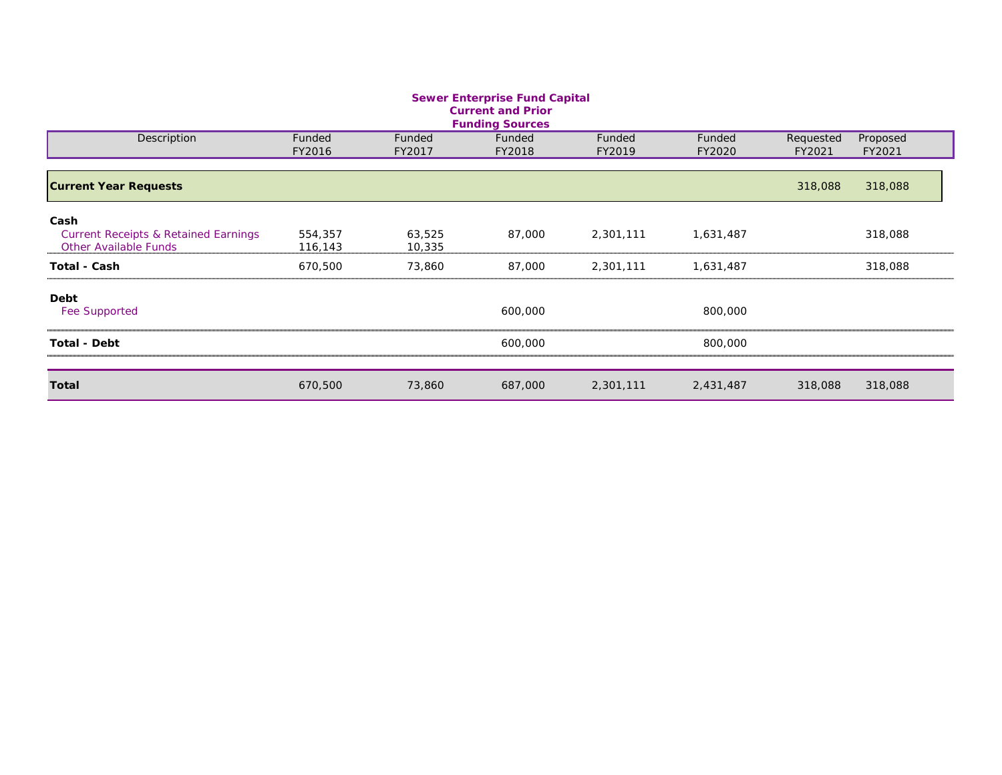| <b>Sewer Enterprise Fund Capital</b>               |         |        |         |           |           |                     |                    |  |  |  |  |  |
|----------------------------------------------------|---------|--------|---------|-----------|-----------|---------------------|--------------------|--|--|--|--|--|
| <b>Current and Prior</b><br><b>Funding Sources</b> |         |        |         |           |           |                     |                    |  |  |  |  |  |
|                                                    | Funded  | Funded | Funded  | Funded    | Funded    |                     |                    |  |  |  |  |  |
| Description                                        | FY2016  | FY2017 | FY2018  | FY2019    | FY2020    | Requested<br>FY2021 | Proposed<br>FY2021 |  |  |  |  |  |
|                                                    |         |        |         |           |           |                     |                    |  |  |  |  |  |
| <b>Current Year Requests</b>                       |         |        |         |           |           | 318,088             | 318,088            |  |  |  |  |  |
| Cash                                               |         |        |         |           |           |                     |                    |  |  |  |  |  |
| <b>Current Receipts &amp; Retained Earnings</b>    | 554,357 | 63,525 | 87,000  | 2,301,111 | 1,631,487 |                     | 318,088            |  |  |  |  |  |
| <b>Other Available Funds</b>                       | 116,143 | 10,335 |         |           |           |                     |                    |  |  |  |  |  |
| <b>Total - Cash</b>                                | 670,500 | 73,860 | 87,000  | 2,301,111 | 1,631,487 |                     | 318,088            |  |  |  |  |  |
| Debt                                               |         |        |         |           |           |                     |                    |  |  |  |  |  |
| <b>Fee Supported</b>                               |         |        | 600,000 |           | 800,000   |                     |                    |  |  |  |  |  |
| <b>Total - Debt</b>                                |         |        | 600,000 |           | 800,000   |                     |                    |  |  |  |  |  |
| <b>Total</b>                                       | 670,500 | 73,860 | 687,000 | 2,301,111 | 2,431,487 | 318,088             | 318,088            |  |  |  |  |  |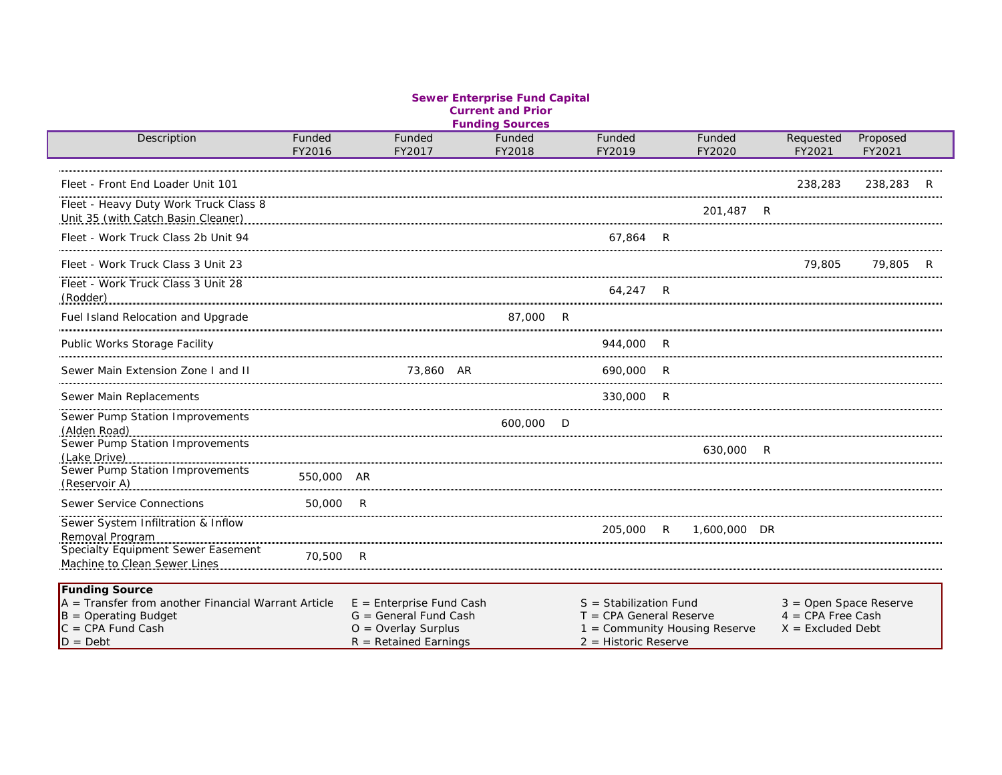#### **Sewer Enterprise Fund Capital Current and Prior Funding Sources**

| Description                                                                                                                                  | Funded<br>FY2016 | Funded<br>FY2017                                                                                          | Funded<br>FY2018 | Funded<br>FY2019                                                                                                 | Funded<br>FY2020 | Requested<br>FY2021                                                    | Proposed<br>FY2021 |  |
|----------------------------------------------------------------------------------------------------------------------------------------------|------------------|-----------------------------------------------------------------------------------------------------------|------------------|------------------------------------------------------------------------------------------------------------------|------------------|------------------------------------------------------------------------|--------------------|--|
|                                                                                                                                              |                  |                                                                                                           |                  |                                                                                                                  |                  |                                                                        |                    |  |
| Fleet - Front End Loader Unit 101                                                                                                            |                  |                                                                                                           |                  |                                                                                                                  |                  | 238,283                                                                | 238,283            |  |
| Fleet - Heavy Duty Work Truck Class 8<br>Unit 35 (with Catch Basin Cleaner)                                                                  |                  |                                                                                                           |                  |                                                                                                                  | 201,487 R        |                                                                        |                    |  |
| Fleet - Work Truck Class 2b Unit 94                                                                                                          |                  |                                                                                                           |                  | 67.864 R                                                                                                         |                  |                                                                        |                    |  |
| Fleet - Work Truck Class 3 Unit 23                                                                                                           |                  |                                                                                                           |                  |                                                                                                                  |                  | 79,805                                                                 | 79,805             |  |
| Fleet - Work Truck Class 3 Unit 28<br>(Rodder)                                                                                               |                  |                                                                                                           |                  | 64.247 R                                                                                                         |                  |                                                                        |                    |  |
| Fuel Island Relocation and Upgrade                                                                                                           |                  |                                                                                                           | 87,000 R         |                                                                                                                  |                  |                                                                        |                    |  |
| Public Works Storage Facility                                                                                                                |                  |                                                                                                           |                  | 944,000 R                                                                                                        |                  |                                                                        |                    |  |
| Sewer Main Extension Zone I and II                                                                                                           |                  | 73,860 AR                                                                                                 |                  | 690,000 R                                                                                                        |                  |                                                                        |                    |  |
| Sewer Main Replacements                                                                                                                      |                  |                                                                                                           |                  | 330,000 R                                                                                                        |                  |                                                                        |                    |  |
| Sewer Pump Station Improvements<br>(Alden Road)                                                                                              |                  |                                                                                                           | 600,000 D        |                                                                                                                  |                  |                                                                        |                    |  |
| Sewer Pump Station Improvements<br>(Lake Drive)                                                                                              |                  |                                                                                                           |                  |                                                                                                                  | 630,000 R        |                                                                        |                    |  |
| Sewer Pump Station Improvements<br>(Reservoir A)                                                                                             | 550,000 AR       |                                                                                                           |                  |                                                                                                                  |                  |                                                                        |                    |  |
| Sewer Service Connections                                                                                                                    | 50,000 R         |                                                                                                           |                  |                                                                                                                  |                  |                                                                        |                    |  |
| Sewer System Infiltration & Inflow                                                                                                           |                  |                                                                                                           |                  | 205,000 R                                                                                                        | 1,600,000 DR     |                                                                        |                    |  |
| Removal Program<br>Specialty Equipment Sewer Easement<br>Machine to Clean Sewer Lines                                                        | 70,500 R         |                                                                                                           |                  |                                                                                                                  |                  |                                                                        |                    |  |
| <b>Funding Source</b><br>$A =$ Transfer from another Financial Warrant Article<br>$B =$ Operating Budget<br>$C = CPA$ Fund Cash<br>$D = Det$ |                  | $E =$ Enterprise Fund Cash<br>$G =$ General Fund Cash<br>$O =$ Overlay Surplus<br>$R = Retained Earnings$ |                  | $S =$ Stabilization Fund<br>$T = CPA$ General Reserve<br>1 = Community Housing Reserve<br>$2$ = Historic Reserve |                  | $3 =$ Open Space Reserve<br>$4 = CPA$ Free Cash<br>$X =$ Excluded Debt |                    |  |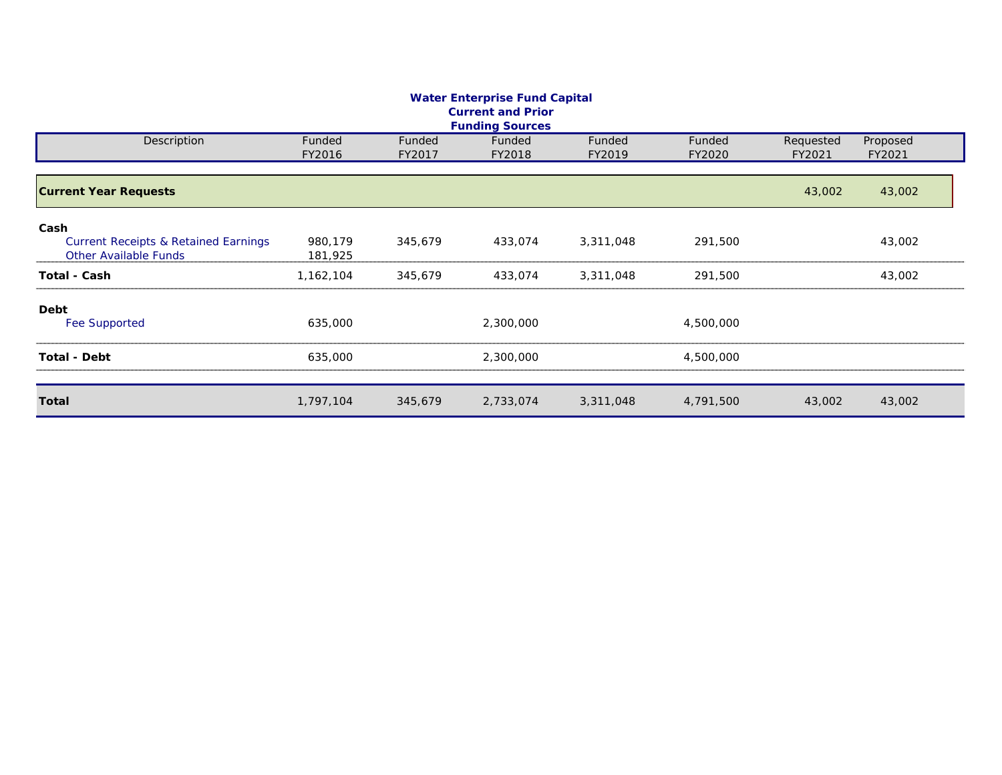| <b>Water Enterprise Fund Capital</b><br><b>Current and Prior</b><br><b>Funding Sources</b> |                    |                  |                  |                  |                  |                     |                    |  |  |  |  |  |
|--------------------------------------------------------------------------------------------|--------------------|------------------|------------------|------------------|------------------|---------------------|--------------------|--|--|--|--|--|
| Description                                                                                | Funded<br>FY2016   | Funded<br>FY2017 | Funded<br>FY2018 | Funded<br>FY2019 | Funded<br>FY2020 | Requested<br>FY2021 | Proposed<br>FY2021 |  |  |  |  |  |
| <b>Current Year Requests</b>                                                               |                    |                  |                  |                  |                  | 43,002              | 43,002             |  |  |  |  |  |
| Cash<br><b>Current Receipts &amp; Retained Earnings</b><br>Other Available Funds           | 980,179<br>181,925 | 345,679          | 433,074          | 3,311,048        | 291,500          |                     | 43,002             |  |  |  |  |  |
| <b>Total - Cash</b>                                                                        | 1,162,104          | 345,679          | 433,074          | 3,311,048        | 291,500          |                     | 43,002             |  |  |  |  |  |
| Debt<br>Fee Supported                                                                      | 635,000            |                  | 2,300,000        |                  | 4,500,000        |                     |                    |  |  |  |  |  |
| <b>Total - Debt</b>                                                                        | 635,000            |                  | 2,300,000        |                  | 4,500,000        |                     |                    |  |  |  |  |  |
| <b>Total</b>                                                                               | 1,797,104          | 345,679          | 2,733,074        | 3,311,048        | 4,791,500        | 43,002              | 43,002             |  |  |  |  |  |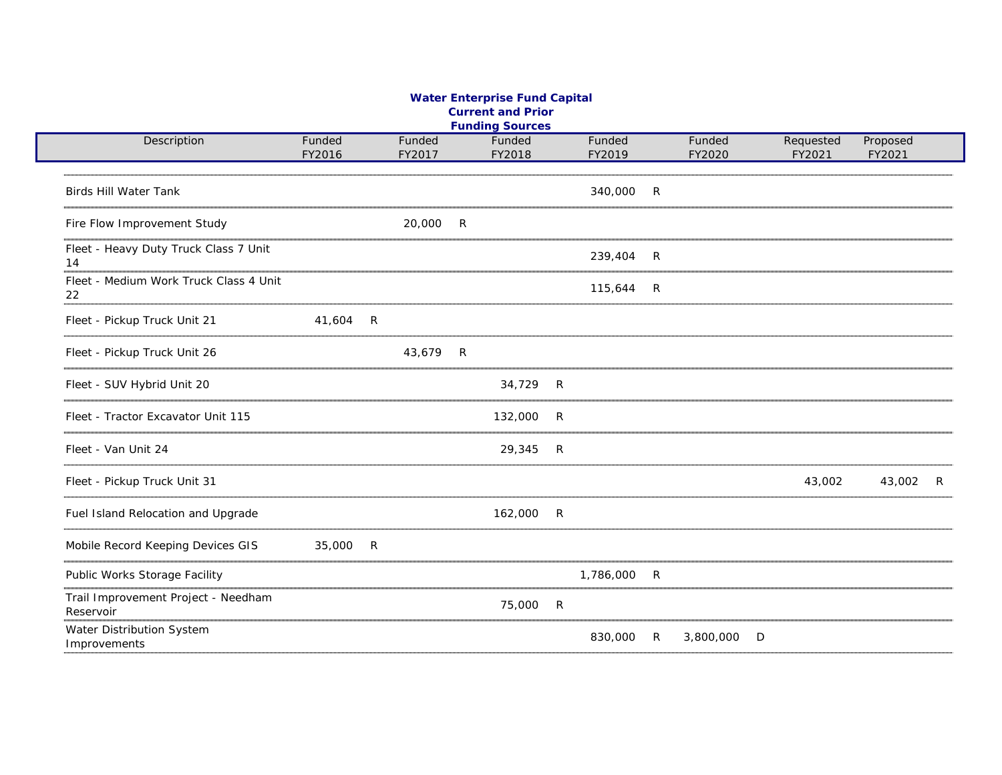#### **Water Enterprise Fund Capital Current and Prior Funding Sources**

| Description                                      | Funded<br>FY2016 |              | Funded<br>FY2017 |              | Funded<br>FY2018 |   | Funded<br>FY2019 |                | Funded<br>FY2020 |   | Requested<br>FY2021 | Proposed<br>FY2021 |   |
|--------------------------------------------------|------------------|--------------|------------------|--------------|------------------|---|------------------|----------------|------------------|---|---------------------|--------------------|---|
|                                                  |                  |              |                  |              |                  |   |                  |                |                  |   |                     |                    |   |
| <b>Birds Hill Water Tank</b>                     |                  |              |                  |              |                  |   | 340,000          | $\overline{R}$ |                  |   |                     |                    |   |
| Fire Flow Improvement Study                      |                  |              | 20,000           | R            |                  |   |                  |                |                  |   |                     |                    |   |
| Fleet - Heavy Duty Truck Class 7 Unit<br>14      |                  |              |                  |              |                  |   | 239,404 R        |                |                  |   |                     |                    |   |
| Fleet - Medium Work Truck Class 4 Unit<br>22     |                  |              |                  |              |                  |   | 115,644 R        |                |                  |   |                     |                    |   |
| Fleet - Pickup Truck Unit 21                     | 41,604           | $\mathsf{R}$ |                  |              |                  |   |                  |                |                  |   |                     |                    |   |
| Fleet - Pickup Truck Unit 26                     |                  |              | 43,679           | $\mathsf{R}$ |                  |   |                  |                |                  |   |                     |                    |   |
| Fleet - SUV Hybrid Unit 20                       |                  |              |                  |              | 34,729           | R |                  |                |                  |   |                     |                    |   |
| Fleet - Tractor Excavator Unit 115               |                  |              |                  |              | 132,000          | R |                  |                |                  |   |                     |                    |   |
| Fleet - Van Unit 24                              |                  |              |                  |              | 29,345           | R |                  |                |                  |   |                     |                    |   |
| Fleet - Pickup Truck Unit 31                     |                  |              |                  |              |                  |   |                  |                |                  |   | 43,002              | 43,002             | R |
| Fuel Island Relocation and Upgrade               |                  |              |                  |              | 162,000          | R |                  |                |                  |   |                     |                    |   |
| Mobile Record Keeping Devices GIS                | 35,000           | $\mathsf{R}$ |                  |              |                  |   |                  |                |                  |   |                     |                    |   |
| Public Works Storage Facility                    |                  |              |                  |              |                  |   | 1,786,000        | R              |                  |   |                     |                    |   |
| Trail Improvement Project - Needham<br>Reservoir |                  |              |                  |              | 75,000           | R |                  |                |                  |   |                     |                    |   |
| Water Distribution System<br>Improvements        |                  |              |                  |              |                  |   | 830,000          | R              | 3,800,000        | D |                     |                    |   |
|                                                  |                  |              |                  |              |                  |   |                  |                |                  |   |                     |                    |   |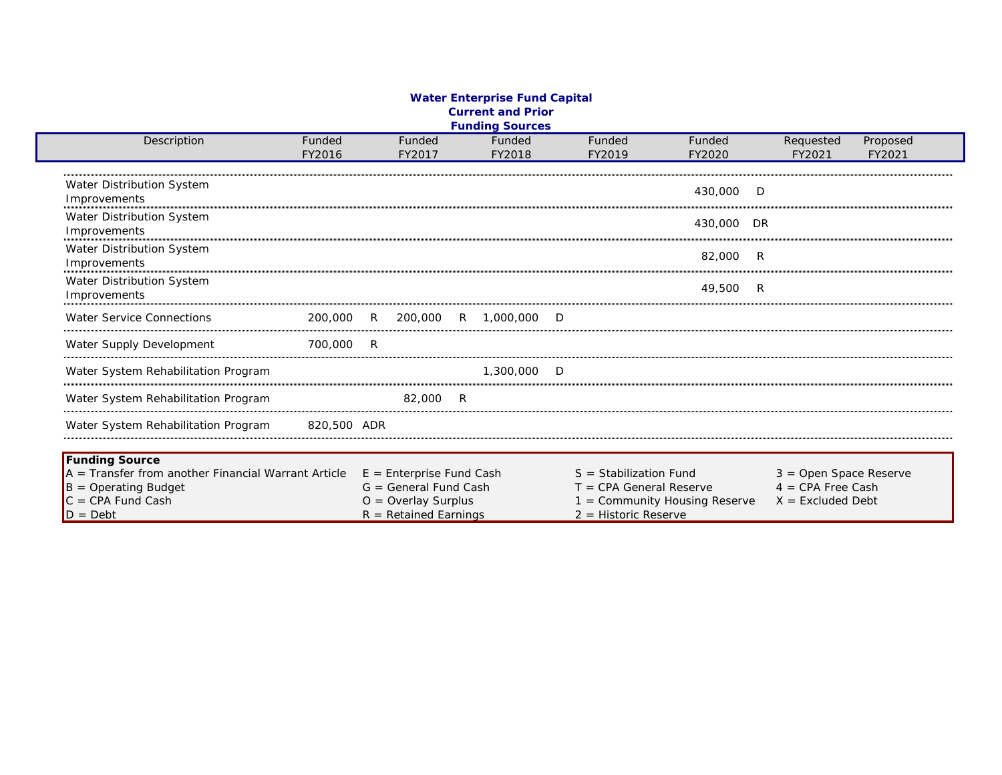#### **Water Enterprise Fund Capital Current and Prior Funding Sources**

| Description                                                                                                         | Funded<br>FY2016 |   | Funded<br>FY2017                                                                                          |    | Funded<br>FY2018 |   | Funded<br>FY2019                                                                | Funded<br>FY2020            |     | Requested<br>FY2021                                                    | Proposed<br>FY2021 |
|---------------------------------------------------------------------------------------------------------------------|------------------|---|-----------------------------------------------------------------------------------------------------------|----|------------------|---|---------------------------------------------------------------------------------|-----------------------------|-----|------------------------------------------------------------------------|--------------------|
|                                                                                                                     |                  |   |                                                                                                           |    |                  |   |                                                                                 |                             |     |                                                                        |                    |
| Water Distribution System<br>Improvements                                                                           |                  |   |                                                                                                           |    |                  |   |                                                                                 | 430,000                     | D   |                                                                        |                    |
| Water Distribution System<br>Improvements                                                                           |                  |   |                                                                                                           |    |                  |   |                                                                                 | 430,000                     | DR  |                                                                        |                    |
| Water Distribution System<br>Improvements                                                                           |                  |   |                                                                                                           |    |                  |   |                                                                                 | 82,000                      | - R |                                                                        |                    |
| Water Distribution System<br>Improvements                                                                           |                  |   |                                                                                                           |    |                  |   |                                                                                 | 49,500                      | R   |                                                                        |                    |
| <b>Water Service Connections</b>                                                                                    | 200,000          | R | 200,000                                                                                                   | R  | 1,000,000        | D |                                                                                 |                             |     |                                                                        |                    |
| Water Supply Development                                                                                            | 700,000          | R |                                                                                                           |    |                  |   |                                                                                 |                             |     |                                                                        |                    |
| Water System Rehabilitation Program                                                                                 |                  |   |                                                                                                           |    | 1,300,000        | D |                                                                                 |                             |     |                                                                        |                    |
| Water System Rehabilitation Program                                                                                 |                  |   | 82,000                                                                                                    | -R |                  |   |                                                                                 |                             |     |                                                                        |                    |
| Water System Rehabilitation Program                                                                                 | 820,500 ADR      |   |                                                                                                           |    |                  |   |                                                                                 |                             |     |                                                                        |                    |
| <b>Funding Source</b>                                                                                               |                  |   |                                                                                                           |    |                  |   |                                                                                 |                             |     |                                                                        |                    |
| $A =$ Transfer from another Financial Warrant Article<br>$B =$ Operating Budget<br>$C = CPA$ Fund Cash<br>$D = Det$ |                  |   | $E =$ Enterprise Fund Cash<br>$G = General Fund Cash$<br>$O =$ Overlay Surplus<br>$R = Retained EarningS$ |    |                  |   | $S =$ Stabilization Fund<br>$T = CPA$ General Reserve<br>$2 = Historic Reserve$ | = Community Housing Reserve |     | $3 =$ Open Space Reserve<br>$4 = CPA$ Free Cash<br>$X =$ Excluded Debt |                    |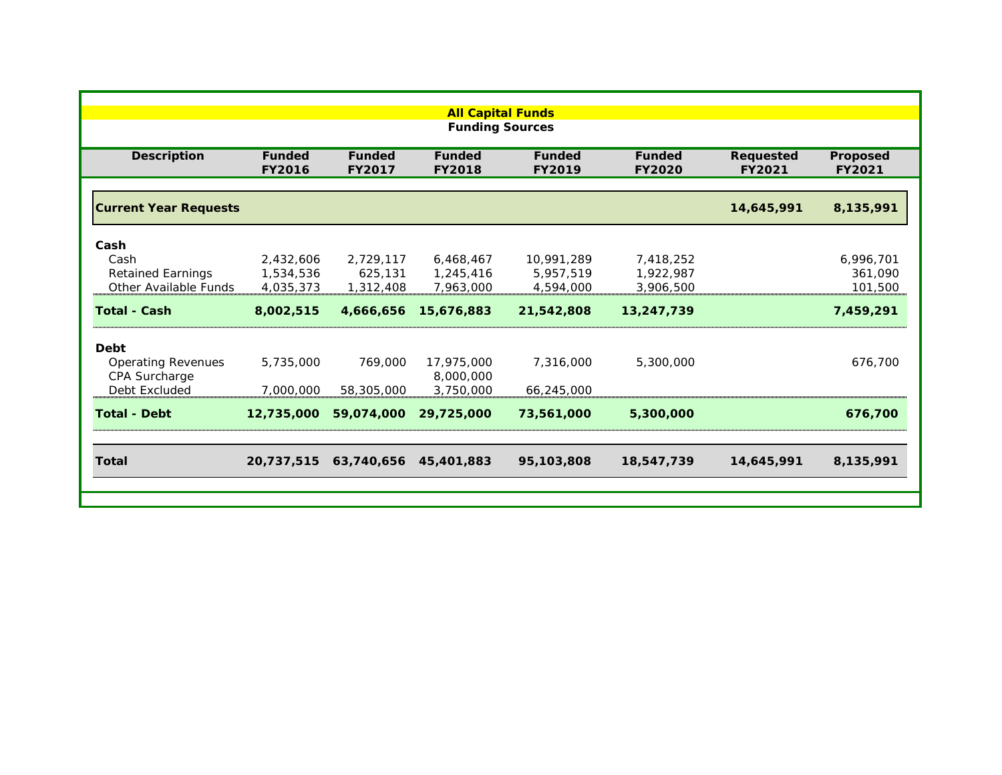|                              | <b>All Capital Funds</b>       |                         |                                |                                |                                |                     |                    |  |  |  |  |  |
|------------------------------|--------------------------------|-------------------------|--------------------------------|--------------------------------|--------------------------------|---------------------|--------------------|--|--|--|--|--|
|                              |                                |                         | <b>Funding Sources</b>         |                                |                                |                     |                    |  |  |  |  |  |
| <b>Description</b>           | <b>Funded</b><br><b>FY2016</b> | <b>Funded</b><br>FY2017 | <b>Funded</b><br><b>FY2018</b> | <b>Funded</b><br><b>FY2019</b> | <b>Funded</b><br><b>FY2020</b> | Requested<br>FY2021 | Proposed<br>FY2021 |  |  |  |  |  |
|                              |                                |                         |                                |                                |                                |                     |                    |  |  |  |  |  |
| <b>Current Year Requests</b> |                                |                         |                                |                                |                                | 14,645,991          | 8,135,991          |  |  |  |  |  |
| Cash                         |                                |                         |                                |                                |                                |                     |                    |  |  |  |  |  |
| Cash                         | 2,432,606                      | 2,729,117               | 6,468,467                      | 10,991,289                     | 7,418,252                      |                     | 6,996,701          |  |  |  |  |  |
| <b>Retained Earnings</b>     | 1,534,536                      | 625,131                 | 1,245,416                      | 5,957,519                      | 1,922,987                      |                     | 361,090            |  |  |  |  |  |
| Other Available Funds        | 4,035,373                      | 1,312,408               | 7,963,000                      | 4,594,000                      | 3,906,500                      |                     | 101,500            |  |  |  |  |  |
| <b>Total - Cash</b>          | 8,002,515                      | 4,666,656               | 15,676,883                     | 21,542,808                     | 13,247,739                     |                     | 7,459,291          |  |  |  |  |  |
| <b>Debt</b>                  |                                |                         |                                |                                |                                |                     |                    |  |  |  |  |  |
| <b>Operating Revenues</b>    | 5,735,000                      | 769,000                 | 17,975,000                     | 7,316,000                      | 5,300,000                      |                     | 676,700            |  |  |  |  |  |
| CPA Surcharge                |                                |                         | 8,000,000                      |                                |                                |                     |                    |  |  |  |  |  |
| Debt Excluded                | 7,000,000                      | 58,305,000              | 3,750,000                      | 66,245,000                     |                                |                     |                    |  |  |  |  |  |
| <b>Total - Debt</b>          | 12,735,000                     | 59,074,000              | 29,725,000                     | 73,561,000                     | 5,300,000                      |                     | 676,700            |  |  |  |  |  |
|                              |                                |                         |                                |                                |                                |                     |                    |  |  |  |  |  |
| <b>Total</b>                 | 20,737,515                     | 63,740,656              | 45,401,883                     | 95,103,808                     | 18,547,739                     | 14,645,991          | 8,135,991          |  |  |  |  |  |
|                              |                                |                         |                                |                                |                                |                     |                    |  |  |  |  |  |
|                              |                                |                         |                                |                                |                                |                     |                    |  |  |  |  |  |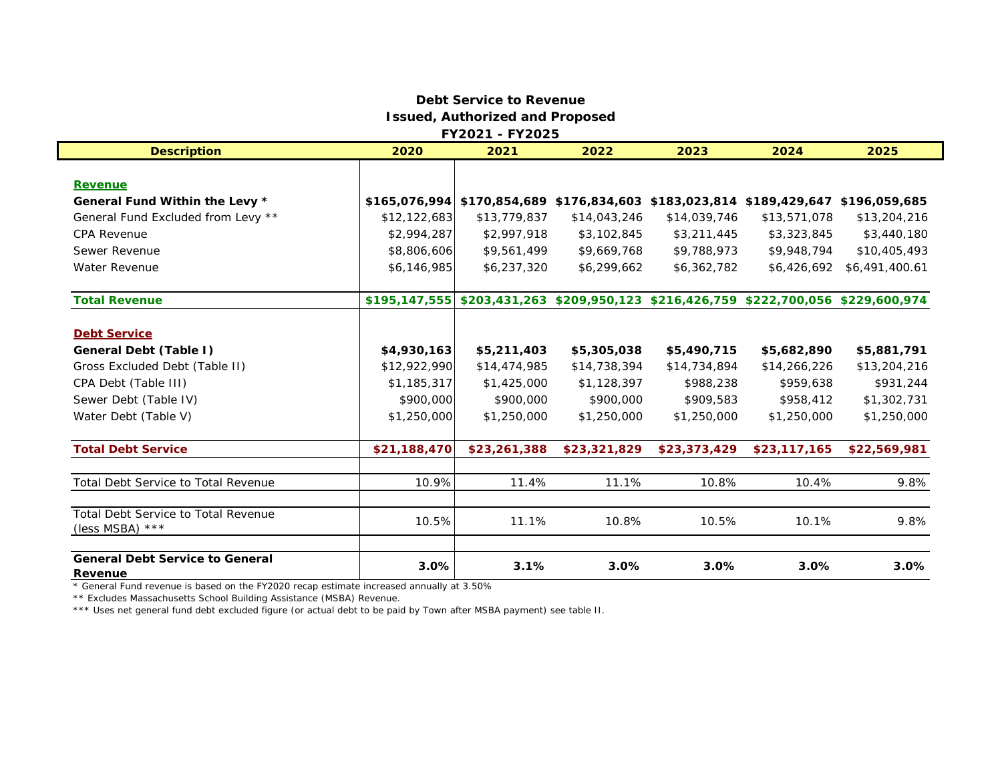### **Debt Service to RevenueIssued, Authorized and Proposed FY2021 - FY2025**

| <b>Description</b>                                | 2020         | 2021                                                                                | 2022         | 2023         | 2024         | 2025           |
|---------------------------------------------------|--------------|-------------------------------------------------------------------------------------|--------------|--------------|--------------|----------------|
|                                                   |              |                                                                                     |              |              |              |                |
| <b>Revenue</b>                                    |              |                                                                                     |              |              |              |                |
| General Fund Within the Levy *                    |              | \$165,076,994 \$170,854,689 \$176,834,603 \$183,023,814 \$189,429,647 \$196,059,685 |              |              |              |                |
| General Fund Excluded from Levy **                | \$12,122,683 | \$13,779,837                                                                        | \$14,043,246 | \$14,039,746 | \$13,571,078 | \$13,204,216   |
| <b>CPA Revenue</b>                                | \$2,994,287  | \$2,997,918                                                                         | \$3,102,845  | \$3,211,445  | \$3,323,845  | \$3,440,180    |
| Sewer Revenue                                     | \$8,806,606  | \$9,561,499                                                                         | \$9,669,768  | \$9,788,973  | \$9,948,794  | \$10,405,493   |
| <b>Water Revenue</b>                              | \$6,146,985  | \$6,237,320                                                                         | \$6,299,662  | \$6,362,782  | \$6,426,692  | \$6,491,400.61 |
| <b>Total Revenue</b>                              |              | \$195,147,555 \$203,431,263 \$209,950,123 \$216,426,759 \$222,700,056 \$229,600,974 |              |              |              |                |
| <b>Debt Service</b>                               |              |                                                                                     |              |              |              |                |
| General Debt (Table I)                            | \$4,930,163  | \$5,211,403                                                                         | \$5,305,038  | \$5,490,715  | \$5,682,890  | \$5,881,791    |
| Gross Excluded Debt (Table II)                    | \$12,922,990 | \$14,474,985                                                                        | \$14,738,394 | \$14,734,894 | \$14,266,226 | \$13,204,216   |
| CPA Debt (Table III)                              | \$1,185,317  | \$1,425,000                                                                         | \$1,128,397  | \$988,238    | \$959,638    | \$931,244      |
| Sewer Debt (Table IV)                             | \$900,000    | \$900,000                                                                           | \$900,000    | \$909,583    | \$958,412    | \$1,302,731    |
| Water Debt (Table V)                              | \$1,250,000  | \$1,250,000                                                                         | \$1,250,000  | \$1,250,000  | \$1,250,000  | \$1,250,000    |
| <b>Total Debt Service</b>                         | \$21,188,470 | \$23,261,388                                                                        | \$23,321,829 | \$23,373,429 | \$23,117,165 | \$22,569,981   |
| Total Debt Service to Total Revenue               | 10.9%        | 11.4%                                                                               | 11.1%        | 10.8%        | 10.4%        | 9.8%           |
| <b>Total Debt Service to Total Revenue</b>        |              |                                                                                     |              |              |              |                |
| (less MSBA) $***$                                 | 10.5%        | 11.1%                                                                               | 10.8%        | 10.5%        | 10.1%        | 9.8%           |
| <b>General Debt Service to General</b><br>Revenue | 3.0%         | 3.1%                                                                                | 3.0%         | 3.0%         | 3.0%         | 3.0%           |

\* General Fund revenue is based on the FY2020 recap estimate increased annually at 3.50%

\*\* Excludes Massachusetts School Building Assistance (MSBA) Revenue.

\*\*\* Uses net general fund debt excluded figure (or actual debt to be paid by Town after MSBA payment) see table II.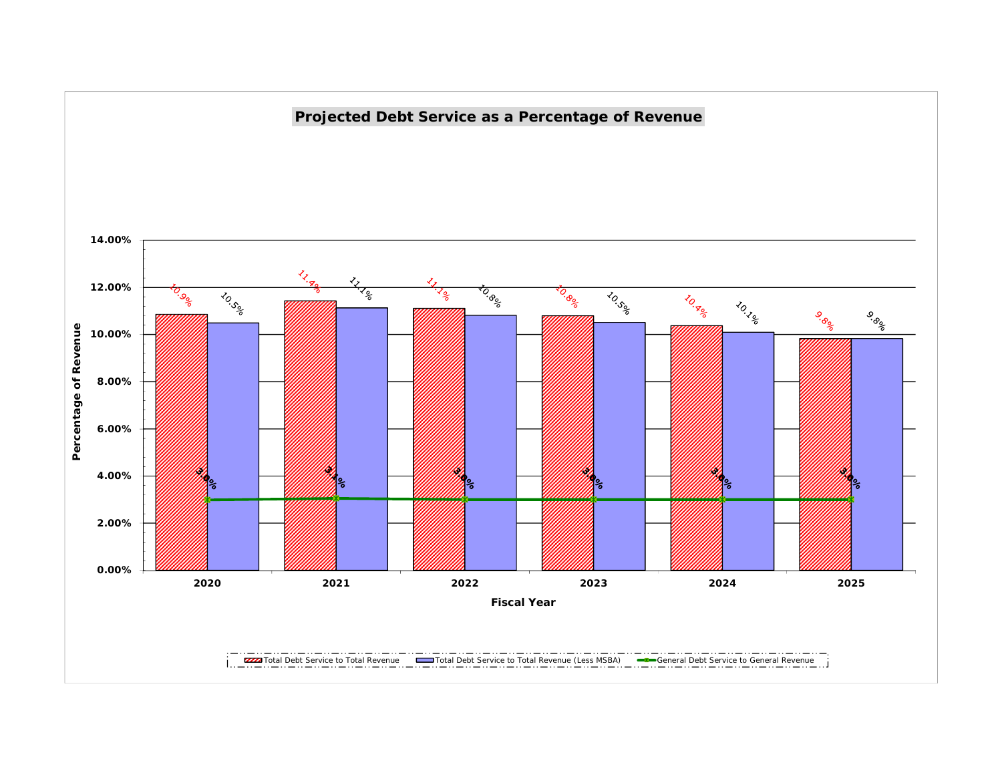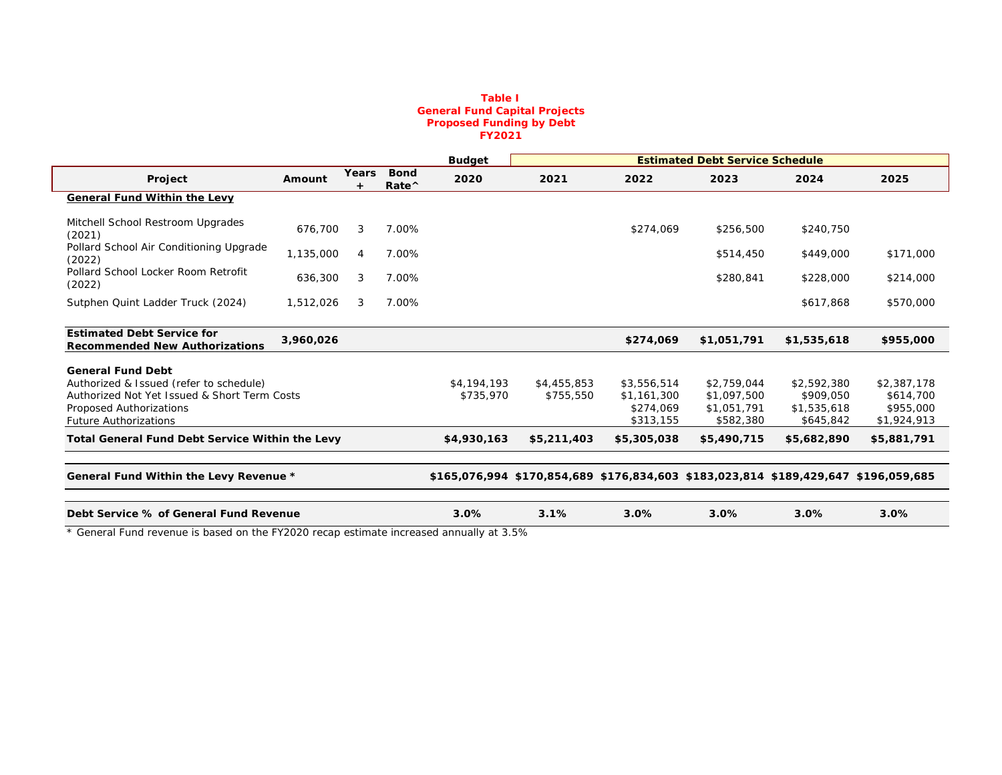#### **Table I General Fund Capital Projects Proposed Funding by Debt FY2021**

|                                                                            |           |              |                              | <b>Budget</b> |             |             | <b>Estimated Debt Service Schedule</b> |                                                                                     |             |
|----------------------------------------------------------------------------|-----------|--------------|------------------------------|---------------|-------------|-------------|----------------------------------------|-------------------------------------------------------------------------------------|-------------|
| Project                                                                    | Amount    | <b>Years</b> | <b>Bond</b><br>Rate $\wedge$ | 2020          | 2021        | 2022        | 2023                                   | 2024                                                                                | 2025        |
| <b>General Fund Within the Levy</b>                                        |           |              |                              |               |             |             |                                        |                                                                                     |             |
| Mitchell School Restroom Upgrades<br>(2021)                                | 676,700   | 3            | 7.00%                        |               |             | \$274,069   | \$256,500                              | \$240,750                                                                           |             |
| Pollard School Air Conditioning Upgrade<br>(2022)                          | 1,135,000 | 4            | 7.00%                        |               |             |             | \$514,450                              | \$449,000                                                                           | \$171,000   |
| Pollard School Locker Room Retrofit<br>(2022)                              | 636,300   | 3            | 7.00%                        |               |             |             | \$280,841                              | \$228,000                                                                           | \$214,000   |
| Sutphen Quint Ladder Truck (2024)                                          | 1,512,026 | 3            | 7.00%                        |               |             |             |                                        | \$617,868                                                                           | \$570,000   |
|                                                                            |           |              |                              |               |             |             |                                        |                                                                                     |             |
| <b>Estimated Debt Service for</b><br><b>Recommended New Authorizations</b> | 3,960,026 |              |                              |               |             | \$274,069   | \$1,051,791                            | \$1,535,618                                                                         | \$955,000   |
| <b>General Fund Debt</b>                                                   |           |              |                              |               |             |             |                                        |                                                                                     |             |
| Authorized & Issued (refer to schedule)                                    |           |              |                              | \$4,194,193   | \$4,455,853 | \$3,556,514 | \$2,759,044                            | \$2,592,380                                                                         | \$2,387,178 |
| Authorized Not Yet Issued & Short Term Costs                               |           |              |                              | \$735,970     | \$755,550   | \$1,161,300 | \$1,097,500                            | \$909,050                                                                           | \$614,700   |
| Proposed Authorizations                                                    |           |              |                              |               |             | \$274.069   | \$1,051,791                            | \$1,535,618                                                                         | \$955,000   |
| <b>Future Authorizations</b>                                               |           |              |                              |               |             | \$313,155   | \$582,380                              | \$645,842                                                                           | \$1,924,913 |
| <b>Total General Fund Debt Service Within the Levy</b>                     |           |              |                              | \$4,930,163   | \$5,211,403 | \$5,305,038 | \$5,490,715                            | \$5,682,890                                                                         | \$5,881,791 |
|                                                                            |           |              |                              |               |             |             |                                        |                                                                                     |             |
| General Fund Within the Levy Revenue *                                     |           |              |                              |               |             |             |                                        | \$165,076,994 \$170,854,689 \$176,834,603 \$183,023,814 \$189,429,647 \$196,059,685 |             |
|                                                                            |           |              |                              |               |             |             |                                        |                                                                                     |             |
| Debt Service % of General Fund Revenue                                     |           |              |                              | 3.0%          | 3.1%        | 3.0%        | 3.0%                                   | 3.0%                                                                                | 3.0%        |

\* General Fund revenue is based on the FY2020 recap estimate increased annually at 3.5%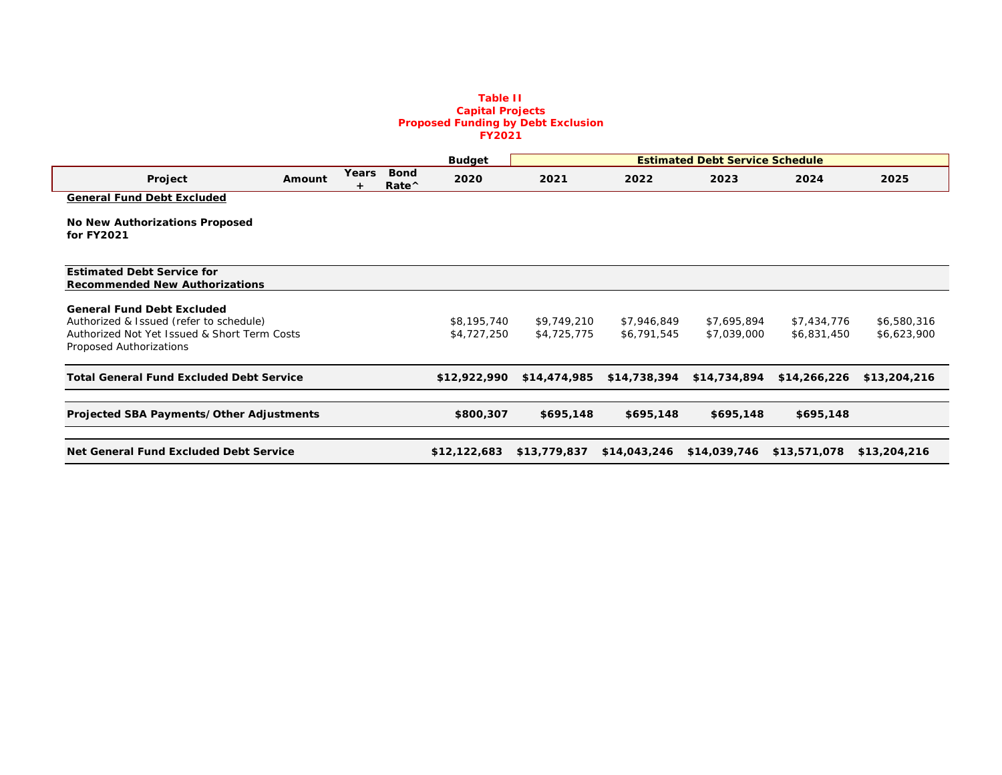#### **Table II Capital Projects Proposed Funding by Debt Exclusion FY2021**

|                                                 |        |            |                                                    | <b>Budget</b> |              |              | <b>Estimated Debt Service Schedule</b> |              |              |
|-------------------------------------------------|--------|------------|----------------------------------------------------|---------------|--------------|--------------|----------------------------------------|--------------|--------------|
| Project                                         | Amount | Years<br>÷ | <b>Bond</b><br>Rate <sup><math>\wedge</math></sup> | 2020          | 2021         | 2022         | 2023                                   | 2024         | 2025         |
| <b>General Fund Debt Excluded</b>               |        |            |                                                    |               |              |              |                                        |              |              |
| No New Authorizations Proposed                  |        |            |                                                    |               |              |              |                                        |              |              |
| for FY2021                                      |        |            |                                                    |               |              |              |                                        |              |              |
|                                                 |        |            |                                                    |               |              |              |                                        |              |              |
| <b>Estimated Debt Service for</b>               |        |            |                                                    |               |              |              |                                        |              |              |
| <b>Recommended New Authorizations</b>           |        |            |                                                    |               |              |              |                                        |              |              |
| <b>General Fund Debt Excluded</b>               |        |            |                                                    |               |              |              |                                        |              |              |
| Authorized & Issued (refer to schedule)         |        |            |                                                    | \$8,195,740   | \$9,749,210  | \$7,946,849  | \$7,695,894                            | \$7,434,776  | \$6,580,316  |
| Authorized Not Yet Issued & Short Term Costs    |        |            |                                                    | \$4,727,250   | \$4,725,775  | \$6,791,545  | \$7,039,000                            | \$6,831,450  | \$6,623,900  |
| Proposed Authorizations                         |        |            |                                                    |               |              |              |                                        |              |              |
| <b>Total General Fund Excluded Debt Service</b> |        |            |                                                    | \$12,922,990  | \$14,474,985 | \$14,738,394 | \$14,734,894                           | \$14,266,226 | \$13,204,216 |
|                                                 |        |            |                                                    |               |              |              |                                        |              |              |
| Projected SBA Payments/Other Adjustments        |        |            |                                                    | \$800,307     | \$695,148    | \$695,148    | \$695,148                              | \$695,148    |              |
|                                                 |        |            |                                                    |               |              |              |                                        |              |              |
| Net General Fund Excluded Debt Service          |        |            |                                                    | \$12,122,683  | \$13,779,837 | \$14,043,246 | \$14,039,746                           | \$13,571,078 | \$13,204,216 |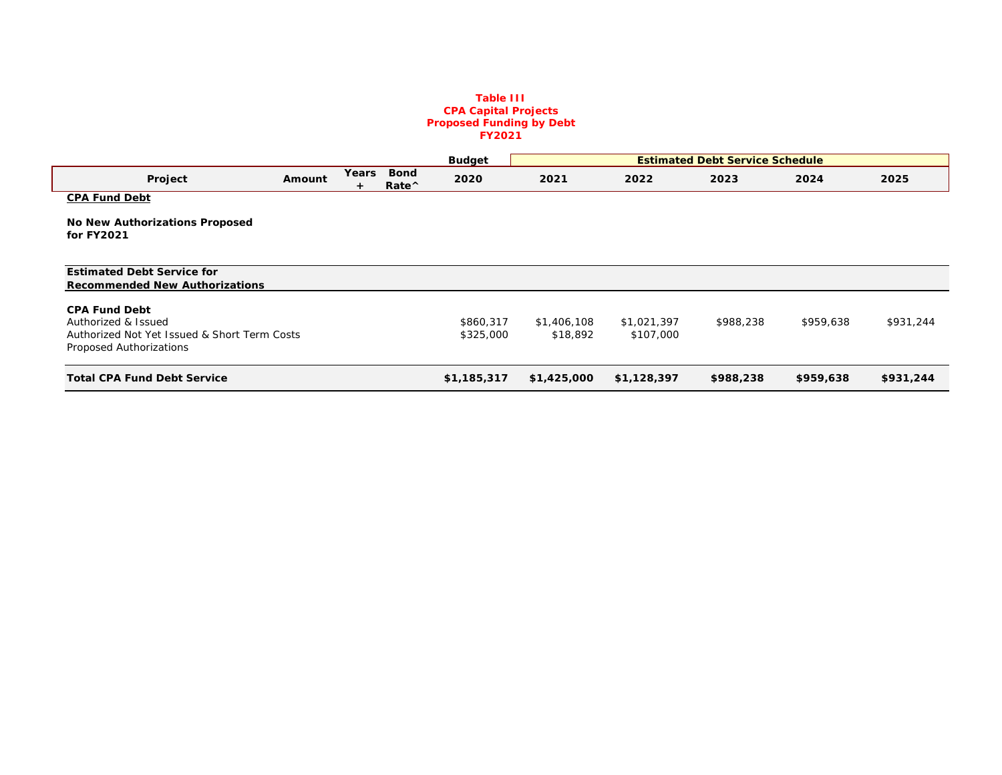#### **Table III CPA Capital Projects Proposed Funding by Debt FY2021**

|                                                                                                                        |        |            |                              | <b>Budget</b>          |                         |                          | <b>Estimated Debt Service Schedule</b> |           |           |
|------------------------------------------------------------------------------------------------------------------------|--------|------------|------------------------------|------------------------|-------------------------|--------------------------|----------------------------------------|-----------|-----------|
| Project                                                                                                                | Amount | Years<br>÷ | <b>Bond</b><br>Rate $\wedge$ | 2020                   | 2021                    | 2022                     | 2023                                   | 2024      | 2025      |
| <b>CPA Fund Debt</b>                                                                                                   |        |            |                              |                        |                         |                          |                                        |           |           |
| <b>No New Authorizations Proposed</b><br>for FY2021                                                                    |        |            |                              |                        |                         |                          |                                        |           |           |
| <b>Estimated Debt Service for</b><br><b>Recommended New Authorizations</b>                                             |        |            |                              |                        |                         |                          |                                        |           |           |
| <b>CPA Fund Debt</b><br>Authorized & Issued<br>Authorized Not Yet Issued & Short Term Costs<br>Proposed Authorizations |        |            |                              | \$860,317<br>\$325,000 | \$1,406,108<br>\$18,892 | \$1,021,397<br>\$107,000 | \$988,238                              | \$959,638 | \$931,244 |
| <b>Total CPA Fund Debt Service</b>                                                                                     |        |            |                              | \$1,185,317            | \$1,425,000             | \$1,128,397              | \$988,238                              | \$959,638 | \$931,244 |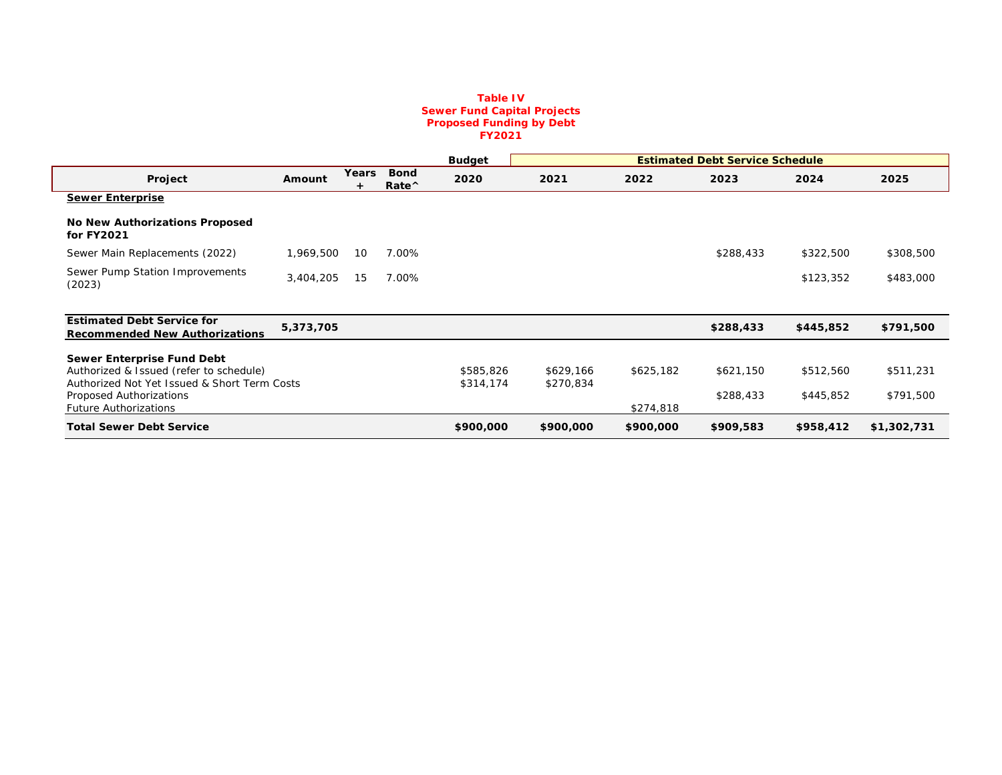#### **Table IV Sewer Fund Capital Projects Proposed Funding by Debt FY2021**

|                                                                                         |           |            |                                | <b>Budget</b>          | <b>Estimated Debt Service Schedule</b> |           |           |           |             |
|-----------------------------------------------------------------------------------------|-----------|------------|--------------------------------|------------------------|----------------------------------------|-----------|-----------|-----------|-------------|
| Project                                                                                 | Amount    | Years<br>÷ | <b>Bond</b><br>$Rate^{\wedge}$ | 2020                   | 2021                                   | 2022      | 2023      | 2024      | 2025        |
| <b>Sewer Enterprise</b>                                                                 |           |            |                                |                        |                                        |           |           |           |             |
| <b>No New Authorizations Proposed</b><br>for FY2021                                     |           |            |                                |                        |                                        |           |           |           |             |
| Sewer Main Replacements (2022)                                                          | 1,969,500 | 10         | 7.00%                          |                        |                                        |           | \$288,433 | \$322,500 | \$308,500   |
| Sewer Pump Station Improvements<br>(2023)                                               | 3,404,205 | 15         | 7.00%                          |                        |                                        |           |           | \$123,352 | \$483,000   |
|                                                                                         |           |            |                                |                        |                                        |           |           |           |             |
| <b>Estimated Debt Service for</b><br><b>Recommended New Authorizations</b>              | 5,373,705 |            |                                |                        |                                        |           | \$288,433 | \$445,852 | \$791,500   |
| Sewer Enterprise Fund Debt                                                              |           |            |                                |                        |                                        |           |           |           |             |
| Authorized & Issued (refer to schedule)<br>Authorized Not Yet Issued & Short Term Costs |           |            |                                | \$585,826<br>\$314,174 | \$629,166<br>\$270,834                 | \$625,182 | \$621,150 | \$512,560 | \$511,231   |
| Proposed Authorizations                                                                 |           |            |                                |                        |                                        |           | \$288,433 | \$445,852 | \$791,500   |
| <b>Future Authorizations</b>                                                            |           |            |                                |                        |                                        | \$274,818 |           |           |             |
| <b>Total Sewer Debt Service</b>                                                         |           |            |                                | \$900,000              | \$900,000                              | \$900,000 | \$909,583 | \$958,412 | \$1,302,731 |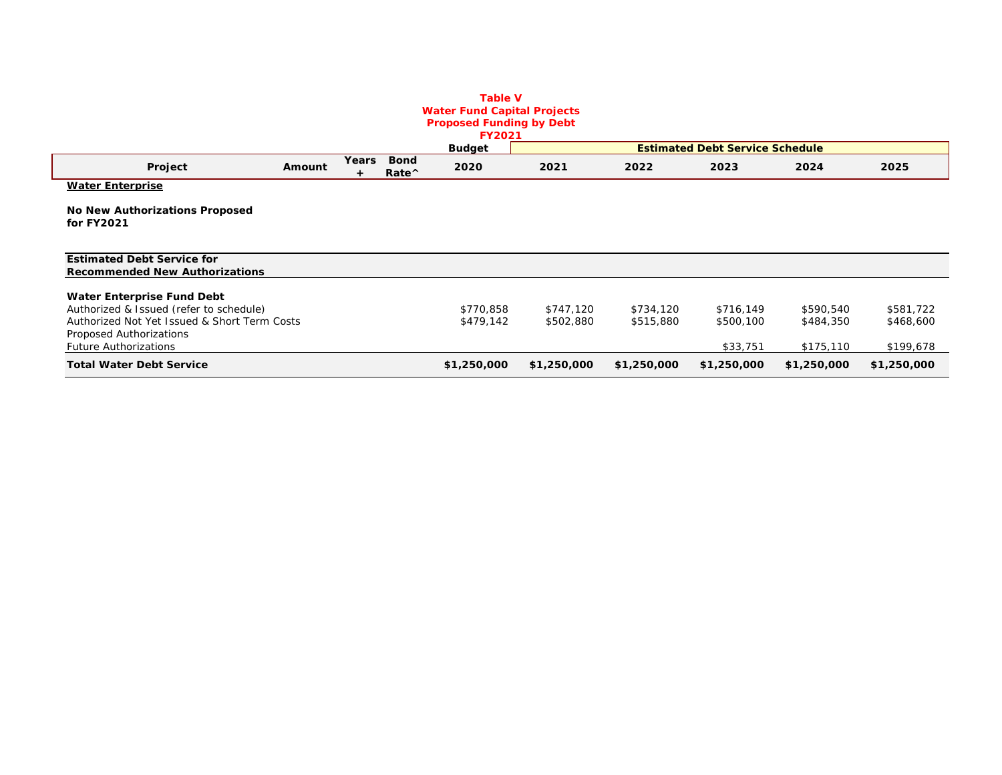### **Table V Water Fund Capital Projects Proposed Funding by Debt**

|                                                                            |        |       |                                | <b>FY2021</b> |             |             |                                        |             |             |
|----------------------------------------------------------------------------|--------|-------|--------------------------------|---------------|-------------|-------------|----------------------------------------|-------------|-------------|
|                                                                            |        |       |                                | <b>Budget</b> |             |             | <b>Estimated Debt Service Schedule</b> |             |             |
| Project                                                                    | Amount | Years | <b>Bond</b><br>$Rate^{\wedge}$ | 2020          | 2021        | 2022        | 2023                                   | 2024        | 2025        |
| <b>Water Enterprise</b>                                                    |        |       |                                |               |             |             |                                        |             |             |
| No New Authorizations Proposed<br>for FY2021                               |        |       |                                |               |             |             |                                        |             |             |
| <b>Estimated Debt Service for</b><br><b>Recommended New Authorizations</b> |        |       |                                |               |             |             |                                        |             |             |
| Water Enterprise Fund Debt                                                 |        |       |                                |               |             |             |                                        |             |             |
| Authorized & Issued (refer to schedule)                                    |        |       |                                | \$770,858     | \$747,120   | \$734,120   | \$716,149                              | \$590,540   | \$581,722   |
| Authorized Not Yet Issued & Short Term Costs                               |        |       |                                | \$479,142     | \$502,880   | \$515,880   | \$500,100                              | \$484,350   | \$468,600   |
| Proposed Authorizations                                                    |        |       |                                |               |             |             |                                        |             |             |
| <b>Future Authorizations</b>                                               |        |       |                                |               |             |             | \$33,751                               | \$175,110   | \$199,678   |
| <b>Total Water Debt Service</b>                                            |        |       |                                | \$1,250,000   | \$1,250,000 | \$1,250,000 | \$1,250,000                            | \$1,250,000 | \$1,250,000 |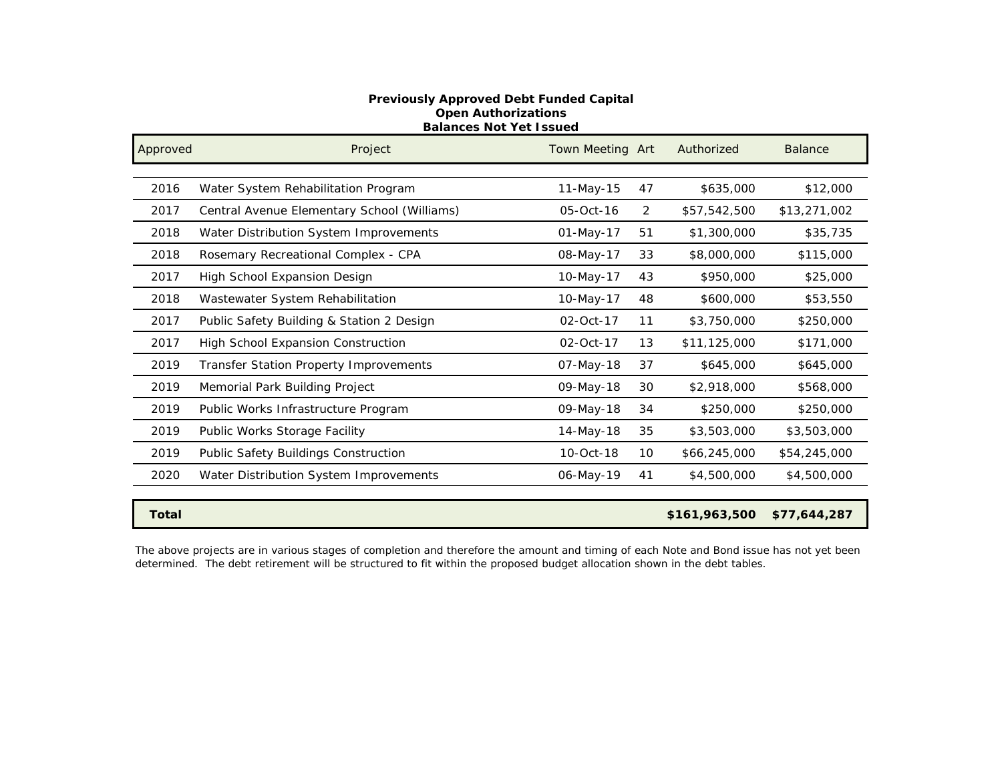### **Previously Approved Debt Funded Capital Open Authorizations Balances Not Yet Issued**

| Approved     | Project                                       | Town Meeting Art |    | Authorized    | <b>Balance</b> |
|--------------|-----------------------------------------------|------------------|----|---------------|----------------|
|              |                                               |                  |    |               |                |
| 2016         | Water System Rehabilitation Program           | 11-May-15        | 47 | \$635,000     | \$12,000       |
| 2017         | Central Avenue Elementary School (Williams)   | 05-Oct-16        | 2  | \$57,542,500  | \$13,271,002   |
| 2018         | Water Distribution System Improvements        | 01-May-17        | 51 | \$1,300,000   | \$35,735       |
| 2018         | Rosemary Recreational Complex - CPA           | 08-May-17        | 33 | \$8,000,000   | \$115,000      |
| 2017         | High School Expansion Design                  | 10-May-17        | 43 | \$950,000     | \$25,000       |
| 2018         | Wastewater System Rehabilitation              | 10-May-17        | 48 | \$600,000     | \$53,550       |
| 2017         | Public Safety Building & Station 2 Design     | 02-Oct-17        | 11 | \$3,750,000   | \$250,000      |
| 2017         | High School Expansion Construction            | 02-Oct-17        | 13 | \$11,125,000  | \$171,000      |
| 2019         | <b>Transfer Station Property Improvements</b> | 07-May-18        | 37 | \$645,000     | \$645,000      |
| 2019         | Memorial Park Building Project                | 09-May-18        | 30 | \$2,918,000   | \$568,000      |
| 2019         | Public Works Infrastructure Program           | 09-May-18        | 34 | \$250,000     | \$250,000      |
| 2019         | Public Works Storage Facility                 | 14-May-18        | 35 | \$3,503,000   | \$3,503,000    |
| 2019         | Public Safety Buildings Construction          | 10-Oct-18        | 10 | \$66,245,000  | \$54,245,000   |
| 2020         | Water Distribution System Improvements        | 06-May-19        | 41 | \$4,500,000   | \$4,500,000    |
|              |                                               |                  |    |               |                |
| <b>Total</b> |                                               |                  |    | \$161,963,500 | \$77,644,287   |

The above projects are in various stages of completion and therefore the amount and timing of each Note and Bond issue has not yet been determined. The debt retirement will be structured to fit within the proposed budget allocation shown in the debt tables.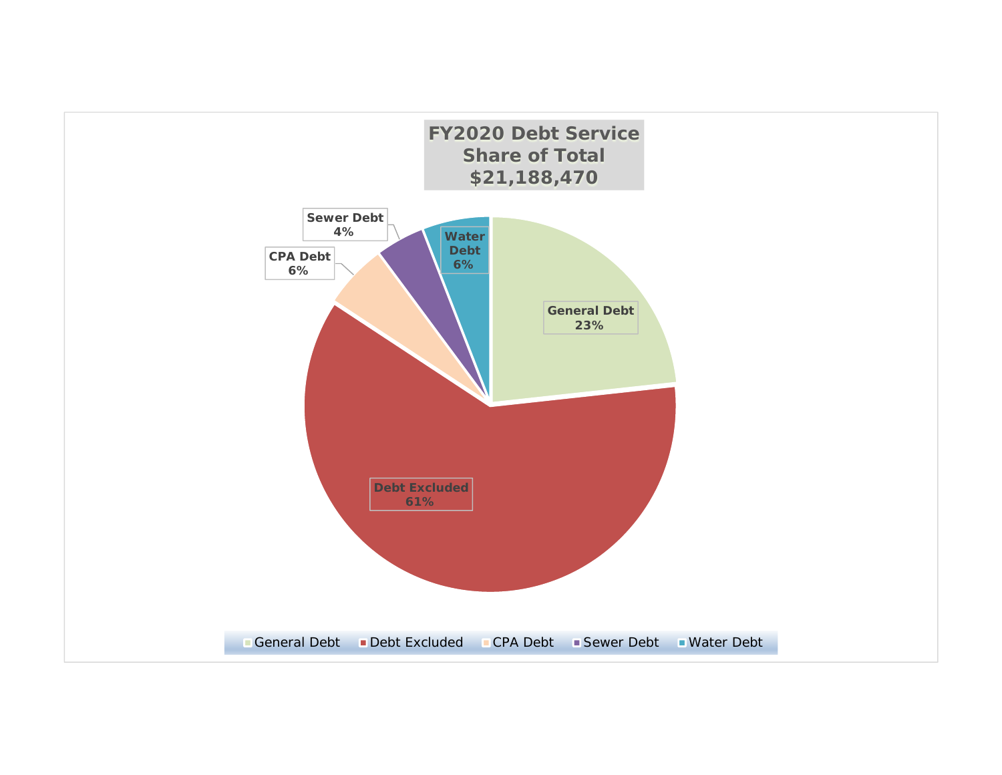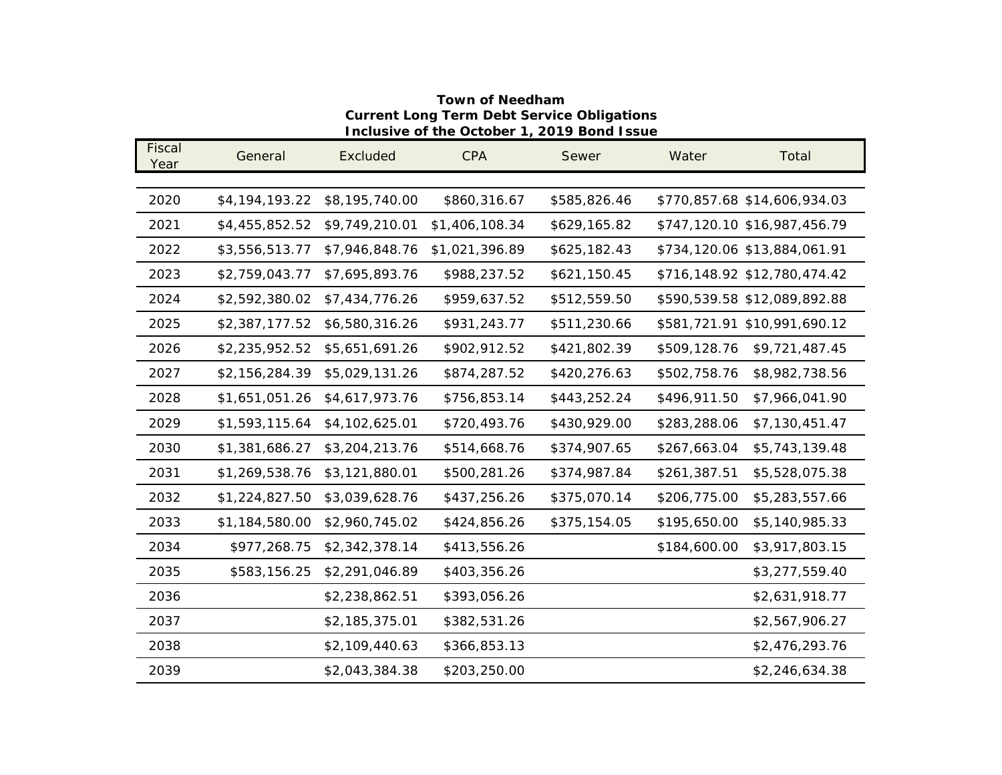### **Town of Needham Current Long Term Debt Service Obligations Inclusive of the October 1, 2019 Bond Issue**

| Fiscal<br>Year | General        | Excluded       | <b>CPA</b>     | Sewer        | Water        | Total                        |
|----------------|----------------|----------------|----------------|--------------|--------------|------------------------------|
|                |                |                |                |              |              |                              |
| 2020           | \$4,194,193.22 | \$8,195,740.00 | \$860,316.67   | \$585,826.46 |              | \$770,857.68 \$14,606,934.03 |
| 2021           | \$4,455,852.52 | \$9,749,210.01 | \$1,406,108.34 | \$629,165.82 |              | \$747,120.10 \$16,987,456.79 |
| 2022           | \$3,556,513.77 | \$7,946,848.76 | \$1,021,396.89 | \$625,182.43 |              | \$734,120.06 \$13,884,061.91 |
| 2023           | \$2,759,043.77 | \$7,695,893.76 | \$988,237.52   | \$621,150.45 |              | \$716,148.92 \$12,780,474.42 |
| 2024           | \$2,592,380.02 | \$7,434,776.26 | \$959,637.52   | \$512,559.50 |              | \$590,539.58 \$12,089,892.88 |
| 2025           | \$2,387,177.52 | \$6,580,316.26 | \$931,243.77   | \$511,230.66 |              | \$581,721.91 \$10,991,690.12 |
| 2026           | \$2,235,952.52 | \$5,651,691.26 | \$902,912.52   | \$421,802.39 | \$509,128.76 | \$9,721,487.45               |
| 2027           | \$2,156,284.39 | \$5,029,131.26 | \$874,287.52   | \$420,276.63 | \$502,758.76 | \$8,982,738.56               |
| 2028           | \$1,651,051.26 | \$4,617,973.76 | \$756,853.14   | \$443,252.24 | \$496,911.50 | \$7,966,041.90               |
| 2029           | \$1,593,115.64 | \$4,102,625.01 | \$720,493.76   | \$430,929.00 | \$283,288.06 | \$7,130,451.47               |
| 2030           | \$1,381,686.27 | \$3,204,213.76 | \$514,668.76   | \$374,907.65 | \$267,663.04 | \$5,743,139.48               |
| 2031           | \$1,269,538.76 | \$3,121,880.01 | \$500,281.26   | \$374,987.84 | \$261,387.51 | \$5,528,075.38               |
| 2032           | \$1,224,827.50 | \$3,039,628.76 | \$437,256.26   | \$375,070.14 | \$206,775.00 | \$5,283,557.66               |
| 2033           | \$1,184,580.00 | \$2,960,745.02 | \$424,856.26   | \$375,154.05 | \$195,650.00 | \$5,140,985.33               |
| 2034           | \$977,268.75   | \$2,342,378.14 | \$413,556.26   |              | \$184,600.00 | \$3,917,803.15               |
| 2035           | \$583,156.25   | \$2,291,046.89 | \$403,356.26   |              |              | \$3,277,559.40               |
| 2036           |                | \$2,238,862.51 | \$393,056.26   |              |              | \$2,631,918.77               |
| 2037           |                | \$2,185,375.01 | \$382,531.26   |              |              | \$2,567,906.27               |
| 2038           |                | \$2,109,440.63 | \$366,853.13   |              |              | \$2,476,293.76               |
| 2039           |                | \$2,043,384.38 | \$203,250.00   |              |              | \$2,246,634.38               |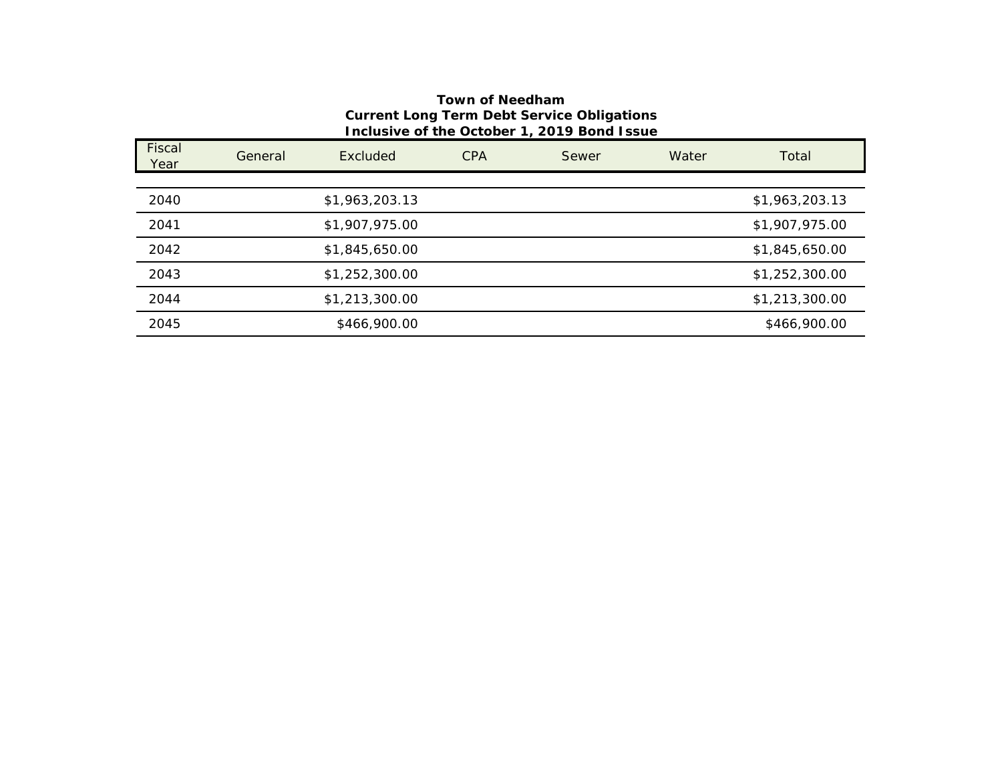### **Town of Needham Current Long Term Debt Service Obligations Inclusive of the October 1, 2019 Bond Issue**

| Fiscal<br>Year | General | Excluded       | <b>CPA</b> | Sewer | Water | Total          |
|----------------|---------|----------------|------------|-------|-------|----------------|
|                |         |                |            |       |       |                |
| 2040           |         | \$1,963,203.13 |            |       |       | \$1,963,203.13 |
| 2041           |         | \$1,907,975.00 |            |       |       | \$1,907,975.00 |
| 2042           |         | \$1,845,650.00 |            |       |       | \$1,845,650.00 |
| 2043           |         | \$1,252,300.00 |            |       |       | \$1,252,300.00 |
| 2044           |         | \$1,213,300.00 |            |       |       | \$1,213,300.00 |
| 2045           |         | \$466,900.00   |            |       |       | \$466,900.00   |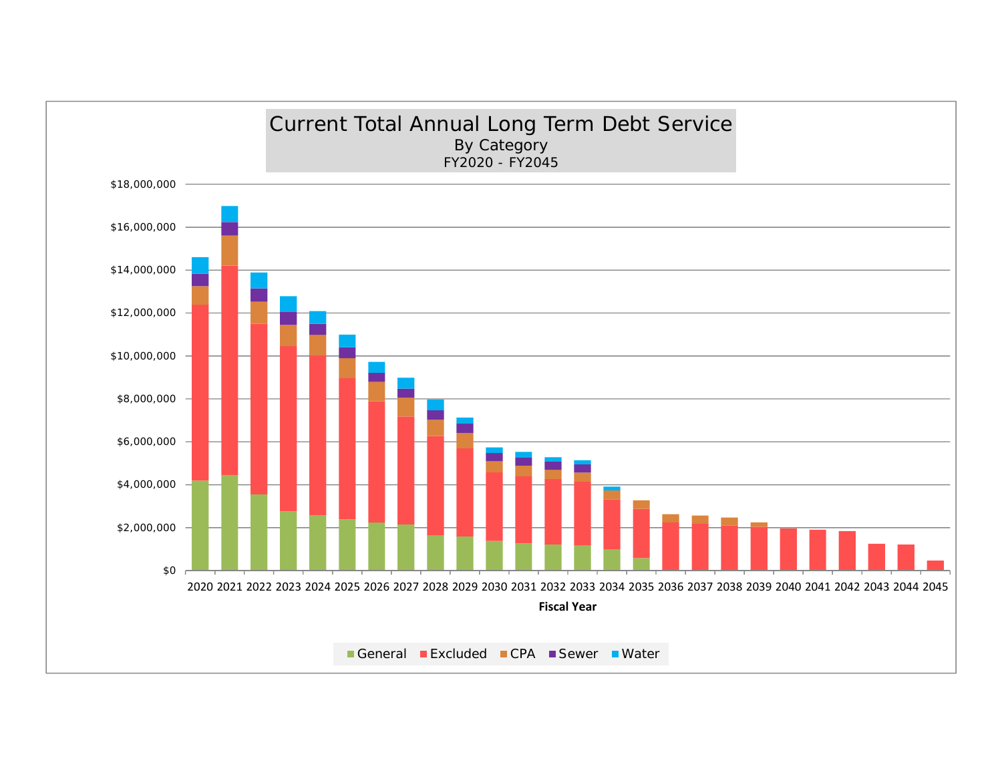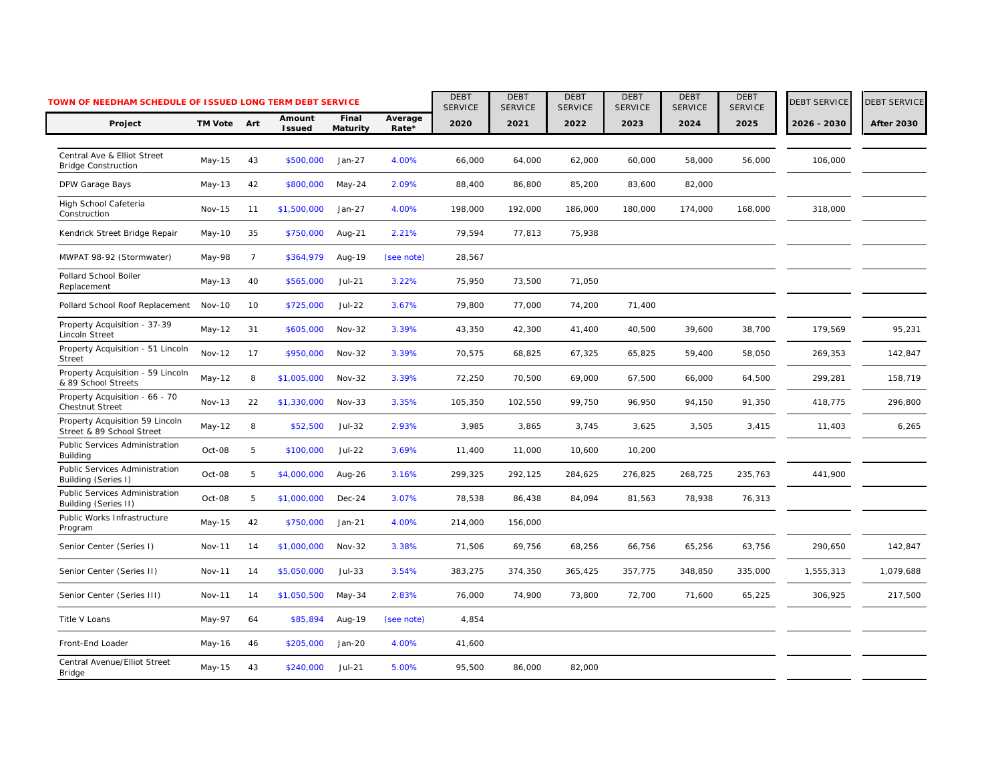|                                                              | TOWN OF NEEDHAM SCHEDULE OF ISSUED LONG TERM DEBT SERVICE |                |                         |                   |                  |                        | <b>DEBT</b><br><b>SERVICE</b> | <b>DEBT</b><br><b>SERVICE</b> | <b>DEBT</b><br><b>SERVICE</b> | <b>DEBT</b><br><b>SERVICE</b> | <b>DEBT</b><br><b>SERVICE</b> | <b>DEBT SERVICE</b> | <b>DEBT SERVICE</b> |
|--------------------------------------------------------------|-----------------------------------------------------------|----------------|-------------------------|-------------------|------------------|------------------------|-------------------------------|-------------------------------|-------------------------------|-------------------------------|-------------------------------|---------------------|---------------------|
| Project                                                      | TM Vote Art                                               |                | Amount<br><b>Issued</b> | Final<br>Maturity | Average<br>Rate* | <b>SERVICE</b><br>2020 | 2021                          | 2022                          | 2023                          | 2024                          | 2025                          | 2026 - 2030         | <b>After 2030</b>   |
| Central Ave & Elliot Street<br><b>Bridge Construction</b>    | May-15                                                    | 43             | \$500,000               | Jan-27            | 4.00%            | 66,000                 | 64,000                        | 62,000                        | 60,000                        | 58,000                        | 56,000                        | 106,000             |                     |
| DPW Garage Bays                                              | May-13                                                    | 42             | \$800,000               | May-24            | 2.09%            | 88,400                 | 86,800                        | 85,200                        | 83,600                        | 82,000                        |                               |                     |                     |
| High School Cafeteria<br>Construction                        | Nov-15                                                    | 11             | \$1,500,000             | $Jan-27$          | 4.00%            | 198,000                | 192,000                       | 186,000                       | 180,000                       | 174,000                       | 168,000                       | 318,000             |                     |
| Kendrick Street Bridge Repair                                | May-10                                                    | 35             | \$750,000               | Aug-21            | 2.21%            | 79,594                 | 77,813                        | 75,938                        |                               |                               |                               |                     |                     |
| MWPAT 98-92 (Stormwater)                                     | May-98                                                    | $\overline{7}$ | \$364,979               | Aug-19            | (see note)       | 28,567                 |                               |                               |                               |                               |                               |                     |                     |
| Pollard School Boiler<br>Replacement                         | May-13                                                    | 40             | \$565,000               | Jul-21            | 3.22%            | 75,950                 | 73,500                        | 71,050                        |                               |                               |                               |                     |                     |
| Pollard School Roof Replacement                              | <b>Nov-10</b>                                             | 10             | \$725,000               | Jul-22            | 3.67%            | 79,800                 | 77,000                        | 74,200                        | 71,400                        |                               |                               |                     |                     |
| Property Acquisition - 37-39<br>Lincoln Street               | May-12                                                    | 31             | \$605,000               | <b>Nov-32</b>     | 3.39%            | 43,350                 | 42,300                        | 41,400                        | 40,500                        | 39,600                        | 38,700                        | 179,569             | 95,231              |
| Property Acquisition - 51 Lincoln<br><b>Street</b>           | <b>Nov-12</b>                                             | 17             | \$950,000               | $Nov-32$          | 3.39%            | 70,575                 | 68,825                        | 67,325                        | 65,825                        | 59,400                        | 58,050                        | 269,353             | 142,847             |
| Property Acquisition - 59 Lincoln<br>& 89 School Streets     | May-12                                                    | 8              | \$1,005,000             | Nov-32            | 3.39%            | 72,250                 | 70,500                        | 69,000                        | 67,500                        | 66,000                        | 64,500                        | 299,281             | 158,719             |
| Property Acquisition - 66 - 70<br>Chestnut Street            | <b>Nov-13</b>                                             | 22             | \$1,330,000             | $Nov-33$          | 3.35%            | 105,350                | 102,550                       | 99,750                        | 96,950                        | 94,150                        | 91,350                        | 418,775             | 296,800             |
| Property Acquisition 59 Lincoln<br>Street & 89 School Street | $May-12$                                                  | 8              | \$52,500                | Jul-32            | 2.93%            | 3,985                  | 3,865                         | 3,745                         | 3,625                         | 3,505                         | 3,415                         | 11,403              | 6,265               |
| Public Services Administration<br><b>Building</b>            | Oct-08                                                    | 5              | \$100,000               | Jul-22            | 3.69%            | 11,400                 | 11,000                        | 10,600                        | 10,200                        |                               |                               |                     |                     |
| Public Services Administration<br>Building (Series I)        | Oct-08                                                    | 5              | \$4,000,000             | Aug-26            | 3.16%            | 299,325                | 292,125                       | 284,625                       | 276,825                       | 268,725                       | 235,763                       | 441,900             |                     |
| Public Services Administration<br>Building (Series II)       | Oct-08                                                    | 5              | \$1,000,000             | $Dec-24$          | 3.07%            | 78,538                 | 86,438                        | 84,094                        | 81,563                        | 78,938                        | 76,313                        |                     |                     |
| Public Works Infrastructure<br>Program                       | $May-15$                                                  | 42             | \$750,000               | $Jan-21$          | 4.00%            | 214,000                | 156,000                       |                               |                               |                               |                               |                     |                     |
| Senior Center (Series I)                                     | <b>Nov-11</b>                                             | 14             | \$1,000,000             | Nov-32            | 3.38%            | 71,506                 | 69,756                        | 68,256                        | 66,756                        | 65,256                        | 63,756                        | 290,650             | 142,847             |
| Senior Center (Series II)                                    | <b>Nov-11</b>                                             | 14             | \$5,050,000             | Jul-33            | 3.54%            | 383,275                | 374,350                       | 365,425                       | 357,775                       | 348,850                       | 335,000                       | 1,555,313           | 1,079,688           |
| Senior Center (Series III)                                   | <b>Nov-11</b>                                             | 14             | \$1,050,500             | $May-34$          | 2.83%            | 76,000                 | 74,900                        | 73,800                        | 72,700                        | 71,600                        | 65,225                        | 306,925             | 217,500             |
| Title V Loans                                                | May-97                                                    | 64             | \$85,894                | Aug-19            | (see note)       | 4,854                  |                               |                               |                               |                               |                               |                     |                     |
| Front-End Loader                                             | $May-16$                                                  | 46             | \$205,000               | $Jan-20$          | 4.00%            | 41,600                 |                               |                               |                               |                               |                               |                     |                     |
| Central Avenue/Elliot Street<br>Bridge                       | May-15                                                    | 43             | \$240,000               | Jul-21            | 5.00%            | 95,500                 | 86,000                        | 82,000                        |                               |                               |                               |                     |                     |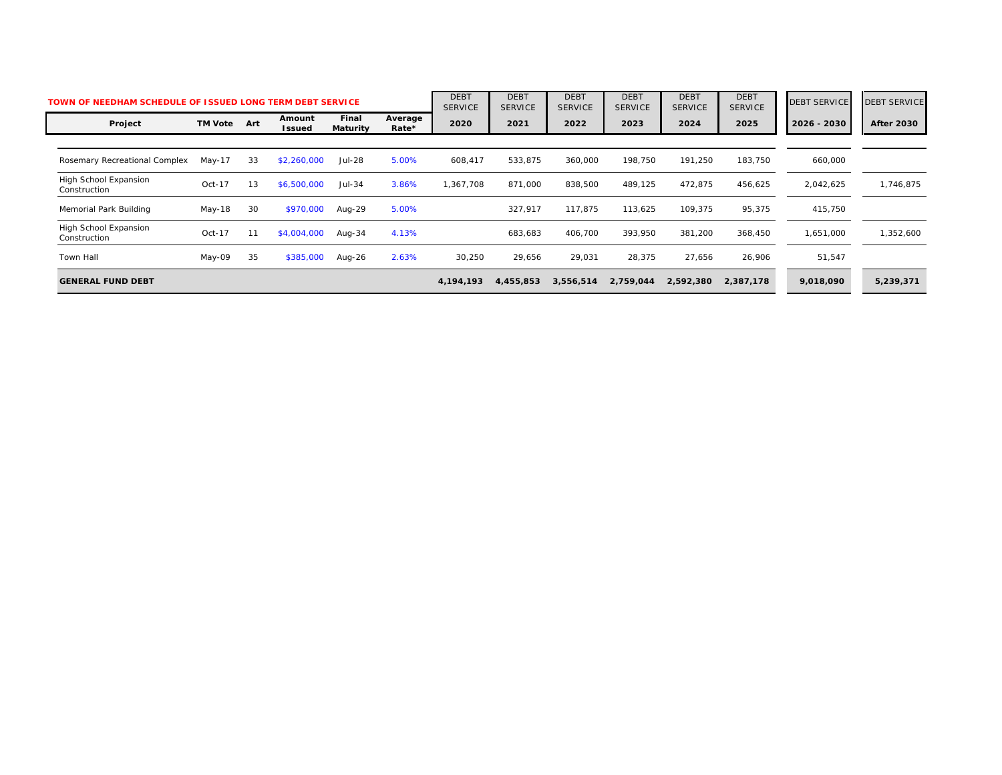| TOWN OF NEEDHAM SCHEDULE OF ISSUED LONG TERM DEBT SERVICE |                |     |                         |                   |                  | <b>DEBT</b><br><b>SERVICE</b> | <b>DEBT</b><br><b>SERVICE</b> | <b>DEBT</b><br><b>SERVICE</b> | <b>DEBT</b><br><b>SERVICE</b> | <b>DEBT</b><br><b>SERVICE</b> | <b>DEBT</b><br><b>SERVICE</b> | <b>DEBT SERVICE</b> | <b>DEBT SERVICE</b> |
|-----------------------------------------------------------|----------------|-----|-------------------------|-------------------|------------------|-------------------------------|-------------------------------|-------------------------------|-------------------------------|-------------------------------|-------------------------------|---------------------|---------------------|
| Project                                                   | <b>TM Vote</b> | Art | Amount<br><b>Issued</b> | Final<br>Maturity | Average<br>Rate* | 2020                          | 2021                          | 2022                          | 2023                          | 2024                          | 2025                          | 2026 - 2030         | <b>After 2030</b>   |
|                                                           |                |     |                         |                   |                  |                               |                               |                               |                               |                               |                               |                     |                     |
| Rosemary Recreational Complex                             | $May-17$       | 33  | \$2,260,000             | <b>Jul-28</b>     | 5.00%            | 608,417                       | 533,875                       | 360,000                       | 198.750                       | 191,250                       | 183.750                       | 660,000             |                     |
| High School Expansion<br>Construction                     | $Oct-17$       | 13  | \$6,500,000             | $Jul-34$          | 3.86%            | 1,367,708                     | 871,000                       | 838,500                       | 489,125                       | 472,875                       | 456,625                       | 2,042,625           | 1,746,875           |
| Memorial Park Building                                    | May-18         | 30  | \$970,000               | Aug-29            | 5.00%            |                               | 327.917                       | 117.875                       | 113.625                       | 109,375                       | 95,375                        | 415,750             |                     |
| High School Expansion<br>Construction                     | $Oct-17$       |     | \$4,004,000             | Aug-34            | 4.13%            |                               | 683,683                       | 406,700                       | 393.950                       | 381,200                       | 368,450                       | 1,651,000           | 1,352,600           |
| <b>Town Hall</b>                                          | May-09         | 35  | \$385,000               | Aug-26            | 2.63%            | 30,250                        | 29,656                        | 29,031                        | 28,375                        | 27,656                        | 26,906                        | 51,547              |                     |
| <b>GENERAL FUND DEBT</b>                                  |                |     |                         |                   |                  | 4,194,193                     | 4,455,853                     | 3,556,514                     | 2,759,044                     | 2,592,380                     | 2,387,178                     | 9,018,090           | 5,239,371           |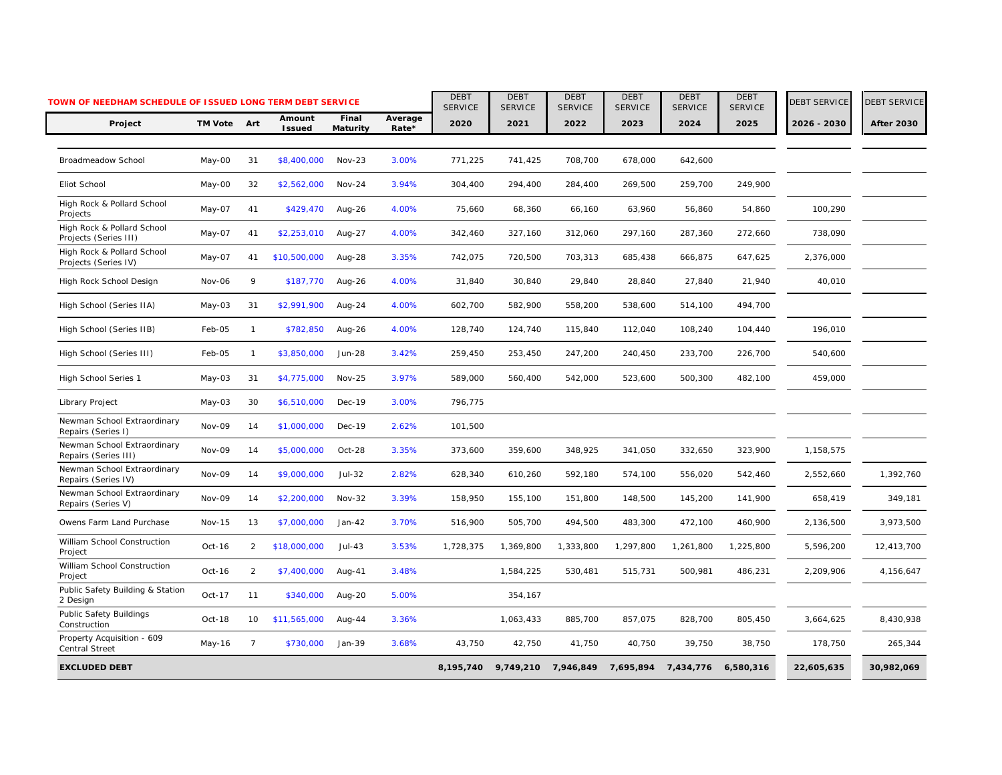| TOWN OF NEEDHAM SCHEDULE OF ISSUED LONG TERM DEBT SERVICE |               |                |                         |                   |                  | <b>DEBT</b><br><b>SERVICE</b> | <b>DEBT</b><br><b>SERVICE</b> | <b>DEBT</b><br><b>SERVICE</b> | <b>DEBT</b><br><b>SERVICE</b> | <b>DEBT</b><br><b>SERVICE</b> | <b>DEBT</b><br><b>SERVICE</b> | <b>DEBT SERVICE</b> | <b>DEBT SERVICE</b> |
|-----------------------------------------------------------|---------------|----------------|-------------------------|-------------------|------------------|-------------------------------|-------------------------------|-------------------------------|-------------------------------|-------------------------------|-------------------------------|---------------------|---------------------|
| Project                                                   | TM Vote Art   |                | Amount<br><b>Issued</b> | Final<br>Maturity | Average<br>Rate* | 2020                          | 2021                          | 2022                          | 2023                          | 2024                          | 2025                          | 2026 - 2030         | <b>After 2030</b>   |
| Broadmeadow School                                        | May-00        | 31             | \$8,400,000             | $Nov-23$          | 3.00%            | 771,225                       | 741,425                       | 708,700                       | 678,000                       | 642,600                       |                               |                     |                     |
| Eliot School                                              | May-00        | 32             | \$2,562,000             | $Nov-24$          | 3.94%            | 304,400                       | 294,400                       | 284,400                       | 269,500                       | 259,700                       | 249,900                       |                     |                     |
| High Rock & Pollard School<br>Projects                    | May-07        | 41             | \$429,470               | Aug-26            | 4.00%            | 75,660                        | 68,360                        | 66,160                        | 63,960                        | 56,860                        | 54,860                        | 100,290             |                     |
| High Rock & Pollard School<br>Projects (Series III)       | May-07        | 41             | \$2,253,010             | Aug-27            | 4.00%            | 342,460                       | 327,160                       | 312,060                       | 297,160                       | 287,360                       | 272,660                       | 738,090             |                     |
| High Rock & Pollard School<br>Projects (Series IV)        | May-07        | 41             | \$10,500,000            | Aug-28            | 3.35%            | 742,075                       | 720,500                       | 703,313                       | 685,438                       | 666,875                       | 647,625                       | 2,376,000           |                     |
| High Rock School Design                                   | Nov-06        | 9              | \$187,770               | Aug-26            | 4.00%            | 31,840                        | 30,840                        | 29,840                        | 28,840                        | 27,840                        | 21,940                        | 40,010              |                     |
| High School (Series IIA)                                  | May-03        | 31             | \$2,991,900             | Aug-24            | 4.00%            | 602,700                       | 582,900                       | 558,200                       | 538,600                       | 514,100                       | 494,700                       |                     |                     |
| High School (Series IIB)                                  | Feb-05        | $\mathbf{1}$   | \$782,850               | Aug-26            | 4.00%            | 128,740                       | 124,740                       | 115,840                       | 112,040                       | 108,240                       | 104,440                       | 196,010             |                     |
| High School (Series III)                                  | Feb-05        | $\mathbf{1}$   | \$3,850,000             | Jun-28            | 3.42%            | 259,450                       | 253,450                       | 247,200                       | 240,450                       | 233,700                       | 226,700                       | 540,600             |                     |
| High School Series 1                                      | May-03        | 31             | \$4,775,000             | <b>Nov-25</b>     | 3.97%            | 589,000                       | 560,400                       | 542,000                       | 523,600                       | 500,300                       | 482,100                       | 459,000             |                     |
| Library Project                                           | May-03        | 30             | \$6,510,000             | Dec-19            | 3.00%            | 796,775                       |                               |                               |                               |                               |                               |                     |                     |
| Newman School Extraordinary<br>Repairs (Series I)         | Nov-09        | 14             | \$1,000,000             | Dec-19            | 2.62%            | 101,500                       |                               |                               |                               |                               |                               |                     |                     |
| Newman School Extraordinary<br>Repairs (Series III)       | Nov-09        | 14             | \$5,000,000             | Oct-28            | 3.35%            | 373,600                       | 359,600                       | 348,925                       | 341,050                       | 332,650                       | 323,900                       | 1,158,575           |                     |
| Newman School Extraordinary<br>Repairs (Series IV)        | Nov-09        | 14             | \$9,000,000             | Jul-32            | 2.82%            | 628,340                       | 610,260                       | 592,180                       | 574,100                       | 556,020                       | 542,460                       | 2,552,660           | 1,392,760           |
| Newman School Extraordinary<br>Repairs (Series V)         | Nov-09        | 14             | \$2,200,000             | <b>Nov-32</b>     | 3.39%            | 158,950                       | 155,100                       | 151,800                       | 148,500                       | 145,200                       | 141,900                       | 658,419             | 349,181             |
| Owens Farm Land Purchase                                  | <b>Nov-15</b> | 13             | \$7,000,000             | $Jan-42$          | 3.70%            | 516,900                       | 505,700                       | 494,500                       | 483,300                       | 472,100                       | 460,900                       | 2,136,500           | 3,973,500           |
| William School Construction<br>Project                    | Oct-16        | 2              | \$18,000,000            | $Jul-43$          | 3.53%            | 1,728,375                     | 1,369,800                     | 1,333,800                     | 1,297,800                     | 1,261,800                     | 1,225,800                     | 5,596,200           | 12,413,700          |
| William School Construction<br>Project                    | Oct-16        | 2              | \$7,400,000             | Aug-41            | 3.48%            |                               | 1,584,225                     | 530,481                       | 515,731                       | 500,981                       | 486,231                       | 2,209,906           | 4,156,647           |
| Public Safety Building & Station<br>2 Design              | Oct-17        | 11             | \$340,000               | Aug-20            | 5.00%            |                               | 354,167                       |                               |                               |                               |                               |                     |                     |
| Public Safety Buildings<br>Construction                   | Oct-18        | 10             | \$11,565,000            | Aug- $44$         | 3.36%            |                               | 1,063,433                     | 885,700                       | 857,075                       | 828,700                       | 805,450                       | 3,664,625           | 8,430,938           |
| Property Acquisition - 609<br><b>Central Street</b>       | May-16        | $\overline{7}$ | \$730,000               | Jan-39            | 3.68%            | 43,750                        | 42,750                        | 41,750                        | 40,750                        | 39,750                        | 38,750                        | 178,750             | 265,344             |
| <b>EXCLUDED DEBT</b>                                      |               |                |                         |                   |                  | 8,195,740                     | 9,749,210                     |                               | 7,946,849 7,695,894 7,434,776 |                               | 6,580,316                     | 22,605,635          | 30,982,069          |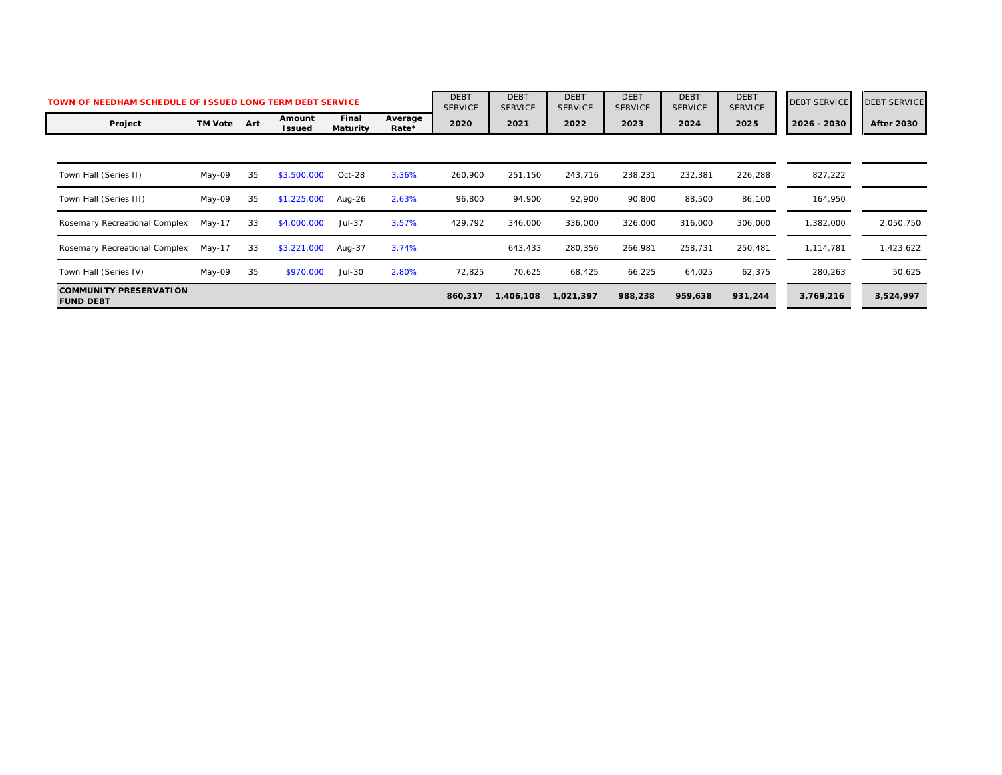| TOWN OF NEEDHAM SCHEDULE OF ISSUED LONG TERM DEBT SERVICE |                |     |                  |                          |                  |         | <b>DEBT</b><br><b>SERVICE</b> | <b>DEBT</b><br><b>SERVICE</b> | <b>DEBT</b><br><b>SERVICE</b> | <b>DEBT</b><br><b>SERVICE</b> | <b>DEBT</b><br><b>SERVICE</b> | <b>DEBT SERVICE</b> | <b>DEBT SERVICE</b> |
|-----------------------------------------------------------|----------------|-----|------------------|--------------------------|------------------|---------|-------------------------------|-------------------------------|-------------------------------|-------------------------------|-------------------------------|---------------------|---------------------|
| Project                                                   | <b>TM Vote</b> | Art | Amount<br>Issued | Final<br><b>Maturity</b> | Average<br>Rate* | 2020    | 2021                          | 2022                          | 2023                          | 2024                          | 2025                          | 2026 - 2030         | <b>After 2030</b>   |
|                                                           |                |     |                  |                          |                  |         |                               |                               |                               |                               |                               |                     |                     |
| Town Hall (Series II)                                     | May-09         | 35  | \$3,500,000      | $Oct-28$                 | 3.36%            | 260,900 | 251,150                       | 243,716                       | 238,231                       | 232,381                       | 226,288                       | 827,222             |                     |
| Town Hall (Series III)                                    | May-09         | 35  | \$1,225,000      | Aug-26                   | 2.63%            | 96,800  | 94,900                        | 92,900                        | 90,800                        | 88,500                        | 86,100                        | 164,950             |                     |
| Rosemary Recreational Complex                             | May-17         | 33  | \$4,000,000      | Jul-37                   | 3.57%            | 429,792 | 346,000                       | 336,000                       | 326,000                       | 316,000                       | 306,000                       | 1,382,000           | 2,050,750           |
| Rosemary Recreational Complex                             | $May-17$       | 33  | \$3,221,000      | Aug-37                   | 3.74%            |         | 643,433                       | 280,356                       | 266,981                       | 258,731                       | 250,481                       | 1,114,781           | 1,423,622           |
| Town Hall (Series IV)                                     | May-09         | 35  | \$970,000        | Jul-30                   | 2.80%            | 72,825  | 70,625                        | 68,425                        | 66,225                        | 64,025                        | 62,375                        | 280,263             | 50,625              |
| <b>COMMUNITY PRESERVATION</b><br><b>FUND DEBT</b>         |                |     |                  |                          |                  | 860,317 | 1,406,108                     | 1,021,397                     | 988,238                       | 959,638                       | 931,244                       | 3,769,216           | 3,524,997           |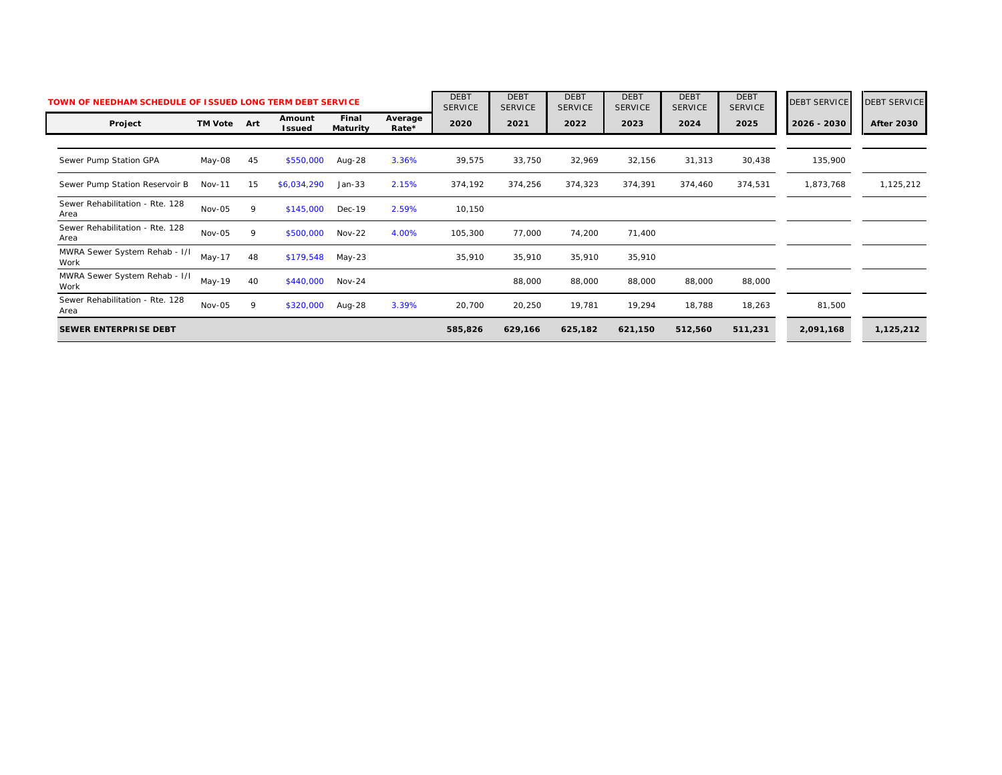|                                         | TOWN OF NEEDHAM SCHEDULE OF ISSUED LONG TERM DEBT SERVICE |     |                         |                          |                  | <b>DEBT</b><br><b>SERVICE</b> | <b>DEBT</b><br><b>SERVICE</b> | <b>DEBT</b><br><b>SERVICE</b> | <b>DEBT</b><br><b>SERVICE</b> | <b>DEBT</b><br><b>SERVICE</b> | <b>DEBT</b><br><b>SERVICE</b> | <b>DEBT SERVICE</b> | <b>DEBT SERVICE</b> |
|-----------------------------------------|-----------------------------------------------------------|-----|-------------------------|--------------------------|------------------|-------------------------------|-------------------------------|-------------------------------|-------------------------------|-------------------------------|-------------------------------|---------------------|---------------------|
| Project                                 | <b>TM Vote</b>                                            | Art | Amount<br><b>Issued</b> | Final<br><b>Maturity</b> | Average<br>Rate* | 2020                          | 2021                          | 2022                          | 2023                          | 2024                          | 2025                          | 2026 - 2030         | <b>After 2030</b>   |
|                                         |                                                           |     |                         |                          |                  |                               |                               |                               |                               |                               |                               |                     |                     |
| Sewer Pump Station GPA                  | May-08                                                    | 45  | \$550,000               | Aug-28                   | 3.36%            | 39,575                        | 33,750                        | 32,969                        | 32,156                        | 31,313                        | 30,438                        | 135,900             |                     |
| Sewer Pump Station Reservoir B          | <b>Nov-11</b>                                             | 15  | \$6,034,290             | $Jan-33$                 | 2.15%            | 374,192                       | 374,256                       | 374,323                       | 374,391                       | 374,460                       | 374,531                       | 1,873,768           | 1,125,212           |
| Sewer Rehabilitation - Rte. 128<br>Area | Nov-05                                                    | 9   | \$145,000               | Dec-19                   | 2.59%            | 10,150                        |                               |                               |                               |                               |                               |                     |                     |
| Sewer Rehabilitation - Rte. 128<br>Area | Nov-05                                                    | 9   | \$500,000               | $Nov-22$                 | 4.00%            | 105,300                       | 77,000                        | 74,200                        | 71,400                        |                               |                               |                     |                     |
| MWRA Sewer System Rehab - I/I<br>Work   | $May-17$                                                  | 48  | \$179,548               | May-23                   |                  | 35,910                        | 35,910                        | 35,910                        | 35,910                        |                               |                               |                     |                     |
| MWRA Sewer System Rehab - I/I<br>Work   | $May-19$                                                  | 40  | \$440,000               | $Nov-24$                 |                  |                               | 88,000                        | 88,000                        | 88,000                        | 88,000                        | 88,000                        |                     |                     |
| Sewer Rehabilitation - Rte. 128<br>Area | Nov-05                                                    | 9   | \$320,000               | Aug-28                   | 3.39%            | 20,700                        | 20,250                        | 19,781                        | 19,294                        | 18,788                        | 18,263                        | 81,500              |                     |
| <b>SEWER ENTERPRISE DEBT</b>            |                                                           |     |                         |                          |                  | 585,826                       | 629,166                       | 625,182                       | 621,150                       | 512,560                       | 511,231                       | 2,091,168           | 1,125,212           |